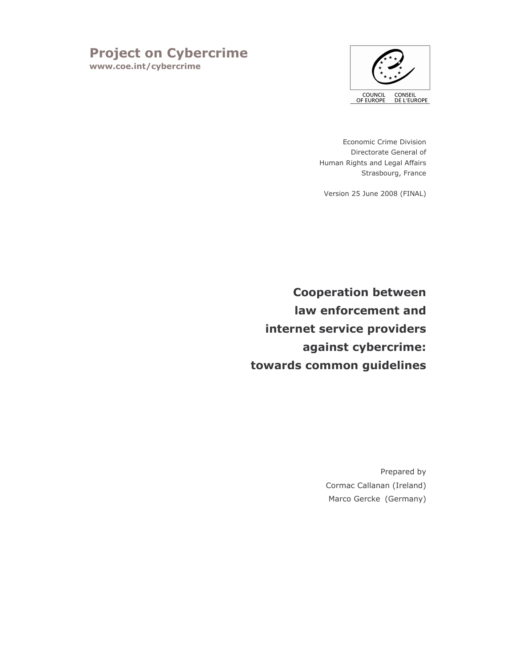# **Project on Cybercrime**

www.coe.int/cybercrime



Economic Crime Division Directorate General of Human Rights and Legal Affairs Strasbourg, France

Version 25 June 2008 (FINAL)

**Cooperation between** law enforcement and internet service providers against cybercrime: towards common guidelines

> Prepared by Cormac Callanan (Ireland) Marco Gercke (Germany)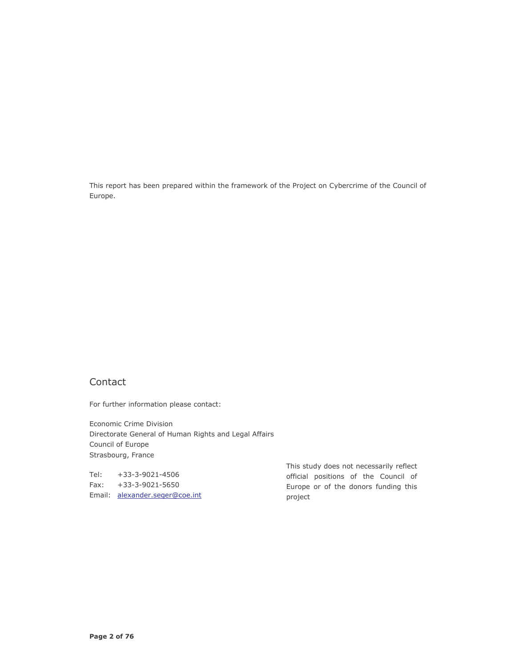This report has been prepared within the framework of the Project on Cybercrime of the Council of Europe.

# Contact

For further information please contact:

Economic Crime Division Directorate General of Human Rights and Legal Affairs Council of Europe Strasbourg, France

Tel: +33-3-9021-4506 Fax:  $+33-3-9021-5650$ Email: alexander.seger@coe.int This study does not necessarily reflect official positions of the Council of Europe or of the donors funding this project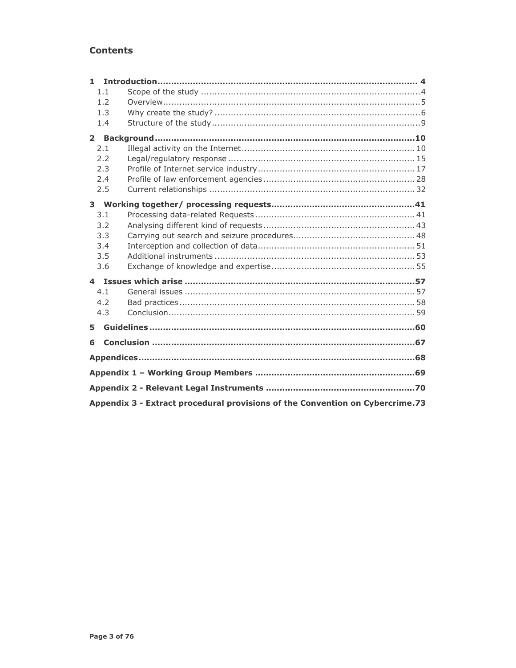# Contents

| $\blacksquare$                                                                |  |  |
|-------------------------------------------------------------------------------|--|--|
| 1.1                                                                           |  |  |
| 1.2                                                                           |  |  |
| 1.3                                                                           |  |  |
| 1.4                                                                           |  |  |
| $\mathbf{2}$                                                                  |  |  |
| 2.1                                                                           |  |  |
| 2.2                                                                           |  |  |
| 2.3                                                                           |  |  |
| 2.4                                                                           |  |  |
| 2.5                                                                           |  |  |
|                                                                               |  |  |
| 3.1                                                                           |  |  |
| 3.2                                                                           |  |  |
| 3.3                                                                           |  |  |
| 3.4                                                                           |  |  |
| 3.5                                                                           |  |  |
| 3.6                                                                           |  |  |
|                                                                               |  |  |
| 4.1                                                                           |  |  |
| 4.2                                                                           |  |  |
| 4.3                                                                           |  |  |
| 5                                                                             |  |  |
| 6                                                                             |  |  |
|                                                                               |  |  |
|                                                                               |  |  |
|                                                                               |  |  |
|                                                                               |  |  |
| Appendix 3 - Extract procedural provisions of the Convention on Cybercrime.73 |  |  |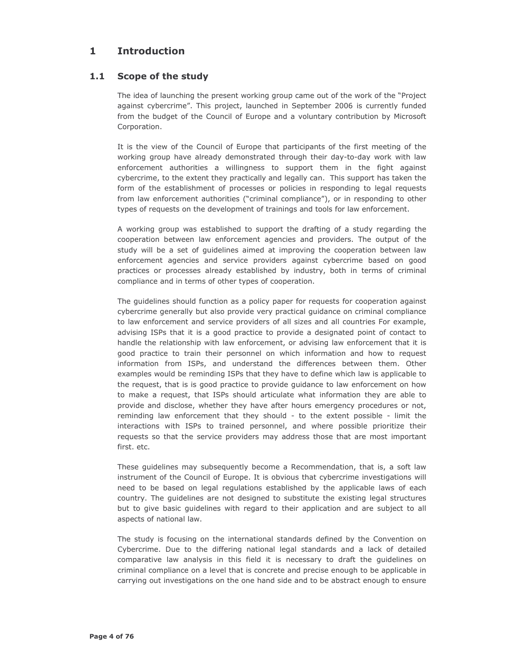#### $\mathbf{1}$ **Introduction**

#### $1.1$ Scope of the study

The idea of launching the present working group came out of the work of the "Project" against cybercrime". This project, launched in September 2006 is currently funded from the budget of the Council of Europe and a voluntary contribution by Microsoft Corporation.

It is the view of the Council of Europe that participants of the first meeting of the working group have already demonstrated through their day-to-day work with law enforcement authorities a willingness to support them in the fight against cybercrime, to the extent they practically and legally can. This support has taken the form of the establishment of processes or policies in responding to legal requests from law enforcement authorities ("criminal compliance"), or in responding to other types of requests on the development of trainings and tools for law enforcement.

A working group was established to support the drafting of a study regarding the cooperation between law enforcement agencies and providers. The output of the study will be a set of guidelines aimed at improving the cooperation between law enforcement agencies and service providers against cybercrime based on good practices or processes already established by industry, both in terms of criminal compliance and in terms of other types of cooperation.

The guidelines should function as a policy paper for requests for cooperation against cybercrime generally but also provide very practical guidance on criminal compliance to law enforcement and service providers of all sizes and all countries For example, advising ISPs that it is a good practice to provide a designated point of contact to handle the relationship with law enforcement, or advising law enforcement that it is good practice to train their personnel on which information and how to request information from ISPs, and understand the differences between them. Other examples would be reminding ISPs that they have to define which law is applicable to the request, that is is good practice to provide guidance to law enforcement on how to make a request, that ISPs should articulate what information they are able to provide and disclose, whether they have after hours emergency procedures or not, reminding law enforcement that they should - to the extent possible - limit the interactions with ISPs to trained personnel, and where possible prioritize their requests so that the service providers may address those that are most important first. etc.

These quidelines may subsequently become a Recommendation, that is, a soft law instrument of the Council of Europe. It is obvious that cybercrime investigations will need to be based on legal regulations established by the applicable laws of each country. The guidelines are not designed to substitute the existing legal structures but to give basic guidelines with regard to their application and are subject to all aspects of national law.

The study is focusing on the international standards defined by the Convention on Cybercrime. Due to the differing national legal standards and a lack of detailed comparative law analysis in this field it is necessary to draft the guidelines on criminal compliance on a level that is concrete and precise enough to be applicable in carrying out investigations on the one hand side and to be abstract enough to ensure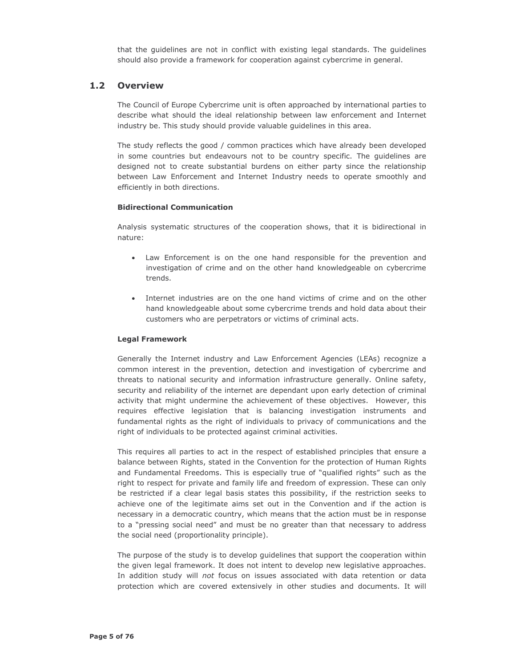that the quidelines are not in conflict with existing legal standards. The quidelines should also provide a framework for cooperation against cybercrime in general.

#### $1.2$ **Overview**

The Council of Europe Cybercrime unit is often approached by international parties to describe what should the ideal relationship between law enforcement and Internet industry be. This study should provide valuable guidelines in this area.

The study reflects the good / common practices which have already been developed in some countries but endeavours not to be country specific. The guidelines are designed not to create substantial burdens on either party since the relationship between Law Enforcement and Internet Industry needs to operate smoothly and efficiently in both directions.

### **Bidirectional Communication**

Analysis systematic structures of the cooperation shows, that it is bidirectional in nature:

- Law Enforcement is on the one hand responsible for the prevention and investigation of crime and on the other hand knowledgeable on cybercrime trends.
- Internet industries are on the one hand victims of crime and on the other hand knowledgeable about some cybercrime trends and hold data about their customers who are perpetrators or victims of criminal acts.

### **Legal Framework**

Generally the Internet industry and Law Enforcement Agencies (LEAs) recognize a common interest in the prevention, detection and investigation of cybercrime and threats to national security and information infrastructure generally. Online safety, security and reliability of the internet are dependant upon early detection of criminal activity that might undermine the achievement of these objectives. However, this requires effective legislation that is balancing investigation instruments and fundamental rights as the right of individuals to privacy of communications and the right of individuals to be protected against criminal activities.

This requires all parties to act in the respect of established principles that ensure a balance between Rights, stated in the Convention for the protection of Human Rights and Fundamental Freedoms. This is especially true of "qualified rights" such as the right to respect for private and family life and freedom of expression. These can only be restricted if a clear legal basis states this possibility, if the restriction seeks to achieve one of the legitimate aims set out in the Convention and if the action is necessary in a democratic country, which means that the action must be in response to a "pressing social need" and must be no greater than that necessary to address the social need (proportionality principle).

The purpose of the study is to develop guidelines that support the cooperation within the given legal framework. It does not intent to develop new legislative approaches. In addition study will not focus on issues associated with data retention or data protection which are covered extensively in other studies and documents. It will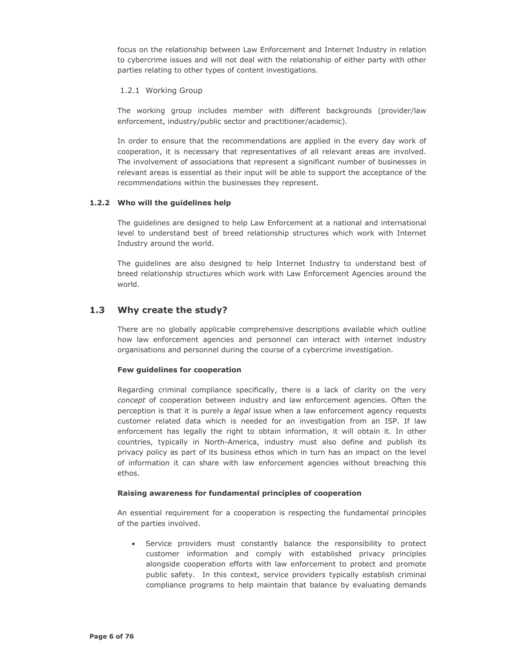focus on the relationship between Law Enforcement and Internet Industry in relation to cybercrime issues and will not deal with the relationship of either party with other parties relating to other types of content investigations.

### 1.2.1 Working Group

The working group includes member with different backgrounds (provider/law enforcement, industry/public sector and practitioner/academic).

In order to ensure that the recommendations are applied in the every day work of cooperation, it is necessary that representatives of all relevant areas are involved. The involvement of associations that represent a significant number of businesses in relevant areas is essential as their input will be able to support the acceptance of the recommendations within the businesses they represent.

### 1.2.2 Who will the guidelines help

The quidelines are designed to help Law Enforcement at a national and international level to understand best of breed relationship structures which work with Internet Industry around the world.

The guidelines are also designed to help Internet Industry to understand best of breed relationship structures which work with Law Enforcement Agencies around the world.

#### $1.3$ Why create the study?

There are no globally applicable comprehensive descriptions available which outline how law enforcement agencies and personnel can interact with internet industry organisations and personnel during the course of a cybercrime investigation.

### Few guidelines for cooperation

Regarding criminal compliance specifically, there is a lack of clarity on the very concept of cooperation between industry and law enforcement agencies. Often the perception is that it is purely a legal issue when a law enforcement agency requests customer related data which is needed for an investigation from an ISP. If law enforcement has legally the right to obtain information, it will obtain it. In other countries, typically in North-America, industry must also define and publish its privacy policy as part of its business ethos which in turn has an impact on the level of information it can share with law enforcement agencies without breaching this ethos.

### Raising awareness for fundamental principles of cooperation

An essential requirement for a cooperation is respecting the fundamental principles of the parties involved.

• Service providers must constantly balance the responsibility to protect customer information and comply with established privacy principles alongside cooperation efforts with law enforcement to protect and promote public safety. In this context, service providers typically establish criminal compliance programs to help maintain that balance by evaluating demands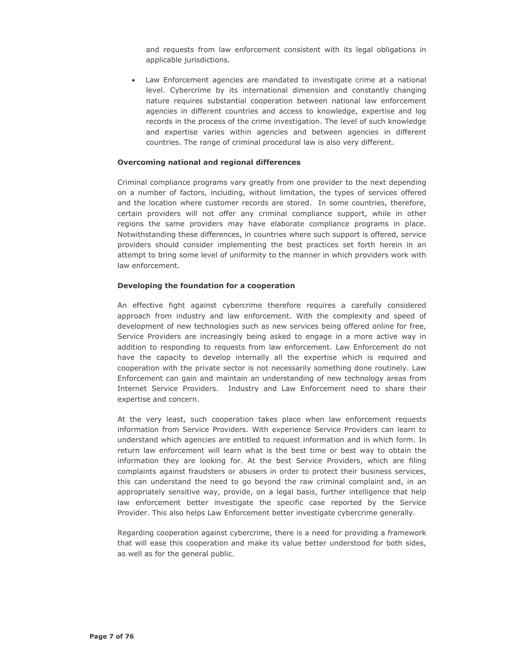and requests from law enforcement consistent with its legal obligations in applicable jurisdictions.

• Law Enforcement agencies are mandated to investigate crime at a national level. Cybercrime by its international dimension and constantly changing nature requires substantial cooperation between national law enforcement agencies in different countries and access to knowledge, expertise and log records in the process of the crime investigation. The level of such knowledge and expertise varies within agencies and between agencies in different countries. The range of criminal procedural law is also very different.

### Overcoming national and regional differences

Criminal compliance programs vary greatly from one provider to the next depending on a number of factors, including, without limitation, the types of services offered and the location where customer records are stored. In some countries, therefore, certain providers will not offer any criminal compliance support, while in other regions the same providers may have elaborate compliance programs in place. Notwithstanding these differences, in countries where such support is offered, service providers should consider implementing the best practices set forth herein in an attempt to bring some level of uniformity to the manner in which providers work with law enforcement.

### Developing the foundation for a cooperation

An effective fight against cybercrime therefore requires a carefully considered approach from industry and law enforcement. With the complexity and speed of development of new technologies such as new services being offered online for free, Service Providers are increasingly being asked to engage in a more active way in addition to responding to requests from law enforcement. Law Enforcement do not have the capacity to develop internally all the expertise which is required and cooperation with the private sector is not necessarily something done routinely. Law Enforcement can gain and maintain an understanding of new technology areas from Internet Service Providers. Industry and Law Enforcement need to share their expertise and concern.

At the very least, such cooperation takes place when law enforcement requests information from Service Providers. With experience Service Providers can learn to understand which agencies are entitled to request information and in which form. In return law enforcement will learn what is the best time or best way to obtain the information they are looking for. At the best Service Providers, which are filing complaints against fraudsters or abusers in order to protect their business services, this can understand the need to go beyond the raw criminal complaint and, in an appropriately sensitive way, provide, on a legal basis, further intelligence that help law enforcement better investigate the specific case reported by the Service Provider. This also helps Law Enforcement better investigate cybercrime generally.

Regarding cooperation against cybercrime, there is a need for providing a framework that will ease this cooperation and make its value better understood for both sides, as well as for the general public.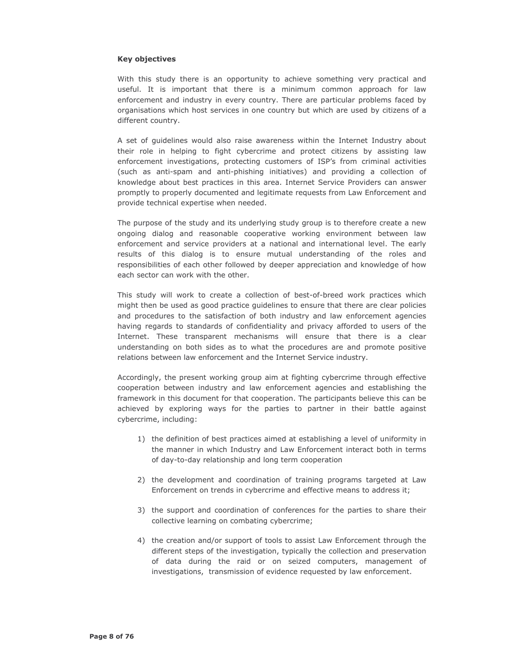#### **Key objectives**

With this study there is an opportunity to achieve something very practical and useful. It is important that there is a minimum common approach for law enforcement and industry in every country. There are particular problems faced by organisations which host services in one country but which are used by citizens of a different country.

A set of quidelines would also raise awareness within the Internet Industry about their role in helping to fight cybercrime and protect citizens by assisting law enforcement investigations, protecting customers of ISP's from criminal activities (such as anti-spam and anti-phishing initiatives) and providing a collection of knowledge about best practices in this area. Internet Service Providers can answer promptly to properly documented and legitimate requests from Law Enforcement and provide technical expertise when needed.

The purpose of the study and its underlying study group is to therefore create a new ongoing dialog and reasonable cooperative working environment between law enforcement and service providers at a national and international level. The early results of this dialog is to ensure mutual understanding of the roles and responsibilities of each other followed by deeper appreciation and knowledge of how each sector can work with the other.

This study will work to create a collection of best-of-breed work practices which might then be used as good practice guidelines to ensure that there are clear policies and procedures to the satisfaction of both industry and law enforcement agencies having regards to standards of confidentiality and privacy afforded to users of the Internet. These transparent mechanisms will ensure that there is a clear understanding on both sides as to what the procedures are and promote positive relations between law enforcement and the Internet Service industry.

Accordingly, the present working group aim at fighting cybercrime through effective cooperation between industry and law enforcement agencies and establishing the framework in this document for that cooperation. The participants believe this can be achieved by exploring ways for the parties to partner in their battle against cybercrime, including:

- 1) the definition of best practices aimed at establishing a level of uniformity in the manner in which Industry and Law Enforcement interact both in terms of day-to-day relationship and long term cooperation
- 2) the development and coordination of training programs targeted at Law Enforcement on trends in cybercrime and effective means to address it;
- 3) the support and coordination of conferences for the parties to share their collective learning on combating cybercrime;
- 4) the creation and/or support of tools to assist Law Enforcement through the different steps of the investigation, typically the collection and preservation of data during the raid or on seized computers, management of investigations, transmission of evidence requested by law enforcement.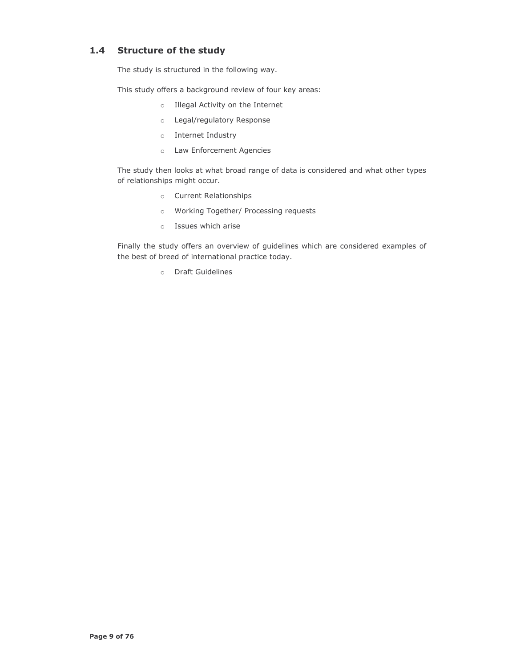# 1.4 Structure of the study

The study is structured in the following way.

This study offers a background review of four key areas:

- o Illegal Activity on the Internet
- o Legal/regulatory Response
- o Internet Industry
- o Law Enforcement Agencies

The study then looks at what broad range of data is considered and what other types of relationships might occur.

- o Current Relationships
- o Working Together/ Processing requests
- o Issues which arise

Finally the study offers an overview of guidelines which are considered examples of the best of breed of international practice today.

o Draft Guidelines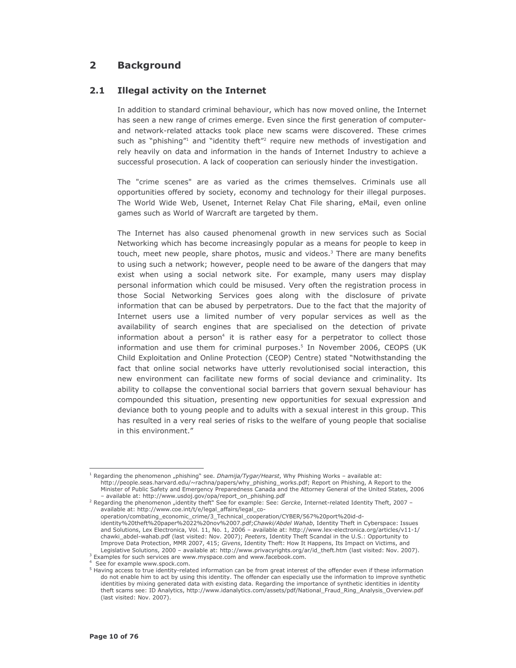#### $2<sup>1</sup>$ **Background**

#### $2.1$ **Illegal activity on the Internet**

In addition to standard criminal behaviour, which has now moved online, the Internet has seen a new range of crimes emerge. Even since the first generation of computerand network-related attacks took place new scams were discovered. These crimes such as "phishing" and "identity theft" require new methods of investigation and rely heavily on data and information in the hands of Internet Industry to achieve a successful prosecution. A lack of cooperation can seriously hinder the investigation.

The "crime scenes" are as varied as the crimes themselves. Criminals use all opportunities offered by society, economy and technology for their illegal purposes. The World Wide Web, Usenet, Internet Relay Chat File sharing, eMail, even online games such as World of Warcraft are targeted by them.

The Internet has also caused phenomenal growth in new services such as Social Networking which has become increasingly popular as a means for people to keep in touch, meet new people, share photos, music and videos.<sup>3</sup> There are many benefits to using such a network; however, people need to be aware of the dangers that may exist when using a social network site. For example, many users may display personal information which could be misused. Very often the registration process in those Social Networking Services goes along with the disclosure of private information that can be abused by perpetrators. Due to the fact that the majority of Internet users use a limited number of very popular services as well as the availability of search engines that are specialised on the detection of private information about a person<sup>4</sup> it is rather easy for a perpetrator to collect those information and use them for criminal purposes.<sup>5</sup> In November 2006, CEOPS (UK Child Exploitation and Online Protection (CEOP) Centre) stated "Notwithstanding the fact that online social networks have utterly revolutionised social interaction, this new environment can facilitate new forms of social deviance and criminality. Its ability to collapse the conventional social barriers that govern sexual behaviour has compounded this situation, presenting new opportunities for sexual expression and deviance both to young people and to adults with a sexual interest in this group. This has resulted in a very real series of risks to the welfare of young people that socialise in this environment."

operation/combating\_economic\_crime/3\_Technical\_cooperation/CYBER/567%20port%20id-didentity%20theft%20paper%2022%20nov%2007.pdf;Chawki/Abdel Wahab, Identity Theft in Cyberspace: Issues and Solutions, Lex Electronica, Vol. 11, No. 1, 2006 - available at: http://www.lex-electronica.org/articles/v11-1/ chawki\_abdel-wahab.pdf (last visited: Nov. 2007); Peeters, Identity Theft Scandal in the U.S.: Opportunity to Improve Data Protection, MMR 2007, 415; Givens, Identity Theft: How It Happens, Its Impact on Victims, and Legislative Solutions, 2000 - available at: http://www.privacyrights.org/ar/id\_theft.htm (last visited: Nov. 2007).

<sup>3</sup> Examples for such services are www.myspace.com and www.facebook.com.

<sup>&</sup>lt;sup>1</sup> Regarding the phenomenon "phishing" see. *Dhamija/Tygar/Hearst*, Why Phishing Works - available at: http://people.seas.harvard.edu/~rachna/papers/why\_phishing\_works.pdf; Report on Phishing, A Report to the Minister of Public Safety and Emergency Preparedness Canada and the Attorney General of the United States, 2006 - available at: http://www.usdoj.gov/opa/report\_on\_phishing.pdf

<sup>&</sup>lt;sup>2</sup> Regarding the phenomenon "identity theft" See for example: See: Gercke, Internet-related Identity Theft, 2007 available at: http://www.coe.int/t/e/legal\_affairs/legal\_co-

See for example www.spock.com.

<sup>&</sup>lt;sup>5</sup> Having access to true identity-related information can be from great interest of the offender even if these information do not enable him to act by using this identity. The offender can especially use the information to improve synthetic identities by mixing generated data with existing data. Regarding the importance of synthetic identities in identity theft scams see: ID Analytics, http://www.idanalytics.com/assets/pdf/National\_Fraud\_Ring\_Analysis\_Overview.pdf (last visited: Nov. 2007).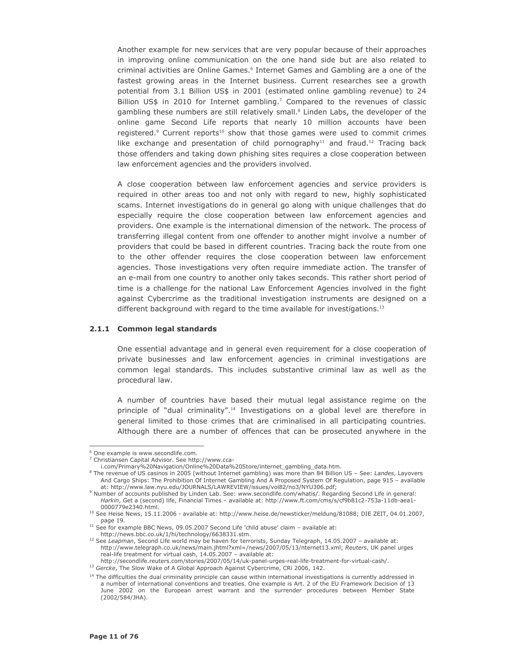Another example for new services that are very popular because of their approaches in improving online communication on the one hand side but are also related to criminal activities are Online Games.<sup>6</sup> Internet Games and Gambling are a one of the fastest growing areas in the Internet business. Current researches see a growth potential from 3.1 Billion US\$ in 2001 (estimated online gambling revenue) to 24 Billion US\$ in 2010 for Internet gambling.<sup>7</sup> Compared to the revenues of classic gambling these numbers are still relatively small.<sup>8</sup> Linden Labs, the developer of the online game Second Life reports that nearly 10 million accounts have been registered.<sup>9</sup> Current reports<sup>10</sup> show that those games were used to commit crimes like exchange and presentation of child pornography<sup>11</sup> and fraud.<sup>12</sup> Tracing back those offenders and taking down phishing sites requires a close cooperation between law enforcement agencies and the providers involved.

A close cooperation between law enforcement agencies and service providers is required in other areas too and not only with regard to new, highly sophisticated scams. Internet investigations do in general go along with unique challenges that do especially require the close cooperation between law enforcement agencies and providers. One example is the international dimension of the network. The process of transferring illegal content from one offender to another might involve a number of providers that could be based in different countries. Tracing back the route from one to the other offender requires the close cooperation between law enforcement agencies. Those investigations very often require immediate action. The transfer of an e-mail from one country to another only takes seconds. This rather short period of time is a challenge for the national Law Enforcement Agencies involved in the fight against Cybercrime as the traditional investigation instruments are designed on a different background with regard to the time available for investigations.<sup>13</sup>

#### 2.1.1 Common legal standards

One essential advantage and in general even requirement for a close cooperation of private businesses and law enforcement agencies in criminal investigations are common legal standards. This includes substantive criminal law as well as the procedural law.

A number of countries have based their mutual legal assistance regime on the principle of "dual criminality".<sup>14</sup> Investigations on a global level are therefore in general limited to those crimes that are criminalised in all participating countries. Although there are a number of offences that can be prosecuted anywhere in the

<sup>&</sup>lt;sup>6</sup> One example is www.secondlife.com.

<sup>&</sup>lt;sup>7</sup> Christiansen Capital Advisor. See http://www.cca-

i.com/Primary%20Navigation/Online%20Data%20Store/internet\_gambling\_data.htm.

<sup>&</sup>lt;sup>8</sup> The revenue of US casinos in 2005 (without Internet gambling) was more than 84 Billion US - See: Landes, Layovers And Cargo Ships: The Prohibition Of Internet Gambling And A Proposed System Of Regulation, page 915 - available at: http://www.law.nyu.edu/JOURNALS/LAWREVIEW/issues/vol82/no3/NYU306.pdf;

<sup>&</sup>lt;sup>9</sup> Number of accounts published by Linden Lab. See: www.secondlife.com/whatis/. Regarding Second Life in general: Harkin, Get a (second) life, Financial Times - available at: http://www.ft.com/cms/s/cf9b81c2-753a-11db-aea1-0000779e2340.html.

<sup>&</sup>lt;sup>10</sup> See Heise News, 15.11.2006 - available at: http://www.heise.de/newsticker/meldung/81088; DIE ZEIT, 04.01.2007, page 19.

<sup>&</sup>lt;sup>11</sup> See for example BBC News, 09.05.2007 Second Life 'child abuse' claim - available at:

http://news.bbc.co.uk/1/hi/technology/6638331.stm.

<sup>&</sup>lt;sup>12</sup> See Leapman, Second Life world may be haven for terrorists, Sunday Telegraph, 14.05.2007 - available at: http://www.telegraph.co.uk/news/main.jhtml?xml=/news/2007/05/13/nternet13.xml; Reuters, UK panel urges real-life treatment for virtual cash, 14.05.2007 - available at:

http://secondlife.reuters.com/stories/2007/05/14/uk-panel-urges-real-life-treatment-for-virtual-cash/.

<sup>&</sup>lt;sup>13</sup> Gercke, The Slow Wake of A Global Approach Against Cybercrime, CRi 2006, 142.

<sup>&</sup>lt;sup>14</sup> The difficulties the dual criminality principle can cause within international investigations is currently addressed in a number of international conventions and treaties. One example is Art. 2 of the EU Framework Decision of 13 June 2002 on the European arrest warrant and the surrender procedures between Member State (2002/584/JHA).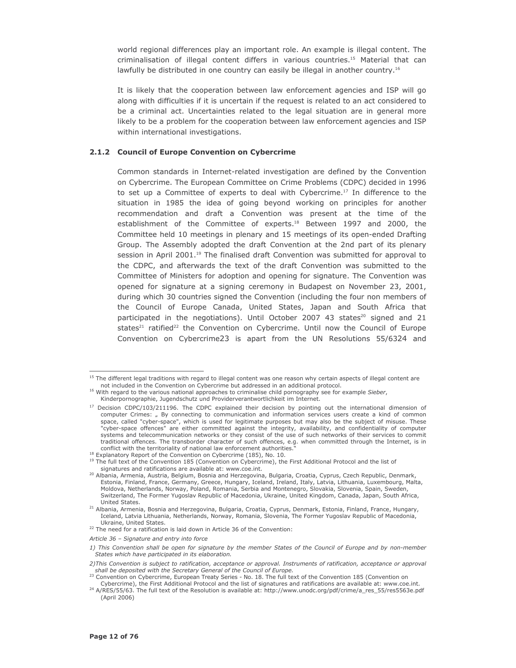world regional differences play an important role. An example is illegal content. The criminalisation of illegal content differs in various countries.<sup>15</sup> Material that can lawfully be distributed in one country can easily be illegal in another country.<sup>16</sup>

It is likely that the cooperation between law enforcement agencies and ISP will go along with difficulties if it is uncertain if the request is related to an act considered to be a criminal act. Uncertainties related to the legal situation are in general more likely to be a problem for the cooperation between law enforcement agencies and ISP within international investigations.

#### 2.1.2 Council of Europe Convention on Cybercrime

Common standards in Internet-related investigation are defined by the Convention on Cybercrime. The European Committee on Crime Problems (CDPC) decided in 1996 to set up a Committee of experts to deal with Cybercrime.<sup>17</sup> In difference to the situation in 1985 the idea of going beyond working on principles for another recommendation and draft a Convention was present at the time of the establishment of the Committee of experts.<sup>18</sup> Between 1997 and 2000, the Committee held 10 meetings in plenary and 15 meetings of its open-ended Drafting Group. The Assembly adopted the draft Convention at the 2nd part of its plenary session in April 2001.<sup>19</sup> The finalised draft Convention was submitted for approval to the CDPC, and afterwards the text of the draft Convention was submitted to the Committee of Ministers for adoption and opening for signature. The Convention was opened for signature at a signing ceremony in Budapest on November 23, 2001, during which 30 countries signed the Convention (including the four non members of the Council of Europe Canada, United States, Japan and South Africa that participated in the negotiations). Until October 2007 43 states<sup>20</sup> signed and 21 states<sup>21</sup> ratified<sup>22</sup> the Convention on Cybercrime. Until now the Council of Europe Convention on Cybercrime23 is apart from the UN Resolutions 55/6324 and

<sup>&</sup>lt;sup>15</sup> The different legal traditions with regard to illegal content was one reason why certain aspects of illegal content are not included in the Convention on Cybercrime but addressed in an additional protocol.

<sup>&</sup>lt;sup>16</sup> With regard to the various national approaches to criminalise child pornography see for example Sieber, Kinderpornographie, Jugendschutz und Providerverantwortlichkeit im Internet.

<sup>&</sup>lt;sup>17</sup> Decision CDPC/103/211196. The CDPC explained their decision by pointing out the international dimension of computer Crimes: " By connecting to communication and information services users create a kind of common space, called "cyber-space", which is used for legitimate purposes but may also be the subject of misuse. These "cyber-space offences" are either committed against the integrity, availability, and confidentiality of computer systems and telecommunication networks or they consist of the use of such networks of their services to commit traditional offences. The transborder character of such offences, e.g. when committed through the Internet, is in conflict with the territoriality of national law enforcement authorities.

<sup>&</sup>lt;sup>18</sup> Explanatory Report of the Convention on Cybercrime (185), No. 10.

<sup>&</sup>lt;sup>19</sup> The full text of the Convention 185 (Convention on Cybercrime), the First Additional Protocol and the list of signatures and ratifications are available at: www.coe.int.

<sup>&</sup>lt;sup>20</sup> Albania, Armenia, Austria, Belgium, Bosnia and Herzegovina, Bulgaria, Croatia, Cyprus, Czech Republic, Denmark, Estonia, Finland, France, Germany, Greece, Hungary, Iceland, Ireland, Italy, Latvia, Lithuania, Luxembourg, Malta, Moldova, Netherlands, Norway, Poland, Romania, Serbia and Montenegro, Slovakia, Slovenia, Spain, Sweden, Switzerland, The Former Yugoslav Republic of Macedonia, Ukraine, United Kingdom, Canada, Japan, South Africa, United States.

<sup>&</sup>lt;sup>21</sup> Albania, Armenia, Bosnia and Herzegovina, Bulgaria, Croatia, Cyprus, Denmark, Estonia, Finland, France, Hungary, Iceland, Latvia Lithuania, Netherlands, Norway, Romania, Slovenia, The Former Yugoslav Republic of Macedonia, Ukraine, United States.

<sup>&</sup>lt;sup>22</sup> The need for a ratification is laid down in Article 36 of the Convention:

Article 36 - Signature and entry into force

<sup>1)</sup> This Convention shall be open for signature by the member States of the Council of Europe and by non-member States which have participated in its elaboration.

<sup>2)</sup> This Convention is subject to ratification, acceptance or approval. Instruments of ratification, acceptance or approval shall be deposited with the Secretary General of the Council of Europe.

<sup>23</sup> Convention on Cybercrime, European Treaty Series - No. 18. The full text of the Convention 185 (Convention on Cybercrime), the First Additional Protocol and the list of signatures and ratifications are available at: www.coe.int.

<sup>&</sup>lt;sup>24</sup> A/RES/55/63. The full text of the Resolution is available at: http://www.unodc.org/pdf/crime/a\_res\_55/res5563e.pdf (April 2006)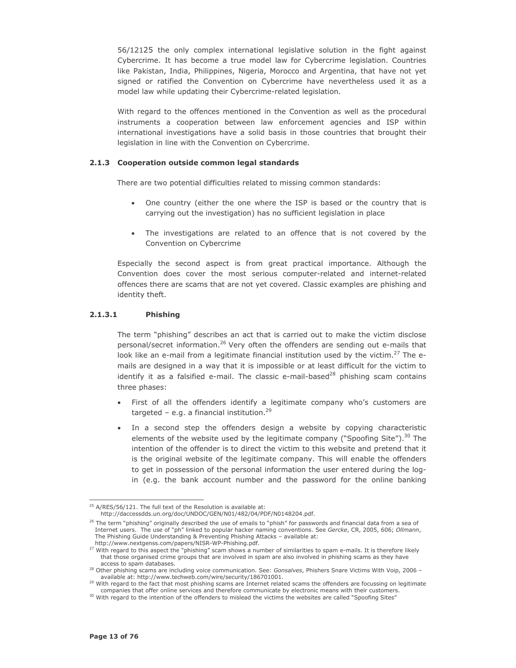56/12125 the only complex international legislative solution in the fight against Cybercrime. It has become a true model law for Cybercrime legislation. Countries like Pakistan, India, Philippines, Nigeria, Morocco and Argentina, that have not yet signed or ratified the Convention on Cybercrime have nevertheless used it as a model law while updating their Cybercrime-related legislation.

With regard to the offences mentioned in the Convention as well as the procedural instruments a cooperation between law enforcement agencies and ISP within international investigations have a solid basis in those countries that brought their legislation in line with the Convention on Cybercrime.

#### 2.1.3 Cooperation outside common legal standards

There are two potential difficulties related to missing common standards:

- One country (either the one where the ISP is based or the country that is carrying out the investigation) has no sufficient legislation in place
- The investigations are related to an offence that is not covered by the Convention on Cybercrime

Especially the second aspect is from great practical importance. Although the Convention does cover the most serious computer-related and internet-related offences there are scams that are not yet covered. Classic examples are phishing and identity theft.

#### $2.1.3.1$ **Phishing**

The term "phishing" describes an act that is carried out to make the victim disclose personal/secret information.<sup>26</sup> Very often the offenders are sending out e-mails that look like an e-mail from a legitimate financial institution used by the victim.<sup>27</sup> The emails are designed in a way that it is impossible or at least difficult for the victim to identify it as a falsified e-mail. The classic e-mail-based<sup>28</sup> phishing scam contains three phases:

- First of all the offenders identify a legitimate company who's customers are targeted - e.g. a financial institution.<sup>29</sup>
- In a second step the offenders design a website by copying characteristic elements of the website used by the legitimate company ("Spoofing Site").<sup>30</sup> The intention of the offender is to direct the victim to this website and pretend that it is the original website of the legitimate company. This will enable the offenders to get in possession of the personal information the user entered during the login (e.g. the bank account number and the password for the online banking

<sup>&</sup>lt;sup>25</sup> A/RES/56/121. The full text of the Resolution is available at: http://daccessdds.un.org/doc/UNDOC/GEN/N01/482/04/PDF/N0148204.pdf.

<sup>&</sup>lt;sup>26</sup> The term "phishing" originally described the use of emails to "phish" for passwords and financial data from a sea of Internet users. The use of "ph" linked to popular hacker naming conventions. See Gercke, CR, 2005, 606; Ollmann, The Phishing Guide Understanding & Preventing Phishing Attacks - available at: http://www.nextgenss.com/papers/NISR-WP-Phishing.pdf.

<sup>27</sup> With regard to this aspect the "phishing" scam shows a number of similarities to spam e-mails. It is therefore likely that those organised crime groups that are involved in spam are also involved in phishing scams as they have access to spam databases.

<sup>&</sup>lt;sup>28</sup> Other phishing scams are including voice communication. See: Gonsalves, Phishers Snare Victims With Voip, 2006 available at: http://www.techweb.com/wire/security/186701001.

<sup>&</sup>lt;sup>29</sup> With regard to the fact that most phishing scams are Internet related scams the offenders are focussing on legitimate companies that offer online services and therefore communicate by electronic means with their customers.

<sup>30</sup> With regard to the intention of the offenders to mislead the victims the websites are called "Spoofing Sites"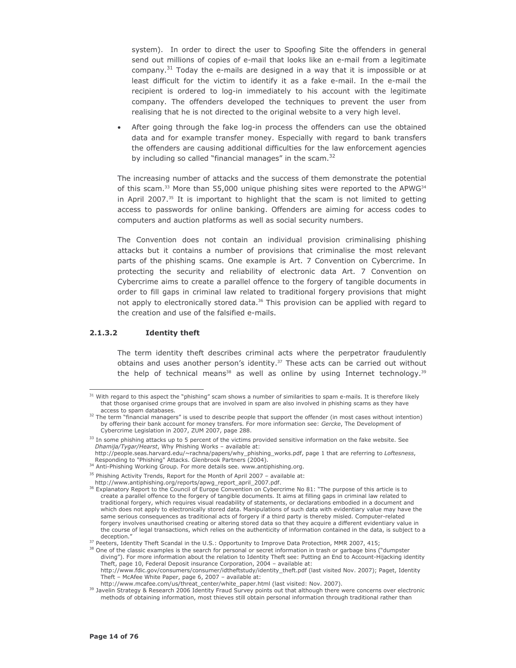system). In order to direct the user to Spoofing Site the offenders in general send out millions of copies of e-mail that looks like an e-mail from a legitimate company.<sup>31</sup> Today the e-mails are designed in a way that it is impossible or at least difficult for the victim to identify it as a fake e-mail. In the e-mail the recipient is ordered to log-in immediately to his account with the legitimate company. The offenders developed the techniques to prevent the user from realising that he is not directed to the original website to a very high level.

After going through the fake log-in process the offenders can use the obtained data and for example transfer money. Especially with regard to bank transfers the offenders are causing additional difficulties for the law enforcement agencies by including so called "financial manages" in the scam.<sup>32</sup>

The increasing number of attacks and the success of them demonstrate the potential of this scam.<sup>33</sup> More than 55,000 unique phishing sites were reported to the APWG<sup>34</sup> in April 2007.<sup>35</sup> It is important to highlight that the scam is not limited to getting access to passwords for online banking. Offenders are aiming for access codes to computers and auction platforms as well as social security numbers.

The Convention does not contain an individual provision criminalising phishing attacks but it contains a number of provisions that criminalise the most relevant parts of the phishing scams. One example is Art. 7 Convention on Cybercrime. In protecting the security and reliability of electronic data Art. 7 Convention on Cybercrime aims to create a parallel offence to the forgery of tangible documents in order to fill gaps in criminal law related to traditional forgery provisions that might not apply to electronically stored data.<sup>36</sup> This provision can be applied with regard to the creation and use of the falsified e-mails.

#### $2.1.3.2$ **Identity theft**

The term identity theft describes criminal acts where the perpetrator fraudulently obtains and uses another person's identity.<sup>37</sup> These acts can be carried out without the help of technical means<sup>38</sup> as well as online by using Internet technology.<sup>39</sup>

<sup>&</sup>lt;sup>31</sup> With regard to this aspect the "phishing" scam shows a number of similarities to spam e-mails. It is therefore likely that those organised crime groups that are involved in spam are also involved in phishing scams as they have access to spam databases.

<sup>&</sup>lt;sup>32</sup> The term "financial managers" is used to describe people that support the offender (in most cases without intention) by offering their bank account for money transfers. For more information see: Gercke, The Development of Cybercrime Legislation in 2007, ZUM 2007, page 288.

<sup>&</sup>lt;sup>33</sup> In some phishing attacks up to 5 percent of the victims provided sensitive information on the fake website. See Dhamija/Tygar/Hearst, Why Phishing Works - available at:

http://people.seas.harvard.edu/~rachna/papers/why\_phishing\_works.pdf, page 1 that are referring to Loftesness, Responding to "Phishing" Attacks. Glenbrook Partners (2004).

<sup>34</sup> Anti-Phishing Working Group. For more details see. www.antiphishing.org.

<sup>&</sup>lt;sup>35</sup> Phishing Activity Trends, Report for the Month of April 2007 - available at:

http://www.antiphishing.org/reports/apwg\_report\_april\_2007.pdf.

<sup>&</sup>lt;sup>36</sup> Explanatory Report to the Council of Europe Convention on Cybercrime No 81: "The purpose of this article is to create a parallel offence to the forgery of tangible documents. It aims at filling gaps in criminal law related to traditional forgery, which requires visual readability of statements, or declarations embodied in a document and which does not apply to electronically stored data. Manipulations of such data with evidentiary value may have the same serious consequences as traditional acts of forgery if a third party is thereby misled. Computer-related forgery involves unauthorised creating or altering stored data so that they acquire a different evidentiary value in the course of legal transactions, which relies on the authenticity of information contained in the data, is subject to a deception."

<sup>&</sup>lt;sup>37</sup> Peeters, Identity Theft Scandal in the U.S.: Opportunity to Improve Data Protection, MMR 2007, 415;

<sup>&</sup>lt;sup>38</sup> One of the classic examples is the search for personal or secret information in trash or garbage bins ("dumpster diving"). For more information about the relation to Identity Theft see: Putting an End to Account-Hijacking identity Theft, page 10, Federal Deposit insurance Corporation, 2004 - available at:

http://www.fdic.gov/consumers/consumer/idtheftstudy/identity\_theft.pdf (last visited Nov. 2007); Paget, Identity Theft – McAfee White Paper, page 6, 2007 – available at:<br>Theft – McAfee White Paper, page 6, 2007 – available at:<br>http://www.mcafee.com/us/threat\_center/white\_paper.html (last visited: Nov. 2007).

<sup>&</sup>lt;sup>39</sup> Javelin Strategy & Research 2006 Identity Fraud Survey points out that although there were concerns over electronic methods of obtaining information, most thieves still obtain personal information through traditional rather than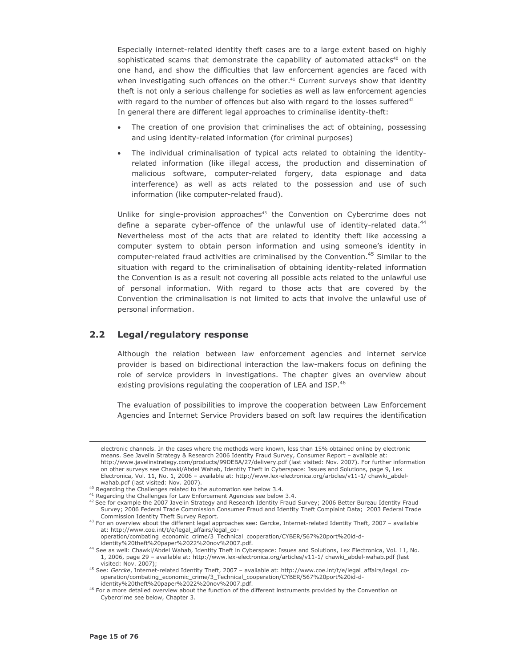Especially internet-related identity theft cases are to a large extent based on highly sophisticated scams that demonstrate the capability of automated attacks<sup>40</sup> on the one hand, and show the difficulties that law enforcement agencies are faced with when investigating such offences on the other.<sup>41</sup> Current surveys show that identity theft is not only a serious challenge for societies as well as law enforcement agencies with regard to the number of offences but also with regard to the losses suffered<sup>42</sup> In general there are different legal approaches to criminalise identity-theft:

- The creation of one provision that criminalises the act of obtaining, possessing and using identity-related information (for criminal purposes)
- The individual criminalisation of typical acts related to obtaining the identityrelated information (like illegal access, the production and dissemination of malicious software, computer-related forgery, data espionage and data interference) as well as acts related to the possession and use of such information (like computer-related fraud).

Unlike for single-provision approaches<sup>43</sup> the Convention on Cybercrime does not define a separate cyber-offence of the unlawful use of identity-related data.<sup>44</sup> Nevertheless most of the acts that are related to identity theft like accessing a computer system to obtain person information and using someone's identity in computer-related fraud activities are criminalised by the Convention.<sup>45</sup> Similar to the situation with regard to the criminalisation of obtaining identity-related information the Convention is as a result not covering all possible acts related to the unlawful use of personal information. With regard to those acts that are covered by the Convention the criminalisation is not limited to acts that involve the unlawful use of personal information.

#### $2.2$ Legal/regulatory response

Although the relation between law enforcement agencies and internet service provider is based on bidirectional interaction the law-makers focus on defining the role of service providers in investigations. The chapter gives an overview about existing provisions regulating the cooperation of LEA and ISP.<sup>46</sup>

The evaluation of possibilities to improve the cooperation between Law Enforcement Agencies and Internet Service Providers based on soft law requires the identification

electronic channels. In the cases where the methods were known, less than 15% obtained online by electronic means. See Javelin Strategy & Research 2006 Identity Fraud Survey, Consumer Report - available at: http://www.javelinstrategy.com/products/99DEBA/27/delivery.pdf (last visited: Nov. 2007). For further information on other surveys see Chawki/Abdel Wahab, Identity Theft in Cyberspace: Issues and Solutions, page 9, Lex Electronica, Vol. 11, No. 1, 2006 - available at: http://www.lex-electronica.org/articles/v11-1/ chawki\_abdelwahab.pdf (last visited: Nov. 2007).

<sup>&</sup>lt;sup>40</sup> Regarding the Challenges related to the automation see below 3.4.

<sup>&</sup>lt;sup>41</sup> Regarding the Challenges for Law Enforcement Agencies see below 3.4.

<sup>&</sup>lt;sup>42</sup> See for example the 2007 Javelin Strategy and Research Identity Fraud Survey; 2006 Better Bureau Identity Fraud Survey; 2006 Federal Trade Commission Consumer Fraud and Identity Theft Complaint Data; 2003 Federal Trade Commission Identity Theft Survey Report.

 $43$  For an overview about the different legal approaches see: Gercke, Internet-related Identity Theft, 2007 - available at: http://www.coe.int/t/e/legal\_affairs/legal\_co-

operation/combating\_economic\_crime/3\_Technical\_cooperation/CYBER/567%20port%20id-didentity%20theft%20paper%2022%20nov%2007.pdf.

<sup>&</sup>lt;sup>44</sup> See as well: Chawki/Abdel Wahab, Identity Theft in Cyberspace: Issues and Solutions, Lex Electronica, Vol. 11, No. 1, 2006, page 29 - available at: http://www.lex-electronica.org/articles/v11-1/ chawki\_abdel-wahab.pdf (last visited: Nov. 2007);

<sup>&</sup>lt;sup>45</sup> See: Gercke, Internet-related Identity Theft, 2007 - available at: http://www.coe.int/t/e/legal\_affairs/legal\_coout Decition/combating\_economic\_crime/3\_Technical\_cooperation/CYBER/567%20port%20id-didentity%20theft%20paper%2022%20nov%2007.pdf.

<sup>&</sup>lt;sup>46</sup> For a more detailed overview about the function of the different instruments provided by the Convention on Cybercrime see below, Chapter 3.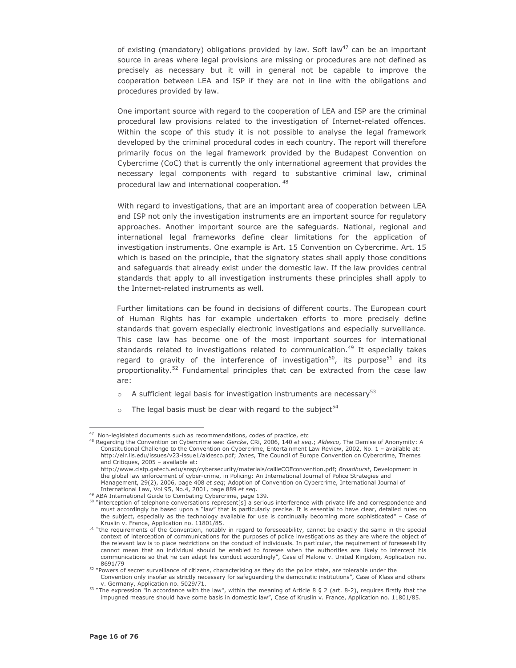of existing (mandatory) obligations provided by law. Soft law<sup>47</sup> can be an important source in areas where legal provisions are missing or procedures are not defined as precisely as necessary but it will in general not be capable to improve the cooperation between LEA and ISP if they are not in line with the obligations and procedures provided by law.

One important source with regard to the cooperation of LEA and ISP are the criminal procedural law provisions related to the investigation of Internet-related offences. Within the scope of this study it is not possible to analyse the legal framework developed by the criminal procedural codes in each country. The report will therefore primarily focus on the legal framework provided by the Budapest Convention on Cybercrime (CoC) that is currently the only international agreement that provides the necessary legal components with regard to substantive criminal law, criminal procedural law and international cooperation.<sup>48</sup>

With regard to investigations, that are an important area of cooperation between LEA and ISP not only the investigation instruments are an important source for regulatory approaches. Another important source are the safeguards. National, regional and international legal frameworks define clear limitations for the application of investigation instruments. One example is Art. 15 Convention on Cybercrime. Art. 15 which is based on the principle, that the signatory states shall apply those conditions and safeguards that already exist under the domestic law. If the law provides central standards that apply to all investigation instruments these principles shall apply to the Internet-related instruments as well.

Further limitations can be found in decisions of different courts. The European court of Human Rights has for example undertaken efforts to more precisely define standards that govern especially electronic investigations and especially surveillance. This case law has become one of the most important sources for international standards related to investigations related to communication.<sup>49</sup> It especially takes regard to gravity of the interference of investigation<sup>50</sup>, its purpose<sup>51</sup> and its proportionality.<sup>52</sup> Fundamental principles that can be extracted from the case law are:

- $\circ$  A sufficient legal basis for investigation instruments are necessary<sup>53</sup>
- The legal basis must be clear with regard to the subject<sup>54</sup>

<sup>&</sup>lt;sup>47</sup> Non-leaislated documents such as recommendations, codes of practice, etc

<sup>&</sup>lt;sup>48</sup> Regarding the Convention on Cybercrime see: Gercke, CRi, 2006, 140 et seq.; Aldesco, The Demise of Anonymity: A Constitutional Challenge to the Convention on Cybercrime, Entertainment Law Review, 2002, No. 1 - available at: http://elr.lls.edu/issues/v23-issue1/aldesco.pdf; Jones, The Council of Europe Convention on Cybercrime, Themes and Critiques, 2005 - available at:

http://www.cistp.gatech.edu/snsp/cybersecurity/materials/callieCOEconvention.pdf; Broadhurst, Development in the global law enforcement of cyber-crime, in Policing: An International Journal of Police Strategies and Management, 29(2), 2006, page 408 et seq; Adoption of Convention on Cybercrime, International Journal of International Law, Vol 95, No.4, 2001, page 889 et seq.

<sup>49</sup> ABA International Guide to Combating Cybercrime, page 139.

 $\frac{50 \text{ NLO}}{20 \text{ NLO}}$  interception of telephone conversations represent[s] a serious interference with private life and correspondence and must accordingly be based upon a "law" that is particularly precise. It is essential to have clear, detailed rules on the subject, especially as the technology available for use is continually becoming more sophisticated" - Case of Kruslin v. France, Application no. 11801/85.

<sup>&</sup>lt;sup>51</sup> "the requirements of the Convention, notably in regard to foreseeability, cannot be exactly the same in the special context of interception of communications for the purposes of police investigations as they are where the object of the relevant law is to place restrictions on the conduct of individuals. In particular, the requirement of foreseeability cannot mean that an individual should be enabled to foresee when the authorities are likely to intercept his communications so that he can adapt his conduct accordingly", Case of Malone v. United Kingdom, Application no. 8691/79

<sup>52 &</sup>quot;Powers of secret surveillance of citizens, characterising as they do the police state, are tolerable under the Convention only insofar as strictly necessary for safeguarding the democratic institutions", Case of Klass and others v. Germany, Application no. 5029/71.

 $53$  "The expression "in accordance with the law", within the meaning of Article 8 § 2 (art. 8-2), requires firstly that the impugned measure should have some basis in domestic law", Case of Kruslin v. France, Application no. 11801/85.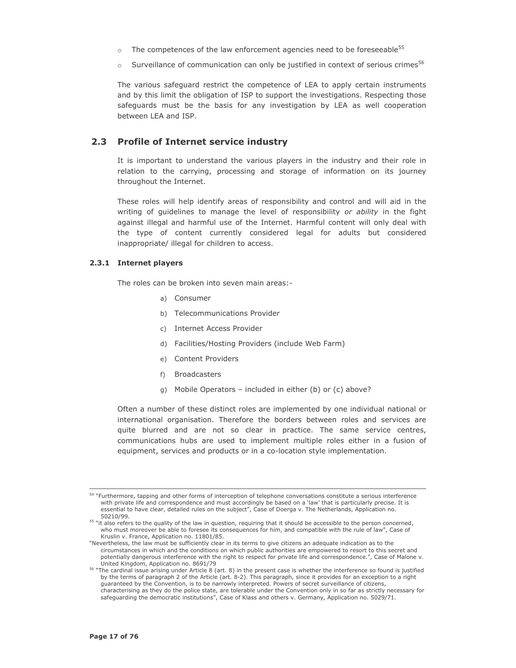- $\circ$  The competences of the law enforcement agencies need to be foreseeable<sup>55</sup>
- Surveillance of communication can only be justified in context of serious crimes<sup>56</sup>  $\sim$

The various safeguard restrict the competence of LEA to apply certain instruments and by this limit the obligation of ISP to support the investigations. Respecting those safeguards must be the basis for any investigation by LEA as well cooperation between LEA and ISP.

### 2.3 Profile of Internet service industry

It is important to understand the various players in the industry and their role in relation to the carrying, processing and storage of information on its journey throughout the Internet.

These roles will help identify areas of responsibility and control and will aid in the writing of quidelines to manage the level of responsibility or ability in the fight against illegal and harmful use of the Internet. Harmful content will only deal with the type of content currently considered legal for adults but considered inappropriate/ illegal for children to access.

#### 2.3.1 Internet players

The roles can be broken into seven main areas:-

- a) Consumer
- b) Telecommunications Provider
- c) Internet Access Provider
- d) Facilities/Hosting Providers (include Web Farm)
- e) Content Providers
- f) Broadcasters
- g) Mobile Operators included in either (b) or (c) above?

Often a number of these distinct roles are implemented by one individual national or international organisation. Therefore the borders between roles and services are quite blurred and are not so clear in practice. The same service centres, communications hubs are used to implement multiple roles either in a fusion of equipment, services and products or in a co-location style implementation.

<sup>&</sup>lt;sup>54</sup> "Furthermore, tapping and other forms of interception of telephone conversations constitute a serious interference with private life and correspondence and must accordingly be based on a 'law' that is particularly precise. It is essential to have clear, detailed rules on the subject", Case of Doerga v. The Netherlands, Application no. 50210/99.

<sup>&</sup>lt;sup>55</sup> "it also refers to the quality of the law in question, requiring that it should be accessible to the person concerned, who must moreover be able to foresee its consequences for him, and compatible with the rule of law", Case of Kruslin v. France, Application no. 11801/85.

<sup>&</sup>quot;Nevertheless, the law must be sufficiently clear in its terms to give citizens an adequate indication as to the circumstances in which and the conditions on which public authorities are empowered to resort to this secret and potentially dangerous interference with the right to respect for private life and correspondence.", Case of Malone v. United Kingdom, Application no. 8691/79

<sup>&</sup>lt;sup>56</sup> "The cardinal issue arising under Article 8 (art. 8) in the present case is whether the interference so found is justified by the terms of paragraph 2 of the Article (art. 8-2). This paragraph, since it provides for an exception to a right quaranteed by the Convention, is to be narrowly interpreted. Powers of secret surveillance of citizens, characterising as they do the police state, are tolerable under the Convention only in so far as strictly necessary for safeguarding the democratic institutions", Case of Klass and others v. Germany, Application no. 5029/71.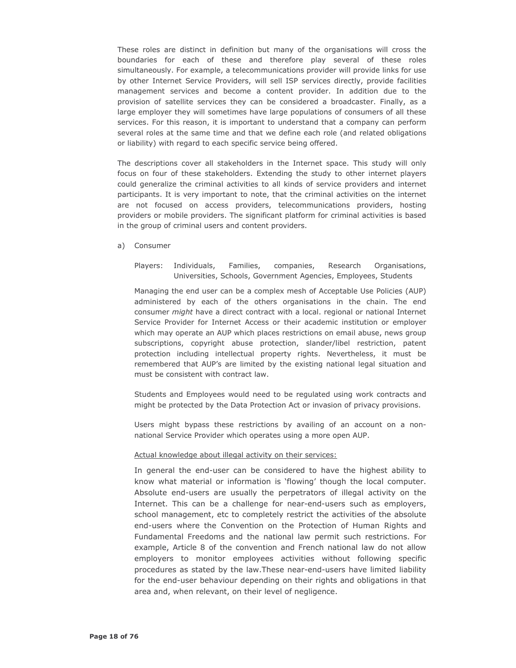These roles are distinct in definition but many of the organisations will cross the boundaries for each of these and therefore play several of these roles simultaneously. For example, a telecommunications provider will provide links for use by other Internet Service Providers, will sell ISP services directly, provide facilities management services and become a content provider. In addition due to the provision of satellite services they can be considered a broadcaster. Finally, as a large employer they will sometimes have large populations of consumers of all these services. For this reason, it is important to understand that a company can perform several roles at the same time and that we define each role (and related obligations or liability) with regard to each specific service being offered.

The descriptions cover all stakeholders in the Internet space. This study will only focus on four of these stakeholders. Extending the study to other internet players could generalize the criminal activities to all kinds of service providers and internet participants. It is very important to note, that the criminal activities on the internet are not focused on access providers, telecommunications providers, hosting providers or mobile providers. The significant platform for criminal activities is based in the group of criminal users and content providers.

a) Consumer

Players: Individuals, Families, companies, Research Organisations, Universities, Schools, Government Agencies, Employees, Students

Managing the end user can be a complex mesh of Acceptable Use Policies (AUP) administered by each of the others organisations in the chain. The end consumer might have a direct contract with a local. regional or national Internet Service Provider for Internet Access or their academic institution or employer which may operate an AUP which places restrictions on email abuse, news group subscriptions, copyright abuse protection, slander/libel restriction, patent protection including intellectual property rights. Nevertheless, it must be remembered that AUP's are limited by the existing national legal situation and must be consistent with contract law.

Students and Employees would need to be regulated using work contracts and might be protected by the Data Protection Act or invasion of privacy provisions.

Users might bypass these restrictions by availing of an account on a nonnational Service Provider which operates using a more open AUP.

#### Actual knowledge about illegal activity on their services:

In general the end-user can be considered to have the highest ability to know what material or information is 'flowing' though the local computer. Absolute end-users are usually the perpetrators of illegal activity on the Internet. This can be a challenge for near-end-users such as employers, school management, etc to completely restrict the activities of the absolute end-users where the Convention on the Protection of Human Rights and Fundamental Freedoms and the national law permit such restrictions. For example, Article 8 of the convention and French national law do not allow employers to monitor employees activities without following specific procedures as stated by the law. These near-end-users have limited liability for the end-user behaviour depending on their rights and obligations in that area and, when relevant, on their level of negligence.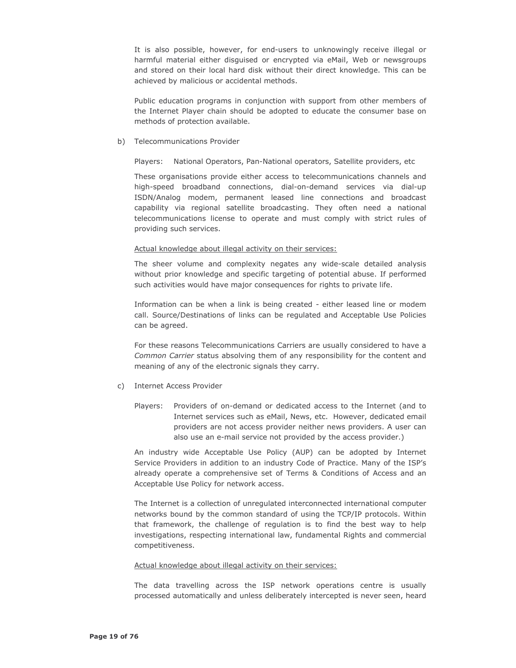It is also possible, however, for end-users to unknowingly receive illegal or harmful material either disquised or encrypted via eMail, Web or newsgroups and stored on their local hard disk without their direct knowledge. This can be achieved by malicious or accidental methods.

Public education programs in conjunction with support from other members of the Internet Player chain should be adopted to educate the consumer base on methods of protection available.

#### b) Telecommunications Provider

Players: National Operators, Pan-National operators, Satellite providers, etc

These organisations provide either access to telecommunications channels and high-speed broadband connections, dial-on-demand services via dial-up ISDN/Analog modem, permanent leased line connections and broadcast capability via regional satellite broadcasting. They often need a national telecommunications license to operate and must comply with strict rules of providing such services.

### Actual knowledge about illegal activity on their services:

The sheer volume and complexity negates any wide-scale detailed analysis without prior knowledge and specific targeting of potential abuse. If performed such activities would have major consequences for rights to private life.

Information can be when a link is being created - either leased line or modem call. Source/Destinations of links can be regulated and Acceptable Use Policies can be agreed.

For these reasons Telecommunications Carriers are usually considered to have a Common Carrier status absolving them of any responsibility for the content and meaning of any of the electronic signals they carry.

### c) Internet Access Provider

Players: Providers of on-demand or dedicated access to the Internet (and to Internet services such as eMail, News, etc. However, dedicated email providers are not access provider neither news providers. A user can also use an e-mail service not provided by the access provider.)

An industry wide Acceptable Use Policy (AUP) can be adopted by Internet Service Providers in addition to an industry Code of Practice. Many of the ISP's already operate a comprehensive set of Terms & Conditions of Access and an Acceptable Use Policy for network access.

The Internet is a collection of unregulated interconnected international computer networks bound by the common standard of using the TCP/IP protocols. Within that framework, the challenge of regulation is to find the best way to help investigations, respecting international law, fundamental Rights and commercial competitiveness.

### Actual knowledge about illegal activity on their services:

The data travelling across the ISP network operations centre is usually processed automatically and unless deliberately intercepted is never seen, heard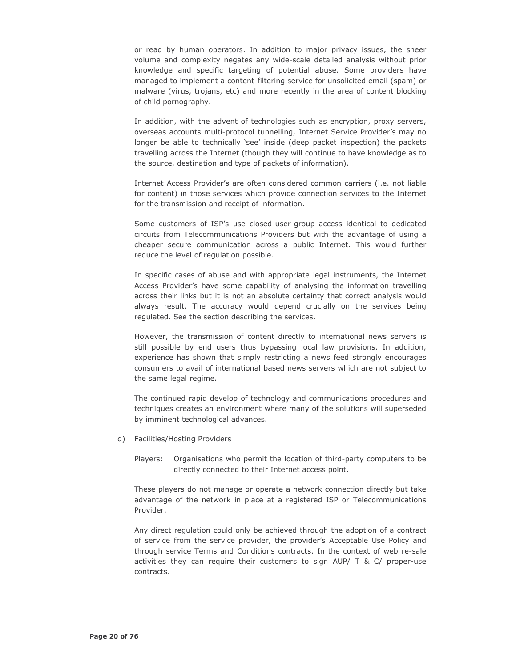or read by human operators. In addition to major privacy issues, the sheer volume and complexity negates any wide-scale detailed analysis without prior knowledge and specific targeting of potential abuse. Some providers have managed to implement a content-filtering service for unsolicited email (spam) or malware (virus, trojans, etc) and more recently in the area of content blocking of child pornography.

In addition, with the advent of technologies such as encryption, proxy servers, overseas accounts multi-protocol tunnelling, Internet Service Provider's may no longer be able to technically 'see' inside (deep packet inspection) the packets travelling across the Internet (though they will continue to have knowledge as to the source, destination and type of packets of information).

Internet Access Provider's are often considered common carriers (i.e. not liable for content) in those services which provide connection services to the Internet for the transmission and receipt of information.

Some customers of ISP's use closed-user-group access identical to dedicated circuits from Telecommunications Providers but with the advantage of using a cheaper secure communication across a public Internet. This would further reduce the level of regulation possible.

In specific cases of abuse and with appropriate legal instruments, the Internet Access Provider's have some capability of analysing the information travelling across their links but it is not an absolute certainty that correct analysis would always result. The accuracy would depend crucially on the services being regulated. See the section describing the services.

However, the transmission of content directly to international news servers is still possible by end users thus bypassing local law provisions. In addition, experience has shown that simply restricting a news feed strongly encourages consumers to avail of international based news servers which are not subject to the same legal regime.

The continued rapid develop of technology and communications procedures and techniques creates an environment where many of the solutions will superseded by imminent technological advances.

- d) Facilities/Hosting Providers
	- Players: Organisations who permit the location of third-party computers to be directly connected to their Internet access point.

These players do not manage or operate a network connection directly but take advantage of the network in place at a registered ISP or Telecommunications Provider.

Any direct regulation could only be achieved through the adoption of a contract of service from the service provider, the provider's Acceptable Use Policy and through service Terms and Conditions contracts. In the context of web re-sale activities they can require their customers to sign AUP/ T & C/ proper-use contracts.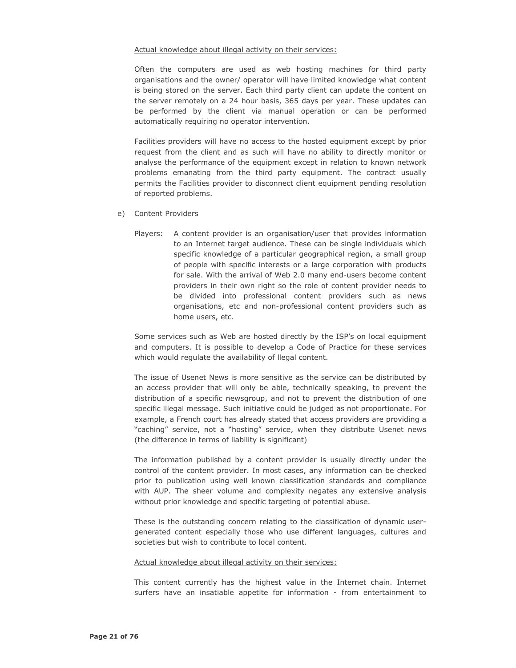#### Actual knowledge about illegal activity on their services:

Often the computers are used as web hosting machines for third party organisations and the owner/ operator will have limited knowledge what content is being stored on the server. Each third party client can update the content on the server remotely on a 24 hour basis, 365 days per year. These updates can be performed by the client via manual operation or can be performed automatically requiring no operator intervention.

Facilities providers will have no access to the hosted equipment except by prior request from the client and as such will have no ability to directly monitor or analyse the performance of the equipment except in relation to known network problems emanating from the third party equipment. The contract usually permits the Facilities provider to disconnect client equipment pending resolution of reported problems.

- e) Content Providers
	- Players: A content provider is an organisation/user that provides information to an Internet target audience. These can be single individuals which specific knowledge of a particular geographical region, a small group of people with specific interests or a large corporation with products for sale. With the arrival of Web 2.0 many end-users become content providers in their own right so the role of content provider needs to be divided into professional content providers such as news organisations, etc and non-professional content providers such as home users, etc.

Some services such as Web are hosted directly by the ISP's on local equipment and computers. It is possible to develop a Code of Practice for these services which would regulate the availability of llegal content.

The issue of Usenet News is more sensitive as the service can be distributed by an access provider that will only be able, technically speaking, to prevent the distribution of a specific newsgroup, and not to prevent the distribution of one specific illegal message. Such initiative could be judged as not proportionate. For example, a French court has already stated that access providers are providing a "caching" service, not a "hosting" service, when they distribute Usenet news (the difference in terms of liability is significant)

The information published by a content provider is usually directly under the control of the content provider. In most cases, any information can be checked prior to publication using well known classification standards and compliance with AUP. The sheer volume and complexity negates any extensive analysis without prior knowledge and specific targeting of potential abuse.

These is the outstanding concern relating to the classification of dynamic usergenerated content especially those who use different languages, cultures and societies but wish to contribute to local content.

### Actual knowledge about illegal activity on their services:

This content currently has the highest value in the Internet chain. Internet surfers have an insatiable appetite for information - from entertainment to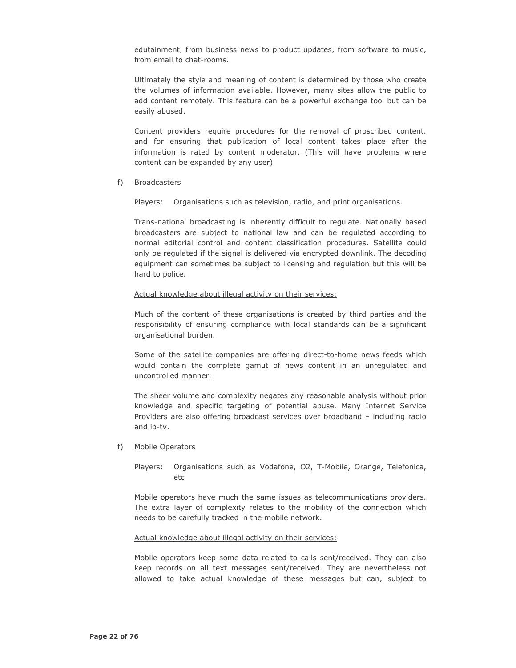edutainment, from business news to product updates, from software to music, from email to chat-rooms.

Ultimately the style and meaning of content is determined by those who create the volumes of information available. However, many sites allow the public to add content remotely. This feature can be a powerful exchange tool but can be easily abused.

Content providers require procedures for the removal of proscribed content. and for ensuring that publication of local content takes place after the information is rated by content moderator. (This will have problems where content can be expanded by any user)

f) Broadcasters

Plavers: Organisations such as television, radio, and print organisations.

Trans-national broadcasting is inherently difficult to regulate. Nationally based broadcasters are subject to national law and can be regulated according to normal editorial control and content classification procedures. Satellite could only be regulated if the signal is delivered via encrypted downlink. The decoding equipment can sometimes be subject to licensing and regulation but this will be hard to police.

#### Actual knowledge about illegal activity on their services:

Much of the content of these organisations is created by third parties and the responsibility of ensuring compliance with local standards can be a significant organisational burden.

Some of the satellite companies are offering direct-to-home news feeds which would contain the complete gamut of news content in an unregulated and uncontrolled manner.

The sheer volume and complexity negates any reasonable analysis without prior knowledge and specific targeting of potential abuse. Many Internet Service Providers are also offering broadcast services over broadband - including radio and ip-tv.

f) Mobile Operators

Players: Organisations such as Vodafone, O2, T-Mobile, Orange, Telefonica,  $_{\text{etc}}$ 

Mobile operators have much the same issues as telecommunications providers. The extra layer of complexity relates to the mobility of the connection which needs to be carefully tracked in the mobile network.

#### Actual knowledge about illegal activity on their services:

Mobile operators keep some data related to calls sent/received. They can also keep records on all text messages sent/received. They are nevertheless not allowed to take actual knowledge of these messages but can, subject to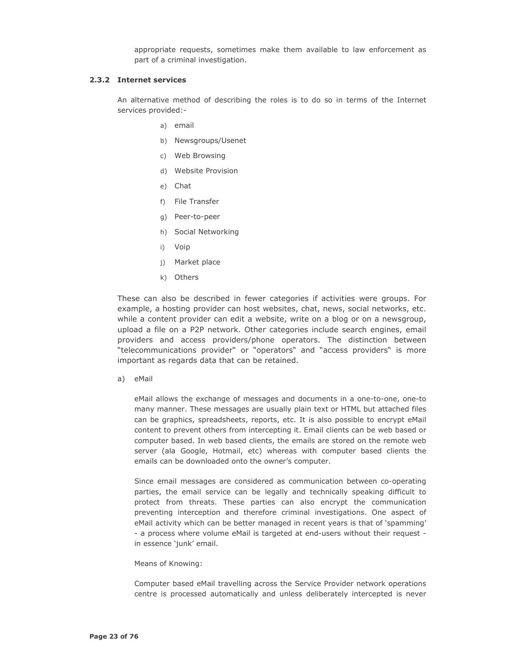appropriate requests, sometimes make them available to law enforcement as part of a criminal investigation.

### 2.3.2 Internet services

An alternative method of describing the roles is to do so in terms of the Internet services provided:-

- a) email
- b) Newsgroups/Usenet
- c) Web Browsing
- d) Website Provision
- e) Chat
- f) File Transfer
- g) Peer-to-peer
- h) Social Networking
- i) Voip
- i) Market place
- k) Others

These can also be described in fewer categories if activities were groups. For example, a hosting provider can host websites, chat, news, social networks, etc. while a content provider can edit a website, write on a blog or on a newsgroup, upload a file on a P2P network. Other categories include search engines, email providers and access providers/phone operators. The distinction between "telecommunications provider" or "operators" and "access providers" is more important as regards data that can be retained.

a) eMail

eMail allows the exchange of messages and documents in a one-to-one, one-to many manner. These messages are usually plain text or HTML but attached files can be graphics, spreadsheets, reports, etc. It is also possible to encrypt eMail content to prevent others from intercepting it. Email clients can be web based or computer based. In web based clients, the emails are stored on the remote web server (ala Google, Hotmail, etc) whereas with computer based clients the emails can be downloaded onto the owner's computer.

Since email messages are considered as communication between co-operating parties, the email service can be legally and technically speaking difficult to protect from threats. These parties can also encrypt the communication preventing interception and therefore criminal investigations. One aspect of eMail activity which can be better managed in recent years is that of 'spamming' - a process where volume eMail is targeted at end-users without their request in essence 'junk' email.

#### Means of Knowing:

Computer based eMail travelling across the Service Provider network operations centre is processed automatically and unless deliberately intercepted is never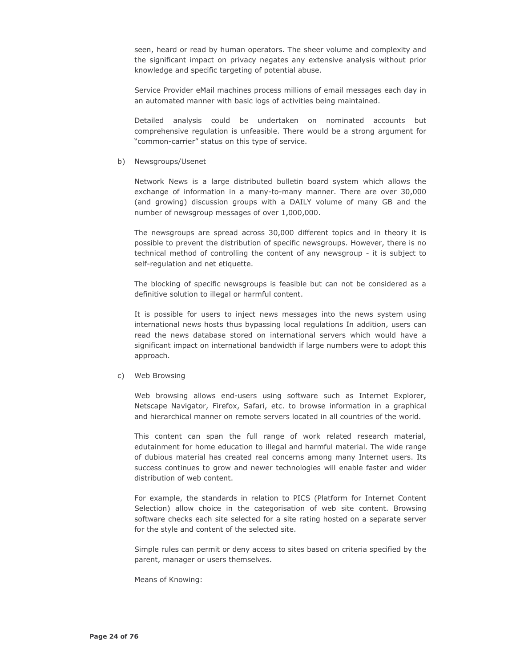seen, heard or read by human operators. The sheer volume and complexity and the significant impact on privacy negates any extensive analysis without prior knowledge and specific targeting of potential abuse.

Service Provider eMail machines process millions of email messages each day in an automated manner with basic logs of activities being maintained.

Detailed analysis could be undertaken on nominated accounts but comprehensive regulation is unfeasible. There would be a strong argument for "common-carrier" status on this type of service.

#### b) Newsgroups/Usenet

Network News is a large distributed bulletin board system which allows the exchange of information in a many-to-many manner. There are over 30,000 (and growing) discussion groups with a DAILY volume of many GB and the number of newsgroup messages of over 1,000,000.

The newsgroups are spread across 30,000 different topics and in theory it is possible to prevent the distribution of specific newsgroups. However, there is no technical method of controlling the content of any newsgroup - it is subject to self-regulation and net etiquette.

The blocking of specific newsgroups is feasible but can not be considered as a definitive solution to illegal or harmful content.

It is possible for users to inject news messages into the news system using international news hosts thus bypassing local regulations In addition, users can read the news database stored on international servers which would have a significant impact on international bandwidth if large numbers were to adopt this approach.

#### c) Web Browsing

Web browsing allows end-users using software such as Internet Explorer, Netscape Navigator, Firefox, Safari, etc. to browse information in a graphical and hierarchical manner on remote servers located in all countries of the world.

This content can span the full range of work related research material, edutainment for home education to illegal and harmful material. The wide range of dubious material has created real concerns among many Internet users. Its success continues to grow and newer technologies will enable faster and wider distribution of web content.

For example, the standards in relation to PICS (Platform for Internet Content Selection) allow choice in the categorisation of web site content. Browsing software checks each site selected for a site rating hosted on a separate server for the style and content of the selected site.

Simple rules can permit or deny access to sites based on criteria specified by the parent, manager or users themselves.

Means of Knowing: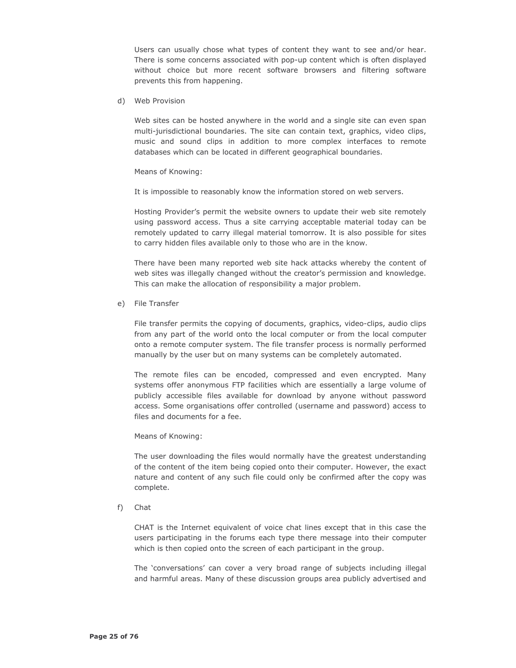Users can usually chose what types of content they want to see and/or hear. There is some concerns associated with pop-up content which is often displayed without choice but more recent software browsers and filtering software prevents this from happening.

d) Web Provision

Web sites can be hosted anywhere in the world and a single site can even span multi-jurisdictional boundaries. The site can contain text, graphics, video clips, music and sound clips in addition to more complex interfaces to remote databases which can be located in different geographical boundaries.

#### Means of Knowing:

It is impossible to reasonably know the information stored on web servers.

Hosting Provider's permit the website owners to update their web site remotely using password access. Thus a site carrying acceptable material today can be remotely updated to carry illegal material tomorrow. It is also possible for sites to carry hidden files available only to those who are in the know.

There have been many reported web site hack attacks whereby the content of web sites was illegally changed without the creator's permission and knowledge. This can make the allocation of responsibility a major problem.

### e) File Transfer

File transfer permits the copying of documents, graphics, video-clips, audio clips from any part of the world onto the local computer or from the local computer onto a remote computer system. The file transfer process is normally performed manually by the user but on many systems can be completely automated.

The remote files can be encoded, compressed and even encrypted. Many systems offer anonymous FTP facilities which are essentially a large volume of publicly accessible files available for download by anyone without password access. Some organisations offer controlled (username and password) access to files and documents for a fee.

### Means of Knowing:

The user downloading the files would normally have the greatest understanding of the content of the item being copied onto their computer. However, the exact nature and content of any such file could only be confirmed after the copy was complete.

f) Chat

CHAT is the Internet equivalent of voice chat lines except that in this case the users participating in the forums each type there message into their computer which is then copied onto the screen of each participant in the group.

The 'conversations' can cover a very broad range of subjects including illegal and harmful areas. Many of these discussion groups area publicly advertised and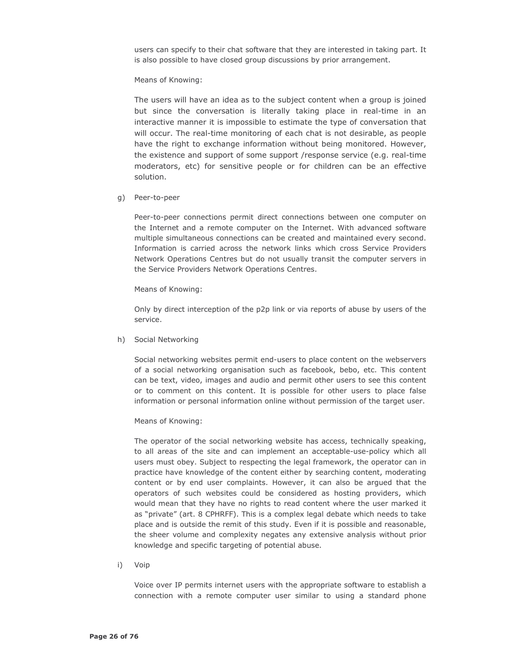users can specify to their chat software that they are interested in taking part. It is also possible to have closed group discussions by prior arrangement.

Means of Knowing:

The users will have an idea as to the subject content when a group is joined but since the conversation is literally taking place in real-time in an interactive manner it is impossible to estimate the type of conversation that will occur. The real-time monitoring of each chat is not desirable, as people have the right to exchange information without being monitored. However, the existence and support of some support /response service (e.g. real-time moderators, etc) for sensitive people or for children can be an effective solution.

g) Peer-to-peer

Peer-to-peer connections permit direct connections between one computer on the Internet and a remote computer on the Internet. With advanced software multiple simultaneous connections can be created and maintained every second. Information is carried across the network links which cross Service Providers Network Operations Centres but do not usually transit the computer servers in the Service Providers Network Operations Centres.

Means of Knowing:

Only by direct interception of the p2p link or via reports of abuse by users of the service.

h) Social Networking

Social networking websites permit end-users to place content on the webservers of a social networking organisation such as facebook, bebo, etc. This content can be text, video, images and audio and permit other users to see this content or to comment on this content. It is possible for other users to place false information or personal information online without permission of the target user.

### Means of Knowing:

The operator of the social networking website has access, technically speaking, to all areas of the site and can implement an acceptable-use-policy which all users must obey. Subject to respecting the legal framework, the operator can in practice have knowledge of the content either by searching content, moderating content or by end user complaints. However, it can also be argued that the operators of such websites could be considered as hosting providers, which would mean that they have no rights to read content where the user marked it as "private" (art. 8 CPHRFF). This is a complex legal debate which needs to take place and is outside the remit of this study. Even if it is possible and reasonable, the sheer volume and complexity negates any extensive analysis without prior knowledge and specific targeting of potential abuse.

i) Voip

Voice over IP permits internet users with the appropriate software to establish a connection with a remote computer user similar to using a standard phone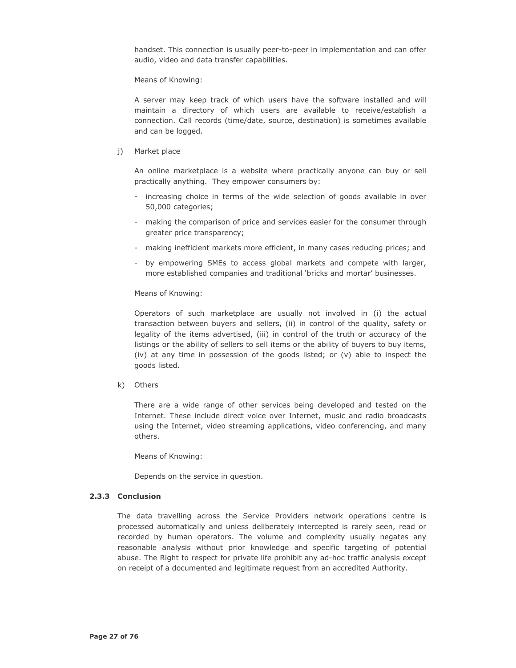handset. This connection is usually peer-to-peer in implementation and can offer audio, video and data transfer capabilities.

Means of Knowing:

A server may keep track of which users have the software installed and will maintain a directory of which users are available to receive/establish a connection. Call records (time/date, source, destination) is sometimes available and can be logged.

#### i) Market place

An online marketplace is a website where practically anyone can buy or sell practically anything. They empower consumers by:

- increasing choice in terms of the wide selection of goods available in over 50,000 categories;
- making the comparison of price and services easier for the consumer through greater price transparency;
- making inefficient markets more efficient, in many cases reducing prices; and
- by empowering SMEs to access global markets and compete with larger, more established companies and traditional 'bricks and mortar' businesses.

### Means of Knowing:

Operators of such marketplace are usually not involved in (i) the actual transaction between buyers and sellers, (ii) in control of the quality, safety or legality of the items advertised, (iii) in control of the truth or accuracy of the listings or the ability of sellers to sell items or the ability of buyers to buy items, (iv) at any time in possession of the goods listed; or (v) able to inspect the goods listed.

k) Others

There are a wide range of other services being developed and tested on the Internet. These include direct voice over Internet, music and radio broadcasts using the Internet, video streaming applications, video conferencing, and many others.

Means of Knowing:

Depends on the service in question.

### 2.3.3 Conclusion

The data travelling across the Service Providers network operations centre is processed automatically and unless deliberately intercepted is rarely seen, read or recorded by human operators. The volume and complexity usually negates any reasonable analysis without prior knowledge and specific targeting of potential abuse. The Right to respect for private life prohibit any ad-hoc traffic analysis except on receipt of a documented and legitimate request from an accredited Authority.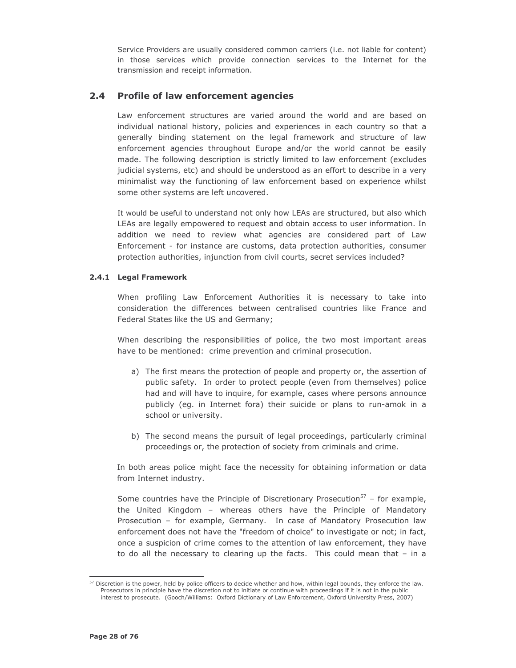Service Providers are usually considered common carriers (i.e. not liable for content) in those services which provide connection services to the Internet for the transmission and receipt information.

## 2.4 Profile of law enforcement agencies

Law enforcement structures are varied around the world and are based on individual national history, policies and experiences in each country so that a generally binding statement on the legal framework and structure of law enforcement agencies throughout Europe and/or the world cannot be easily made. The following description is strictly limited to law enforcement (excludes judicial systems, etc) and should be understood as an effort to describe in a very minimalist way the functioning of law enforcement based on experience whilst some other systems are left uncovered.

It would be useful to understand not only how LEAs are structured, but also which LEAs are legally empowered to request and obtain access to user information. In addition we need to review what agencies are considered part of Law Enforcement - for instance are customs, data protection authorities, consumer protection authorities, injunction from civil courts, secret services included?

### 2.4.1 Legal Framework

When profiling Law Enforcement Authorities it is necessary to take into consideration the differences between centralised countries like France and Federal States like the US and Germany;

When describing the responsibilities of police, the two most important areas have to be mentioned: crime prevention and criminal prosecution.

- a) The first means the protection of people and property or, the assertion of public safety. In order to protect people (even from themselves) police had and will have to inquire, for example, cases where persons announce publicly (eg. in Internet fora) their suicide or plans to run-amok in a school or university.
- b) The second means the pursuit of legal proceedings, particularly criminal proceedings or, the protection of society from criminals and crime.

In both areas police might face the necessity for obtaining information or data from Internet industry.

Some countries have the Principle of Discretionary Prosecution<sup>57</sup> - for example, the United Kingdom - whereas others have the Principle of Mandatory Prosecution - for example, Germany. In case of Mandatory Prosecution law enforcement does not have the "freedom of choice" to investigate or not; in fact, once a suspicion of crime comes to the attention of law enforcement, they have to do all the necessary to clearing up the facts. This could mean that  $-$  in a

<sup>&</sup>lt;sup>57</sup> Discretion is the power, held by police officers to decide whether and how, within legal bounds, they enforce the law. Prosecutors in principle have the discretion not to initiate or continue with proceedings if it is not in the public interest to prosecute. (Gooch/Williams: Oxford Dictionary of Law Enforcement, Oxford University Press, 2007)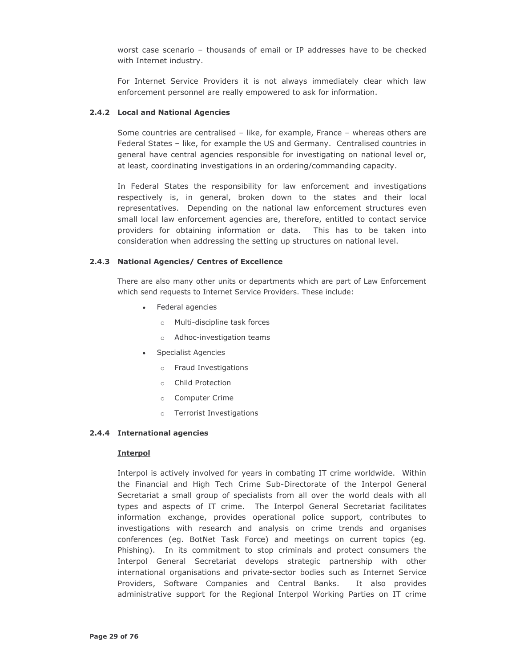worst case scenario - thousands of email or IP addresses have to be checked with Internet industry.

For Internet Service Providers it is not always immediately clear which law enforcement personnel are really empowered to ask for information.

### 2.4.2 Local and National Agencies

Some countries are centralised - like, for example, France - whereas others are Federal States - like, for example the US and Germany. Centralised countries in general have central agencies responsible for investigating on national level or, at least, coordinating investigations in an ordering/commanding capacity.

In Federal States the responsibility for law enforcement and investigations respectively is, in general, broken down to the states and their local representatives. Depending on the national law enforcement structures even small local law enforcement agencies are, therefore, entitled to contact service providers for obtaining information or data. This has to be taken into consideration when addressing the setting up structures on national level.

#### 2.4.3 National Agencies/ Centres of Excellence

There are also many other units or departments which are part of Law Enforcement which send requests to Internet Service Providers. These include:

- Federal agencies
	- o Multi-discipline task forces
	- o Adhoc-investigation teams
- Specialist Agencies
	- o Fraud Investigations
	- o Child Protection
	- o Computer Crime
	- o Terrorist Investigations

#### 2.4.4 International agencies

#### **Interpol**

Interpol is actively involved for years in combating IT crime worldwide. Within the Financial and High Tech Crime Sub-Directorate of the Interpol General Secretariat a small group of specialists from all over the world deals with all types and aspects of IT crime. The Interpol General Secretariat facilitates information exchange, provides operational police support, contributes to investigations with research and analysis on crime trends and organises conferences (eq. BotNet Task Force) and meetings on current topics (eq. Phishing). In its commitment to stop criminals and protect consumers the Interpol General Secretariat develops strategic partnership with other international organisations and private-sector bodies such as Internet Service Providers, Software Companies and Central Banks. It also provides administrative support for the Regional Interpol Working Parties on IT crime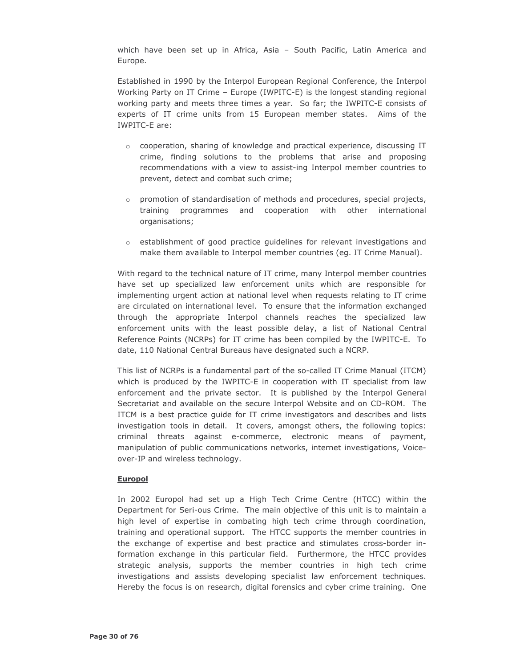which have been set up in Africa, Asia - South Pacific, Latin America and Europe.

Established in 1990 by the Interpol European Regional Conference, the Interpol Working Party on IT Crime - Europe (IWPITC-E) is the longest standing regional working party and meets three times a year. So far; the IWPITC-E consists of experts of IT crime units from 15 European member states. Aims of the IWPITC-E are:

- $\circ$  cooperation, sharing of knowledge and practical experience, discussing IT crime, finding solutions to the problems that arise and proposing recommendations with a view to assist-ing Interpol member countries to prevent, detect and combat such crime;
- o promotion of standardisation of methods and procedures, special projects, programmes and cooperation with other international training organisations;
- $\circ$  establishment of good practice guidelines for relevant investigations and make them available to Interpol member countries (eq. IT Crime Manual).

With regard to the technical nature of IT crime, many Interpol member countries have set up specialized law enforcement units which are responsible for implementing urgent action at national level when requests relating to IT crime are circulated on international level. To ensure that the information exchanged through the appropriate Interpol channels reaches the specialized law enforcement units with the least possible delay, a list of National Central Reference Points (NCRPs) for IT crime has been compiled by the IWPITC-E. To date, 110 National Central Bureaus have designated such a NCRP.

This list of NCRPs is a fundamental part of the so-called IT Crime Manual (ITCM) which is produced by the IWPITC-E in cooperation with IT specialist from law enforcement and the private sector. It is published by the Interpol General Secretariat and available on the secure Interpol Website and on CD-ROM. The ITCM is a best practice quide for IT crime investigators and describes and lists investigation tools in detail. It covers, amongst others, the following topics: criminal threats against e-commerce, electronic means of payment, manipulation of public communications networks, internet investigations, Voiceover-IP and wireless technology.

### **Europol**

In 2002 Europol had set up a High Tech Crime Centre (HTCC) within the Department for Seri-ous Crime. The main objective of this unit is to maintain a high level of expertise in combating high tech crime through coordination, training and operational support. The HTCC supports the member countries in the exchange of expertise and best practice and stimulates cross-border information exchange in this particular field. Furthermore, the HTCC provides strategic analysis, supports the member countries in high tech crime investigations and assists developing specialist law enforcement techniques. Hereby the focus is on research, digital forensics and cyber crime training. One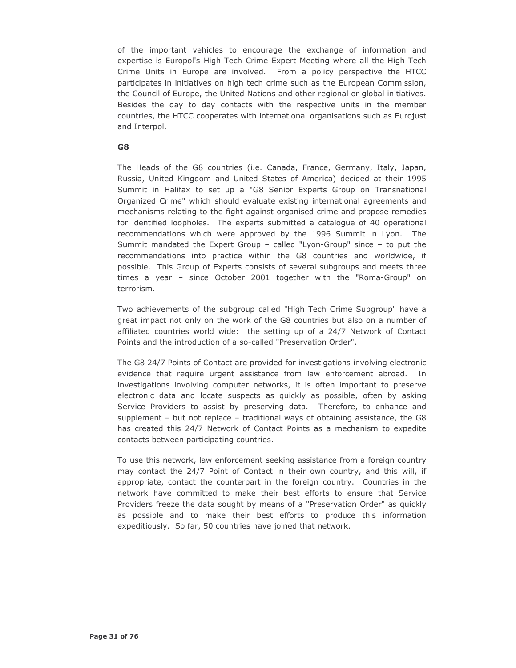of the important vehicles to encourage the exchange of information and expertise is Europol's High Tech Crime Expert Meeting where all the High Tech Crime Units in Europe are involved. From a policy perspective the HTCC participates in initiatives on high tech crime such as the European Commission, the Council of Europe, the United Nations and other regional or global initiatives. Besides the day to day contacts with the respective units in the member countries, the HTCC cooperates with international organisations such as Eurojust and Interpol.

# G8

The Heads of the G8 countries (i.e. Canada, France, Germany, Italy, Japan, Russia, United Kingdom and United States of America) decided at their 1995 Summit in Halifax to set up a "G8 Senior Experts Group on Transnational Organized Crime" which should evaluate existing international agreements and mechanisms relating to the fight against organised crime and propose remedies for identified loopholes. The experts submitted a catalogue of 40 operational recommendations which were approved by the 1996 Summit in Lyon. The Summit mandated the Expert Group - called "Lyon-Group" since - to put the recommendations into practice within the G8 countries and worldwide, if possible. This Group of Experts consists of several subgroups and meets three times a year - since October 2001 together with the "Roma-Group" on terrorism.

Two achievements of the subgroup called "High Tech Crime Subgroup" have a great impact not only on the work of the G8 countries but also on a number of affiliated countries world wide: the setting up of a 24/7 Network of Contact Points and the introduction of a so-called "Preservation Order".

The G8 24/7 Points of Contact are provided for investigations involving electronic evidence that require urgent assistance from law enforcement abroad. investigations involving computer networks, it is often important to preserve electronic data and locate suspects as quickly as possible, often by asking Service Providers to assist by preserving data. Therefore, to enhance and supplement - but not replace - traditional ways of obtaining assistance, the G8 has created this 24/7 Network of Contact Points as a mechanism to expedite contacts between participating countries.

To use this network, law enforcement seeking assistance from a foreign country may contact the 24/7 Point of Contact in their own country, and this will, if appropriate, contact the counterpart in the foreign country. Countries in the network have committed to make their best efforts to ensure that Service Providers freeze the data sought by means of a "Preservation Order" as quickly as possible and to make their best efforts to produce this information expeditiously. So far, 50 countries have joined that network.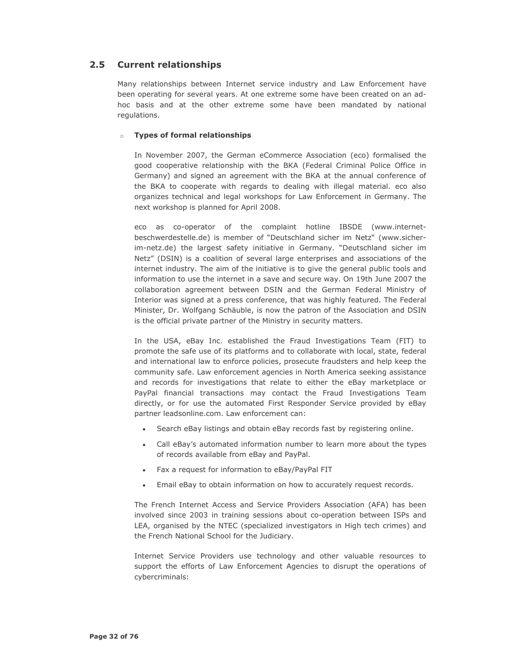#### $2.5$ **Current relationships**

Many relationships between Internet service industry and Law Enforcement have been operating for several years. At one extreme some have been created on an adhoc basis and at the other extreme some have been mandated by national regulations.

### **o** Types of formal relationships

In November 2007, the German eCommerce Association (eco) formalised the good cooperative relationship with the BKA (Federal Criminal Police Office in Germany) and signed an agreement with the BKA at the annual conference of the BKA to cooperate with regards to dealing with illegal material. eco also organizes technical and legal workshops for Law Enforcement in Germany. The next workshop is planned for April 2008.

eco as co-operator of the complaint hotline IBSDE (www.internetbeschwerdestelle.de) is member of "Deutschland sicher im Netz" (www.sicherim-netz.de) the largest safety initiative in Germany. "Deutschland sicher im Netz" (DSIN) is a coalition of several large enterprises and associations of the internet industry. The aim of the initiative is to give the general public tools and information to use the internet in a save and secure way. On 19th June 2007 the collaboration agreement between DSIN and the German Federal Ministry of Interior was signed at a press conference, that was highly featured. The Federal Minister, Dr. Wolfgang Schäuble, is now the patron of the Association and DSIN is the official private partner of the Ministry in security matters.

In the USA, eBay Inc. established the Fraud Investigations Team (FIT) to promote the safe use of its platforms and to collaborate with local, state, federal and international law to enforce policies, prosecute fraudsters and help keep the community safe. Law enforcement agencies in North America seeking assistance and records for investigations that relate to either the eBay marketplace or PayPal financial transactions may contact the Fraud Investigations Team directly, or for use the automated First Responder Service provided by eBay partner leadsonline.com. Law enforcement can:

- Search eBay listings and obtain eBay records fast by registering online.
- Call eBay's automated information number to learn more about the types of records available from eBay and PayPal.
- Fax a request for information to eBay/PayPal FIT
- Email eBay to obtain information on how to accurately request records.

The French Internet Access and Service Providers Association (AFA) has been involved since 2003 in training sessions about co-operation between ISPs and LEA, organised by the NTEC (specialized investigators in High tech crimes) and the French National School for the Judiciary.

Internet Service Providers use technology and other valuable resources to support the efforts of Law Enforcement Agencies to disrupt the operations of cybercriminals: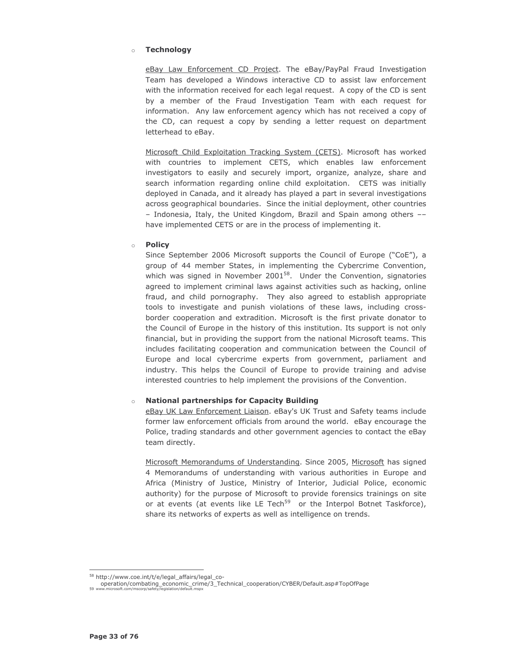#### **Technology**  $\sim$

eBay Law Enforcement CD Project. The eBay/PayPal Fraud Investigation Team has developed a Windows interactive CD to assist law enforcement with the information received for each legal request. A copy of the CD is sent by a member of the Fraud Investigation Team with each request for information. Any law enforcement agency which has not received a copy of the CD, can request a copy by sending a letter request on department letterhead to eBav.

Microsoft Child Exploitation Tracking System (CETS). Microsoft has worked with countries to implement CETS, which enables law enforcement investigators to easily and securely import, organize, analyze, share and search information regarding online child exploitation. CETS was initially deployed in Canada, and it already has played a part in several investigations across geographical boundaries. Since the initial deployment, other countries - Indonesia, Italy, the United Kingdom, Brazil and Spain among others -have implemented CETS or are in the process of implementing it.

#### **Policy**  $\circ$

Since September 2006 Microsoft supports the Council of Europe ("CoE"), a group of 44 member States, in implementing the Cybercrime Convention, which was signed in November  $2001^{58}$ . Under the Convention, signatories agreed to implement criminal laws against activities such as hacking, online fraud, and child pornography. They also agreed to establish appropriate tools to investigate and punish violations of these laws, including crossborder cooperation and extradition. Microsoft is the first private donator to the Council of Europe in the history of this institution. Its support is not only financial, but in providing the support from the national Microsoft teams. This includes facilitating cooperation and communication between the Council of Europe and local cybercrime experts from government, parliament and industry. This helps the Council of Europe to provide training and advise interested countries to help implement the provisions of the Convention.

### **National partnerships for Capacity Building**

eBay UK Law Enforcement Liaison. eBay's UK Trust and Safety teams include former law enforcement officials from around the world. eBay encourage the Police, trading standards and other government agencies to contact the eBay team directly.

Microsoft Memorandums of Understanding. Since 2005, Microsoft has signed 4 Memorandums of understanding with various authorities in Europe and Africa (Ministry of Justice, Ministry of Interior, Judicial Police, economic authority) for the purpose of Microsoft to provide forensics trainings on site or at events (at events like LE Tech<sup>59</sup> or the Interpol Botnet Taskforce), share its networks of experts as well as intelligence on trends.

<sup>58</sup> http://www.coe.int/t/e/legal\_affairs/legal\_co-

operation/combating\_economic\_crime/3\_Technical\_cooperation/CYBER/Default.asp#TopOfPage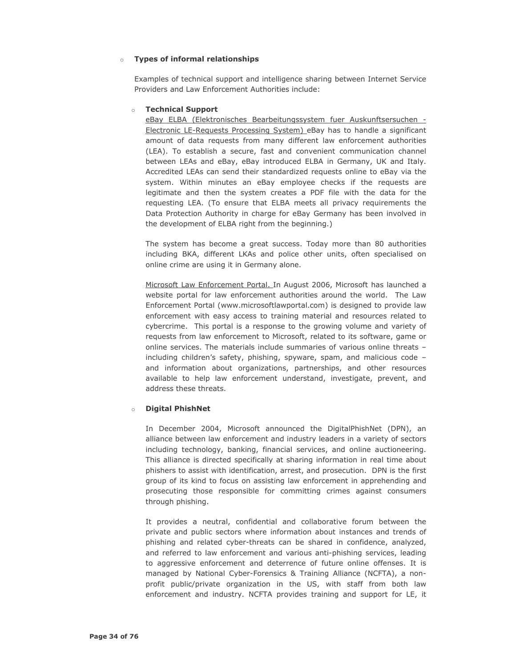### **o** Types of informal relationships

Examples of technical support and intelligence sharing between Internet Service Providers and Law Enforcement Authorities include:

### ○ Technical Support

eBay ELBA (Elektronisches Bearbeitungssystem fuer Auskunftsersuchen -Electronic LE-Requests Processing System) eBay has to handle a significant amount of data requests from many different law enforcement authorities (LEA). To establish a secure, fast and convenient communication channel between LEAs and eBay, eBay introduced ELBA in Germany, UK and Italy. Accredited LEAs can send their standardized requests online to eBay via the system. Within minutes an eBay employee checks if the requests are legitimate and then the system creates a PDF file with the data for the requesting LEA. (To ensure that ELBA meets all privacy requirements the Data Protection Authority in charge for eBay Germany has been involved in the development of ELBA right from the beginning.)

The system has become a great success. Today more than 80 authorities including BKA, different LKAs and police other units, often specialised on online crime are using it in Germany alone.

Microsoft Law Enforcement Portal. In August 2006, Microsoft has launched a website portal for law enforcement authorities around the world. The Law Enforcement Portal (www.microsoftlawportal.com) is designed to provide law enforcement with easy access to training material and resources related to cybercrime. This portal is a response to the growing volume and variety of requests from law enforcement to Microsoft, related to its software, game or online services. The materials include summaries of various online threats including children's safety, phishing, spyware, spam, and malicious code and information about organizations, partnerships, and other resources available to help law enforcement understand, investigate, prevent, and address these threats.

#### **Digital PhishNet**  $\sim$

In December 2004, Microsoft announced the DigitalPhishNet (DPN), an alliance between law enforcement and industry leaders in a variety of sectors including technology, banking, financial services, and online auctioneering. This alliance is directed specifically at sharing information in real time about phishers to assist with identification, arrest, and prosecution. DPN is the first group of its kind to focus on assisting law enforcement in apprehending and prosecuting those responsible for committing crimes against consumers through phishing.

It provides a neutral, confidential and collaborative forum between the private and public sectors where information about instances and trends of phishing and related cyber-threats can be shared in confidence, analyzed, and referred to law enforcement and various anti-phishing services, leading to aggressive enforcement and deterrence of future online offenses. It is managed by National Cyber-Forensics & Training Alliance (NCFTA), a nonprofit public/private organization in the US, with staff from both law enforcement and industry. NCFTA provides training and support for LE, it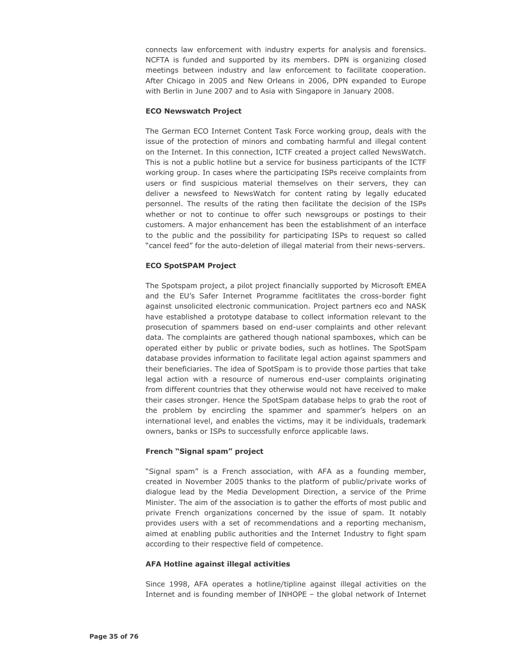connects law enforcement with industry experts for analysis and forensics. NCFTA is funded and supported by its members. DPN is organizing closed meetings between industry and law enforcement to facilitate cooperation. After Chicago in 2005 and New Orleans in 2006, DPN expanded to Europe with Berlin in June 2007 and to Asia with Singapore in January 2008.

### **ECO Newswatch Project**

The German ECO Internet Content Task Force working group, deals with the issue of the protection of minors and combating harmful and illegal content on the Internet. In this connection, ICTF created a project called NewsWatch. This is not a public hotline but a service for business participants of the ICTF working group. In cases where the participating ISPs receive complaints from users or find suspicious material themselves on their servers, they can deliver a newsfeed to NewsWatch for content rating by legally educated personnel. The results of the rating then facilitate the decision of the ISPs whether or not to continue to offer such newsgroups or postings to their customers. A major enhancement has been the establishment of an interface to the public and the possibility for participating ISPs to request so called "cancel feed" for the auto-deletion of illegal material from their news-servers.

#### **ECO SpotSPAM Project**

The Spotspam project, a pilot project financially supported by Microsoft EMEA and the EU's Safer Internet Programme facitlitates the cross-border fight against unsolicited electronic communication. Project partners eco and NASK have established a prototype database to collect information relevant to the prosecution of spammers based on end-user complaints and other relevant data. The complaints are gathered though national spamboxes, which can be operated either by public or private bodies, such as hotlines. The SpotSpam database provides information to facilitate legal action against spammers and their beneficiaries. The idea of SpotSpam is to provide those parties that take legal action with a resource of numerous end-user complaints originating from different countries that they otherwise would not have received to make their cases stronger. Hence the SpotSpam database helps to grab the root of the problem by encircling the spammer and spammer's helpers on an international level, and enables the victims, may it be individuals, trademark owners, banks or ISPs to successfully enforce applicable laws.

#### French "Signal spam" project

"Signal spam" is a French association, with AFA as a founding member, created in November 2005 thanks to the platform of public/private works of dialogue lead by the Media Development Direction, a service of the Prime Minister. The aim of the association is to gather the efforts of most public and private French organizations concerned by the issue of spam. It notably provides users with a set of recommendations and a reporting mechanism, aimed at enabling public authorities and the Internet Industry to fight spam according to their respective field of competence.

#### **AFA Hotline against illegal activities**

Since 1998, AFA operates a hotline/tipline against illegal activities on the Internet and is founding member of INHOPE - the global network of Internet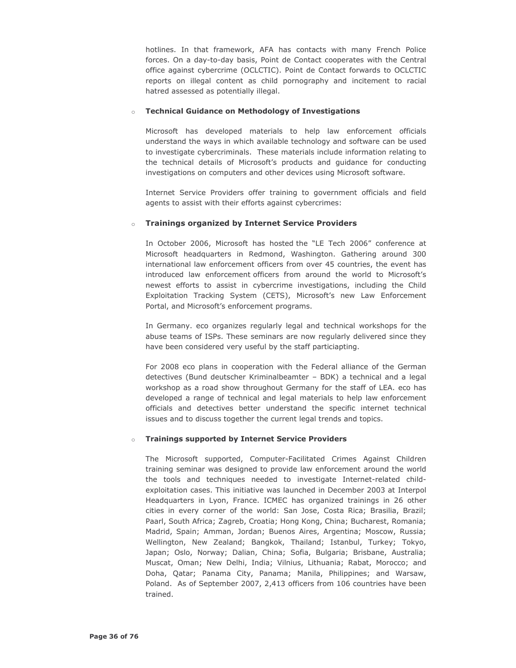hotlines. In that framework, AFA has contacts with many French Police forces. On a day-to-day basis, Point de Contact cooperates with the Central office against cybercrime (OCLCTIC). Point de Contact forwards to OCLCTIC reports on illegal content as child pornography and incitement to racial hatred assessed as potentially illegal.

### ○ Technical Guidance on Methodology of Investigations

Microsoft has developed materials to help law enforcement officials understand the ways in which available technology and software can be used to investigate cybercriminals. These materials include information relating to the technical details of Microsoft's products and guidance for conducting investigations on computers and other devices using Microsoft software.

Internet Service Providers offer training to government officials and field agents to assist with their efforts against cybercrimes:

#### **Trainings organized by Internet Service Providers**  $\sim$

In October 2006, Microsoft has hosted the "LE Tech 2006" conference at Microsoft headquarters in Redmond, Washington. Gathering around 300 international law enforcement officers from over 45 countries, the event has introduced law enforcement officers from around the world to Microsoft's newest efforts to assist in cybercrime investigations, including the Child Exploitation Tracking System (CETS), Microsoft's new Law Enforcement Portal, and Microsoft's enforcement programs.

In Germany. eco organizes regularly legal and technical workshops for the abuse teams of ISPs. These seminars are now regularly delivered since they have been considered very useful by the staff particiapting.

For 2008 eco plans in cooperation with the Federal alliance of the German detectives (Bund deutscher Kriminalbeamter - BDK) a technical and a legal workshop as a road show throughout Germany for the staff of LEA. eco has developed a range of technical and legal materials to help law enforcement officials and detectives better understand the specific internet technical issues and to discuss together the current legal trends and topics.

### **o** Trainings supported by Internet Service Providers

The Microsoft supported, Computer-Facilitated Crimes Against Children training seminar was designed to provide law enforcement around the world the tools and techniques needed to investigate Internet-related childexploitation cases. This initiative was launched in December 2003 at Interpol Headquarters in Lyon, France. ICMEC has organized trainings in 26 other cities in every corner of the world: San Jose, Costa Rica; Brasilia, Brazil; Paarl, South Africa; Zagreb, Croatia; Hong Kong, China; Bucharest, Romania; Madrid, Spain; Amman, Jordan; Buenos Aires, Argentina; Moscow, Russia; Wellington, New Zealand; Bangkok, Thailand; Istanbul, Turkey; Tokyo, Japan; Oslo, Norway; Dalian, China; Sofia, Bulgaria; Brisbane, Australia; Muscat, Oman; New Delhi, India; Vilnius, Lithuania; Rabat, Morocco; and Doha, Qatar; Panama City, Panama; Manila, Philippines; and Warsaw, Poland. As of September 2007, 2,413 officers from 106 countries have been trained.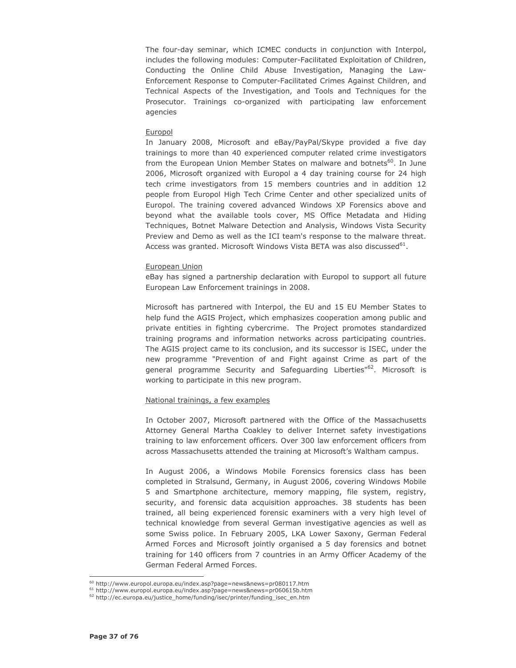The four-day seminar, which ICMEC conducts in conjunction with Interpol, includes the following modules: Computer-Facilitated Exploitation of Children, Conducting the Online Child Abuse Investigation, Managing the Law-Enforcement Response to Computer-Facilitated Crimes Against Children, and Technical Aspects of the Investigation, and Tools and Techniques for the Prosecutor. Trainings co-organized with participating law enforcement agencies

#### Europol

In January 2008, Microsoft and eBay/PayPal/Skype provided a five day trainings to more than 40 experienced computer related crime investigators from the European Union Member States on malware and botnets<sup>60</sup>. In June 2006, Microsoft organized with Europol a 4 day training course for 24 high tech crime investigators from 15 members countries and in addition 12 people from Europol High Tech Crime Center and other specialized units of Europol. The training covered advanced Windows XP Forensics above and beyond what the available tools cover, MS Office Metadata and Hiding Techniques, Botnet Malware Detection and Analysis, Windows Vista Security Preview and Demo as well as the ICI team's response to the malware threat. Access was granted. Microsoft Windows Vista BETA was also discussed<sup>61</sup>.

### European Union

eBay has signed a partnership declaration with Europol to support all future European Law Enforcement trainings in 2008.

Microsoft has partnered with Interpol, the EU and 15 EU Member States to help fund the AGIS Project, which emphasizes cooperation among public and private entities in fighting cybercrime. The Project promotes standardized training programs and information networks across participating countries. The AGIS project came to its conclusion, and its successor is ISEC, under the new programme "Prevention of and Fight against Crime as part of the general programme Security and Safeguarding Liberties"<sup>62</sup>. Microsoft is working to participate in this new program.

#### National trainings, a few examples

In October 2007, Microsoft partnered with the Office of the Massachusetts Attorney General Martha Coakley to deliver Internet safety investigations training to law enforcement officers. Over 300 law enforcement officers from across Massachusetts attended the training at Microsoft's Waltham campus.

In August 2006, a Windows Mobile Forensics forensics class has been completed in Stralsund, Germany, in August 2006, covering Windows Mobile 5 and Smartphone architecture, memory mapping, file system, registry, security, and forensic data acquisition approaches. 38 students has been trained, all being experienced forensic examiners with a very high level of technical knowledge from several German investigative agencies as well as some Swiss police. In February 2005, LKA Lower Saxony, German Federal Armed Forces and Microsoft jointly organised a 5 day forensics and botnet training for 140 officers from 7 countries in an Army Officer Academy of the German Federal Armed Forces.

<sup>&</sup>lt;sup>60</sup> http://www.europol.europa.eu/index.asp?page=news&news=pr080117.htm

<sup>&</sup>lt;sup>61</sup> http://www.europol.europa.eu/index.asp?page=news&news=pr060615b.htm

<sup>62</sup> http://ec.europa.eu/justice\_home/funding/isec/printer/funding\_isec\_en.htm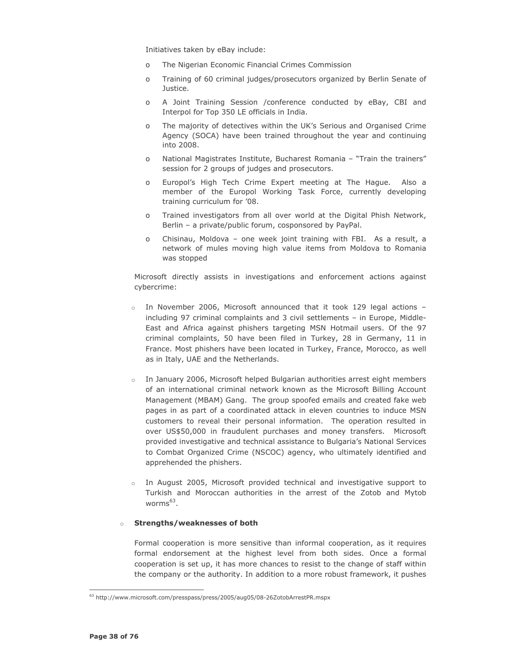Initiatives taken by eBay include:

- The Nigerian Economic Financial Crimes Commission  $\Omega$
- Training of 60 criminal judges/prosecutors organized by Berlin Senate of  $\Omega$ Justice.
- A Joint Training Session /conference conducted by eBay, CBI and  $\Omega$ Interpol for Top 350 LE officials in India.
- The majority of detectives within the UK's Serious and Organised Crime  $\cap$ Agency (SOCA) have been trained throughout the year and continuing into 2008.
- National Magistrates Institute, Bucharest Romania "Train the trainers"  $\circ$ session for 2 groups of judges and prosecutors.
- $\Omega$ Europol's High Tech Crime Expert meeting at The Hague. Also a member of the Europol Working Task Force, currently developing training curriculum for '08.
- Trained investigators from all over world at the Digital Phish Network,  $\Omega$ Berlin - a private/public forum, cosponsored by PayPal.
- Chisinau, Moldova one week joint training with FBI. As a result, a  $\Omega$ network of mules moving high value items from Moldova to Romania was stopped

Microsoft directly assists in investigations and enforcement actions against cybercrime:

- o In November 2006, Microsoft announced that it took 129 legal actions including 97 criminal complaints and 3 civil settlements - in Europe, Middle-East and Africa against phishers targeting MSN Hotmail users. Of the 97 criminal complaints, 50 have been filed in Turkey, 28 in Germany, 11 in France. Most phishers have been located in Turkey, France, Morocco, as well as in Italy, UAE and the Netherlands.
- o In January 2006, Microsoft helped Bulgarian authorities arrest eight members of an international criminal network known as the Microsoft Billing Account Management (MBAM) Gang. The group spoofed emails and created fake web pages in as part of a coordinated attack in eleven countries to induce MSN customers to reveal their personal information. The operation resulted in over US\$50,000 in fraudulent purchases and money transfers. Microsoft provided investigative and technical assistance to Bulgaria's National Services to Combat Organized Crime (NSCOC) agency, who ultimately identified and apprehended the phishers.
- In August 2005, Microsoft provided technical and investigative support to Turkish and Moroccan authorities in the arrest of the Zotob and Mytob worms $^{63}$ .

#### **Strengths/weaknesses of both**  $\sim$

Formal cooperation is more sensitive than informal cooperation, as it requires formal endorsement at the highest level from both sides. Once a formal cooperation is set up, it has more chances to resist to the change of staff within the company or the authority. In addition to a more robust framework, it pushes

<sup>63</sup> http://www.microsoft.com/presspass/press/2005/aug05/08-26ZotobArrestPR.mspx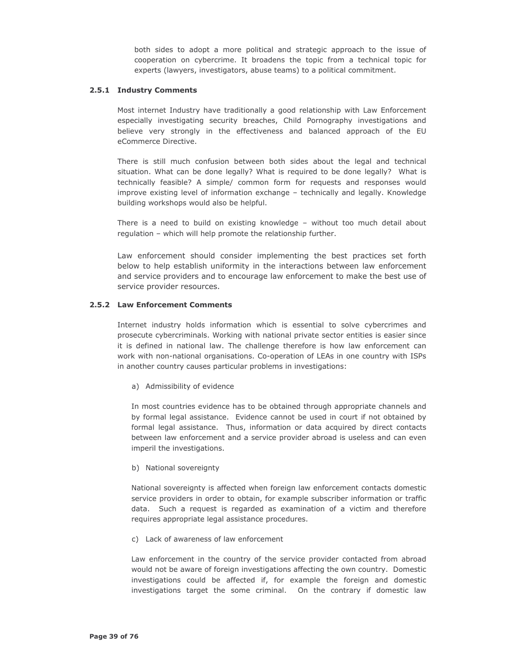both sides to adopt a more political and strategic approach to the issue of cooperation on cybercrime. It broadens the topic from a technical topic for experts (lawyers, investigators, abuse teams) to a political commitment.

# 2.5.1 Industry Comments

Most internet Industry have traditionally a good relationship with Law Enforcement especially investigating security breaches, Child Pornography investigations and believe very strongly in the effectiveness and balanced approach of the EU eCommerce Directive.

There is still much confusion between both sides about the legal and technical situation. What can be done legally? What is required to be done legally? What is technically feasible? A simple/ common form for requests and responses would improve existing level of information exchange - technically and legally. Knowledge building workshops would also be helpful.

There is a need to build on existing knowledge - without too much detail about regulation - which will help promote the relationship further.

Law enforcement should consider implementing the best practices set forth below to help establish uniformity in the interactions between law enforcement and service providers and to encourage law enforcement to make the best use of service provider resources.

# 2.5.2 Law Enforcement Comments

Internet industry holds information which is essential to solve cybercrimes and prosecute cybercriminals. Working with national private sector entities is easier since it is defined in national law. The challenge therefore is how law enforcement can work with non-national organisations. Co-operation of LEAs in one country with ISPs in another country causes particular problems in investigations:

a) Admissibility of evidence

In most countries evidence has to be obtained through appropriate channels and by formal legal assistance. Evidence cannot be used in court if not obtained by formal legal assistance. Thus, information or data acquired by direct contacts between law enforcement and a service provider abroad is useless and can even imperil the investigations.

b) National sovereignty

National sovereignty is affected when foreign law enforcement contacts domestic service providers in order to obtain, for example subscriber information or traffic data. Such a request is regarded as examination of a victim and therefore requires appropriate legal assistance procedures.

c) Lack of awareness of law enforcement

Law enforcement in the country of the service provider contacted from abroad would not be aware of foreign investigations affecting the own country. Domestic investigations could be affected if, for example the foreign and domestic investigations target the some criminal. On the contrary if domestic law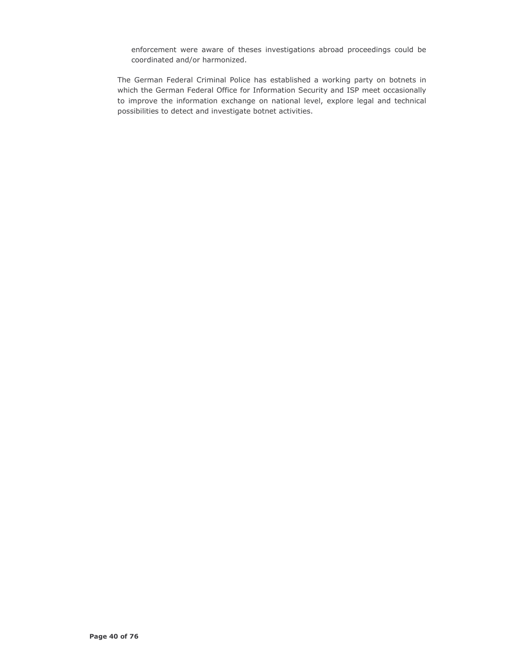enforcement were aware of theses investigations abroad proceedings could be coordinated and/or harmonized.

The German Federal Criminal Police has established a working party on botnets in which the German Federal Office for Information Security and ISP meet occasionally to improve the information exchange on national level, explore legal and technical possibilities to detect and investigate botnet activities.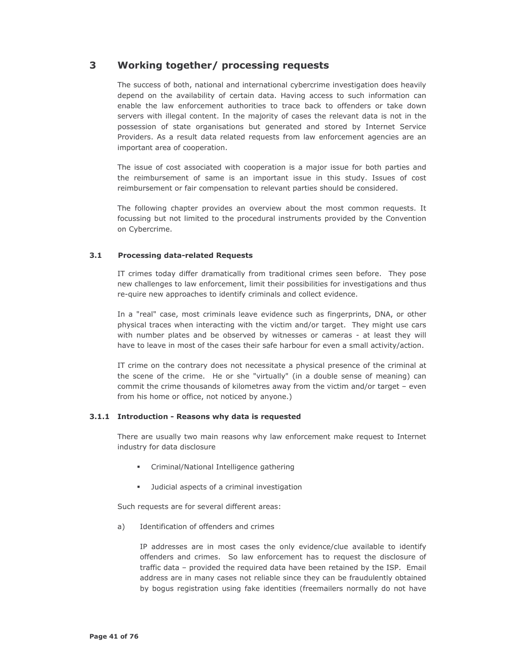#### 3 Working together/ processing requests

The success of both, national and international cybercrime investigation does heavily depend on the availability of certain data. Having access to such information can enable the law enforcement authorities to trace back to offenders or take down servers with illegal content. In the majority of cases the relevant data is not in the possession of state organisations but generated and stored by Internet Service Providers. As a result data related requests from law enforcement agencies are an important area of cooperation.

The issue of cost associated with cooperation is a major issue for both parties and the reimbursement of same is an important issue in this study. Issues of cost reimbursement or fair compensation to relevant parties should be considered.

The following chapter provides an overview about the most common requests. It focussing but not limited to the procedural instruments provided by the Convention on Cybercrime.

#### $3.1$ **Processing data-related Requests**

IT crimes today differ dramatically from traditional crimes seen before. They pose new challenges to law enforcement, limit their possibilities for investigations and thus re-quire new approaches to identify criminals and collect evidence.

In a "real" case, most criminals leave evidence such as fingerprints, DNA, or other physical traces when interacting with the victim and/or target. They might use cars with number plates and be observed by witnesses or cameras - at least they will have to leave in most of the cases their safe harbour for even a small activity/action.

IT crime on the contrary does not necessitate a physical presence of the criminal at the scene of the crime. He or she "virtually" (in a double sense of meaning) can commit the crime thousands of kilometres away from the victim and/or target - even from his home or office, not noticed by anyone.)

# 3.1.1 Introduction - Reasons why data is requested

There are usually two main reasons why law enforcement make request to Internet industry for data disclosure

- Criminal/National Intelligence gathering
- Judicial aspects of a criminal investigation

Such requests are for several different areas:

Identification of offenders and crimes a)

> IP addresses are in most cases the only evidence/clue available to identify offenders and crimes. So law enforcement has to request the disclosure of traffic data - provided the required data have been retained by the ISP. Email address are in many cases not reliable since they can be fraudulently obtained by bogus registration using fake identities (freemailers normally do not have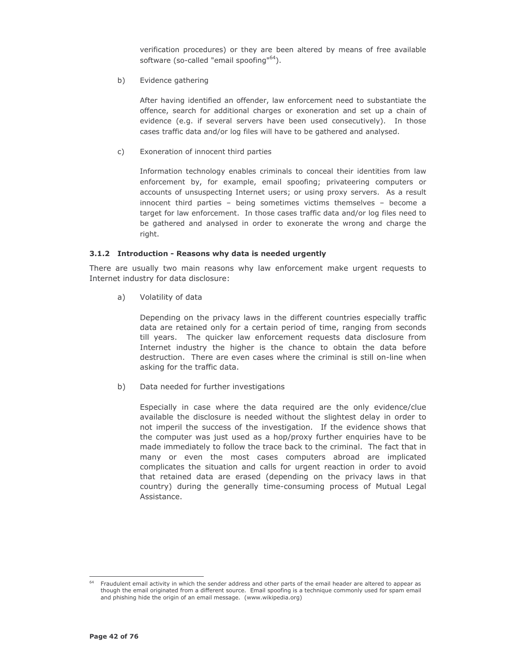verification procedures) or they are been altered by means of free available software (so-called "email spoofing"<sup>64</sup>).

Evidence gathering  $b)$ 

> After having identified an offender, law enforcement need to substantiate the offence, search for additional charges or exoneration and set up a chain of evidence (e.g. if several servers have been used consecutively). In those cases traffic data and/or log files will have to be gathered and analysed.

 $\mathsf{C}$ ) Exoneration of innocent third parties

> Information technology enables criminals to conceal their identities from law enforcement by, for example, email spoofing; privateering computers or accounts of unsuspecting Internet users; or using proxy servers. As a result innocent third parties - being sometimes victims themselves - become a target for law enforcement. In those cases traffic data and/or log files need to be gathered and analysed in order to exonerate the wrong and charge the right.

# 3.1.2 Introduction - Reasons why data is needed urgently

There are usually two main reasons why law enforcement make urgent requests to Internet industry for data disclosure:

 $a)$ Volatility of data

> Depending on the privacy laws in the different countries especially traffic data are retained only for a certain period of time, ranging from seconds till years. The quicker law enforcement requests data disclosure from Internet industry the higher is the chance to obtain the data before destruction. There are even cases where the criminal is still on-line when asking for the traffic data.

Data needed for further investigations b)

> Especially in case where the data required are the only evidence/clue available the disclosure is needed without the slightest delay in order to not imperil the success of the investigation. If the evidence shows that the computer was just used as a hop/proxy further enquiries have to be made immediately to follow the trace back to the criminal. The fact that in many or even the most cases computers abroad are implicated complicates the situation and calls for urgent reaction in order to avoid that retained data are erased (depending on the privacy laws in that country) during the generally time-consuming process of Mutual Legal Assistance.

Fraudulent email activity in which the sender address and other parts of the email header are altered to appear as though the email originated from a different source. Email spoofing is a technique commonly used for spam email and phishing hide the origin of an email message. (www.wikipedia.org)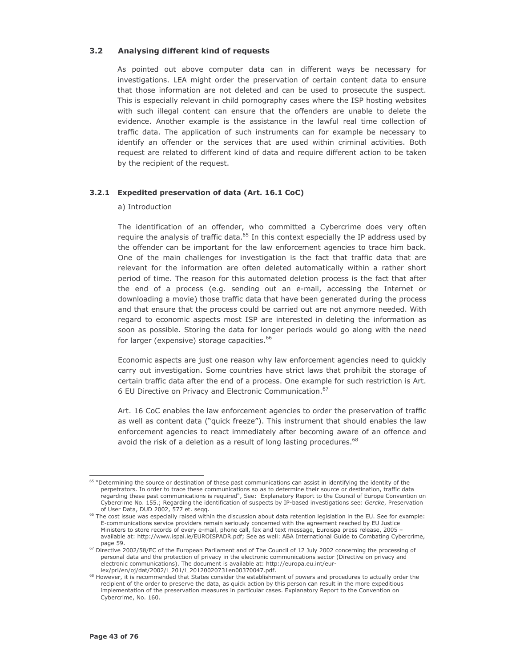#### $3.2$ Analysing different kind of requests

As pointed out above computer data can in different ways be necessary for investigations. LEA might order the preservation of certain content data to ensure that those information are not deleted and can be used to prosecute the suspect. This is especially relevant in child pornography cases where the ISP hosting websites with such illegal content can ensure that the offenders are unable to delete the evidence. Another example is the assistance in the lawful real time collection of traffic data. The application of such instruments can for example be necessary to identify an offender or the services that are used within criminal activities. Both request are related to different kind of data and require different action to be taken by the recipient of the request.

# 3.2.1 Expedited preservation of data (Art. 16.1 CoC)

# a) Introduction

The identification of an offender, who committed a Cybercrime does very often require the analysis of traffic data.<sup>65</sup> In this context especially the IP address used by the offender can be important for the law enforcement agencies to trace him back. One of the main challenges for investigation is the fact that traffic data that are relevant for the information are often deleted automatically within a rather short period of time. The reason for this automated deletion process is the fact that after the end of a process (e.g. sending out an e-mail, accessing the Internet or downloading a movie) those traffic data that have been generated during the process and that ensure that the process could be carried out are not anymore needed. With regard to economic aspects most ISP are interested in deleting the information as soon as possible. Storing the data for longer periods would go along with the need for larger (expensive) storage capacities.<sup>66</sup>

Economic aspects are just one reason why law enforcement agencies need to quickly carry out investigation. Some countries have strict laws that prohibit the storage of certain traffic data after the end of a process. One example for such restriction is Art. 6 EU Directive on Privacy and Electronic Communication.<sup>67</sup>

Art. 16 CoC enables the law enforcement agencies to order the preservation of traffic as well as content data ("quick freeze"). This instrument that should enables the law enforcement agencies to react immediately after becoming aware of an offence and avoid the risk of a deletion as a result of long lasting procedures.<sup>68</sup>

<sup>&</sup>lt;sup>65</sup> "Determining the source or destination of these past communications can assist in identifying the identity of the perpetrators. In order to trace these communications so as to determine their source or destination, traffic data regarding these past communications is required", See: Explanatory Report to the Council of Europe Convention on Cybercrime No. 155.; Regarding the identification of suspects by IP-based investigations see: Gercke, Preservation of User Data, DUD 2002, 577 et. seqq.

<sup>&</sup>lt;sup>66</sup> The cost issue was especially raised within the discussion about data retention legislation in the EU. See for example: E-communications service providers remain seriously concerned with the agreement reached by EU Justice Ministers to store records of every e-mail, phone call, fax and text message, Euroispa press release, 2005 available at: http://www.ispai.ie/EUROISPADR.pdf; See as well: ABA International Guide to Combating Cybercrime, page 59.

 $^{67}$  Directive 2002/58/EC of the European Parliament and of The Council of 12 July 2002 concerning the processing of personal data and the protection of privacy in the electronic communications sector (Directive on privacy and electronic communications). The document is available at: http://europa.eu.int/eurlex/pri/en/oj/dat/2002/l\_201/l\_20120020731en00370047.pdf.

<sup>&</sup>lt;sup>68</sup> However, it is recommended that States consider the establishment of powers and procedures to actually order the recipient of the order to preserve the data, as quick action by this person can result in the more expeditious implementation of the preservation measures in particular cases. Explanatory Report to the Convention on Cybercrime, No. 160.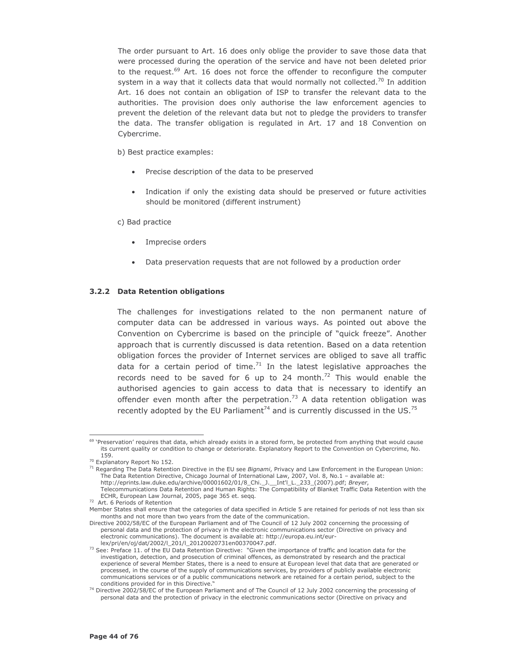The order pursuant to Art. 16 does only oblige the provider to save those data that were processed during the operation of the service and have not been deleted prior to the request.<sup>69</sup> Art. 16 does not force the offender to reconfigure the computer system in a way that it collects data that would normally not collected.<sup>70</sup> In addition Art. 16 does not contain an obligation of ISP to transfer the relevant data to the authorities. The provision does only authorise the law enforcement agencies to prevent the deletion of the relevant data but not to pledge the providers to transfer the data. The transfer obligation is regulated in Art. 17 and 18 Convention on Cybercrime.

b) Best practice examples:

- Precise description of the data to be preserved
- Indication if only the existing data should be preserved or future activities should be monitored (different instrument)

c) Bad practice

- Imprecise orders
- Data preservation requests that are not followed by a production order

### 3.2.2 Data Retention obligations

The challenges for investigations related to the non permanent nature of computer data can be addressed in various ways. As pointed out above the Convention on Cybercrime is based on the principle of "quick freeze". Another approach that is currently discussed is data retention. Based on a data retention obligation forces the provider of Internet services are obliged to save all traffic data for a certain period of time. $71$  In the latest legislative approaches the records need to be saved for 6 up to 24 month. $^{72}$  This would enable the authorised agencies to gain access to data that is necessary to identify an offender even month after the perpetration.<sup>73</sup> A data retention obligation was recently adopted by the EU Parliament<sup>74</sup> and is currently discussed in the US.<sup>75</sup>

<sup>&</sup>lt;sup>69</sup> 'Preservation' requires that data, which already exists in a stored form, be protected from anything that would cause its current quality or condition to change or deteriorate. Explanatory Report to the Convention on Cybercrime, No. 159.

<sup>&</sup>lt;sup>70</sup> Explanatory Report No 152.

<sup>&</sup>lt;sup>71</sup> Regarding The Data Retention Directive in the EU see Bignami, Privacy and Law Enforcement in the European Union: The Data Retention Directive, Chicago Journal of International Law, 2007, Vol. 8, No.1 - available at: http://eprints.law.duke.edu/archive/00001602/01/8\_Chi.\_J.\_\_Int'l\_L.\_233\_(2007).pdf; Breyer,

Telecommunications Data Retention and Human Rights: The Compatibility of Blanket Traffic Data Retention with the ECHR, European Law Journal, 2005, page 365 et. seqq.

 $72$  Art. 6 Periods of Retention

Member States shall ensure that the categories of data specified in Article 5 are retained for periods of not less than six months and not more than two years from the date of the communication.

Directive 2002/58/EC of the European Parliament and of The Council of 12 July 2002 concerning the processing of personal data and the protection of privacy in the electronic communications sector (Directive on privacy and electronic communications). The document is available at: http://europa.eu.int/eurlex/pri/en/oj/dat/2002/l\_201/l\_20120020731en00370047.pdf.

<sup>73</sup> See: Preface 11. of the EU Data Retention Directive: "Given the importance of traffic and location data for the investigation, detection, and prosecution of criminal offences, as demonstrated by research and the practical experience of several Member States, there is a need to ensure at European level that data that are generated or processed, in the course of the supply of communications services, by providers of publicly available electronic communications services or of a public communications network are retained for a certain period, subject to the conditions provided for in this Directive.

<sup>74</sup> Directive 2002/58/EC of the European Parliament and of The Council of 12 July 2002 concerning the processing of personal data and the protection of privacy in the electronic communications sector (Directive on privacy and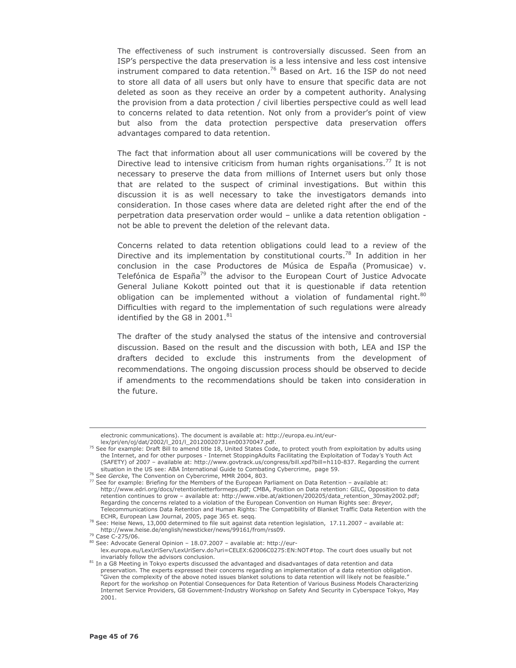The effectiveness of such instrument is controversially discussed. Seen from an ISP's perspective the data preservation is a less intensive and less cost intensive instrument compared to data retention.<sup>76</sup> Based on Art. 16 the ISP do not need to store all data of all users but only have to ensure that specific data are not deleted as soon as they receive an order by a competent authority. Analysing the provision from a data protection / civil liberties perspective could as well lead to concerns related to data retention. Not only from a provider's point of view but also from the data protection perspective data preservation offers advantages compared to data retention.

The fact that information about all user communications will be covered by the Directive lead to intensive criticism from human rights organisations.<sup>77</sup> It is not necessary to preserve the data from millions of Internet users but only those that are related to the suspect of criminal investigations. But within this discussion it is as well necessary to take the investigators demands into consideration. In those cases where data are deleted right after the end of the perpetration data preservation order would - unlike a data retention obligation not be able to prevent the deletion of the relevant data.

Concerns related to data retention obligations could lead to a review of the Directive and its implementation by constitutional courts.<sup>78</sup> In addition in her conclusion in the case Productores de Música de España (Promusicae) v. Telefónica de España<sup>79</sup> the advisor to the European Court of Justice Advocate General Juliane Kokott pointed out that it is questionable if data retention obligation can be implemented without a violation of fundamental right.<sup>80</sup> Difficulties with regard to the implementation of such regulations were already identified by the G8 in 2001.<sup>81</sup>

The drafter of the study analysed the status of the intensive and controversial discussion. Based on the result and the discussion with both, LEA and ISP the drafters decided to exclude this instruments from the development of recommendations. The ongoing discussion process should be observed to decide if amendments to the recommendations should be taken into consideration in the future.

<sup>79</sup> Case C-275/06.

electronic communications). The document is available at: http://europa.eu.int/eurlex/pri/en/oj/dat/2002/l\_201/l\_20120020731en00370047.pdf.

<sup>&</sup>lt;sup>75</sup> See for example: Draft Bill to amend title 18, United States Code, to protect youth from exploitation by adults using the Internet, and for other purposes - Internet StoppingAdults Facilitating the Exploitation of Today's Youth Act (SAFETY) of 2007 - available at: http://www.govtrack.us/congress/bill.xpd?bill=h110-837. Regarding the current situation in the US see: ABA International Guide to Combating Cybercrime, page 59.

<sup>&</sup>lt;sup>76</sup> See Gercke, The Convention on Cybercrime, MMR 2004, 803.

<sup>77</sup> See for example: Briefing for the Members of the European Parliament on Data Retention - available at: http://www.edri.org/docs/retentionletterformeps.pdf; CMBA, Position on Data retention: GILC, Opposition to data retention continues to grow - available at: http://www.vibe.at/aktionen/200205/data\_retention\_30may2002.pdf; Regarding the concerns related to a violation of the European Convention on Human Rights see: Breyer, Telecommunications Data Retention and Human Rights: The Compatibility of Blanket Traffic Data Retention with the ECHR, European Law Journal, 2005, page 365 et. seqq.

<sup>&</sup>lt;sup>78</sup> See: Heise News, 13,000 determined to file suit against data retention legislation, 17.11.2007 - available at: http://www.heise.de/english/newsticker/news/99161/from/rss09.

<sup>&</sup>lt;sup>80</sup> See: Advocate General Opinion - 18.07.2007 - available at: http://eurlex.europa.eu/LexUriServ/LexUriServ.do?uri=CELEX:62006C0275:EN:NOT#top. The court does usually but not invariably follow the advisors conclusion.

<sup>81</sup> In a G8 Meeting in Tokyo experts discussed the advantaged and disadvantages of data retention and data preservation. The experts expressed their concerns regarding an implementation of a data retention obligation. 'Given the complexity of the above noted issues blanket solutions to data retention will likely not be feasible. Report for the workshop on Potential Consequences for Data Retention of Various Business Models Characterizing Internet Service Providers, G8 Government-Industry Workshop on Safety And Security in Cyberspace Tokyo, May 2001.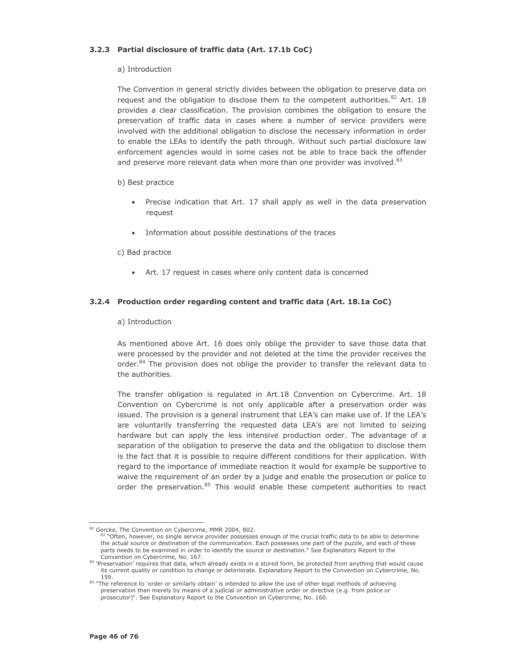# 3.2.3 Partial disclosure of traffic data (Art. 17.1b CoC)

# a) Introduction

The Convention in general strictly divides between the obligation to preserve data on request and the obligation to disclose them to the competent authorities.<sup>82</sup> Art. 18 provides a clear classification. The provision combines the obligation to ensure the preservation of traffic data in cases where a number of service providers were involved with the additional obligation to disclose the necessary information in order to enable the LEAs to identify the path through. Without such partial disclosure law enforcement agencies would in some cases not be able to trace back the offender and preserve more relevant data when more than one provider was involved.<sup>83</sup>

### b) Best practice

- Precise indication that Art. 17 shall apply as well in the data preservation request
- Information about possible destinations of the traces

### c) Bad practice

• Art. 17 request in cases where only content data is concerned

# 3.2.4 Production order regarding content and traffic data (Art. 18.1a CoC)

### a) Introduction

As mentioned above Art. 16 does only oblige the provider to save those data that were processed by the provider and not deleted at the time the provider receives the order.<sup>84</sup> The provision does not oblige the provider to transfer the relevant data to the authorities.

The transfer obligation is regulated in Art.18 Convention on Cybercrime. Art. 18 Convention on Cybercrime is not only applicable after a preservation order was issued. The provision is a general instrument that LEA's can make use of. If the LEA's are voluntarily transferring the requested data LEA's are not limited to seizing hardware but can apply the less intensive production order. The advantage of a separation of the obligation to preserve the data and the obligation to disclose them is the fact that it is possible to require different conditions for their application. With regard to the importance of immediate reaction it would for example be supportive to waive the requirement of an order by a judge and enable the prosecution or police to order the preservation.<sup>85</sup> This would enable these competent authorities to react

<sup>82</sup> Gercke, The Convention on Cybercrime, MMR 2004, 802.

<sup>83 &</sup>quot;Often, however, no single service provider possesses enough of the crucial traffic data to be able to determine the actual source or destination of the communication. Each possesses one part of the puzzle, and each of these parts needs to be examined in order to identify the source or destination." See Explanatory Report to the Convention on Cybercrime, No. 167.

<sup>84 &#</sup>x27;Preservation' requires that data, which already exists in a stored form, be protected from anything that would cause its current quality or condition to change or deteriorate. Explanatory Report to the Convention on Cybercrime, No. 159.

<sup>85 &</sup>quot;The reference to 'order or similarly obtain' is intended to allow the use of other legal methods of achieving preservation than merely by means of a judicial or administrative order or directive (e.g. from police or prosecutor)". See Explanatory Report to the Convention on Cybercrime, No. 160.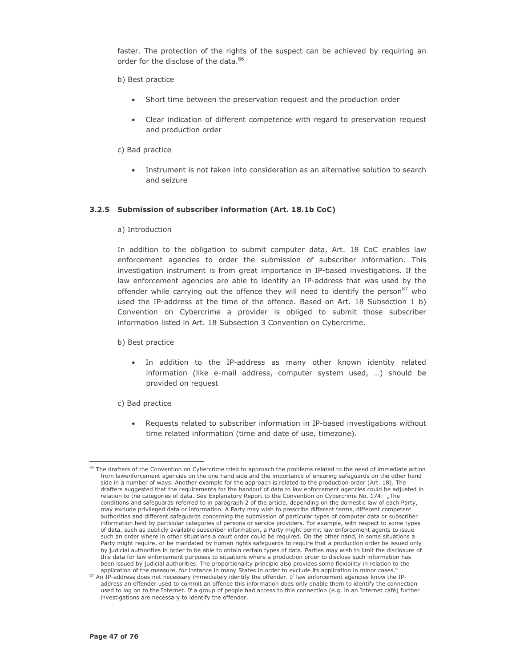faster. The protection of the rights of the suspect can be achieved by requiring an order for the disclose of the data.<sup>86</sup>

## b) Best practice

- Short time between the preservation request and the production order
- Clear indication of different competence with regard to preservation request and production order

## c) Bad practice

Instrument is not taken into consideration as an alternative solution to search and seizure

# 3.2.5 Submission of subscriber information (Art. 18.1b CoC)

### a) Introduction

In addition to the obligation to submit computer data, Art. 18 CoC enables law enforcement agencies to order the submission of subscriber information. This investigation instrument is from great importance in IP-based investigations. If the law enforcement agencies are able to identify an IP-address that was used by the offender while carrying out the offence they will need to identify the person<sup>87</sup> who used the IP-address at the time of the offence. Based on Art. 18 Subsection 1 b) Convention on Cybercrime a provider is obliged to submit those subscriber information listed in Art. 18 Subsection 3 Convention on Cybercrime.

#### b) Best practice

- . In addition to the IP-address as many other known identity related information (like e-mail address, computer system used, ...) should be provided on request
- c) Bad practice
	- Requests related to subscriber information in IP-based investigations without time related information (time and date of use, timezone).

<sup>&</sup>lt;sup>86</sup> The drafters of the Convention on Cybercrime tried to approach the problems related to the need of immediate action from lawenforcement agencies on the one hand side and the importance of ensuring safeguards on the other hand side in a number of ways. Another example for the approach is related to the production order (Art. 18). The drafters suggested that the requirements for the handout of data to law enforcement agencies could be adjusted in relation to the categories of data. See Explanatory Report to the Convention on Cybercrime No. 174: "The conditions and safeguards referred to in paragraph 2 of the article, depending on the domestic law of each Party, may exclude privileged data or information. A Party may wish to prescribe different terms, different competent authorities and different safeguards concerning the submission of particular types of computer data or subscriber information held by particular categories of persons or service providers. For example, with respect to some types of data, such as publicly available subscriber information, a Party might permit law enforcement agents to issue such an order where in other situations a court order could be required. On the other hand, in some situations a Party might require, or be mandated by human rights safeguards to require that a production order be issued only by judicial authorities in order to be able to obtain certain types of data. Parties may wish to limit the disclosure of this data for law enforcement purposes to situations where a production order to disclose such information has been issued by judicial authorities. The proportionality principle also provides some flexibility in relation to the application of the measure, for instance in many States in order to exclude its application in minor cases.

<sup>87</sup> An IP-address does not necessary immediately identify the offender. If law enforcement agencies know the IPaddress an offender used to commit an offence this information does only enable them to identify the connection used to log on to the Internet. If a group of people had access to this connection (e.g. in an Internet café) further investigations are necessary to identify the offender.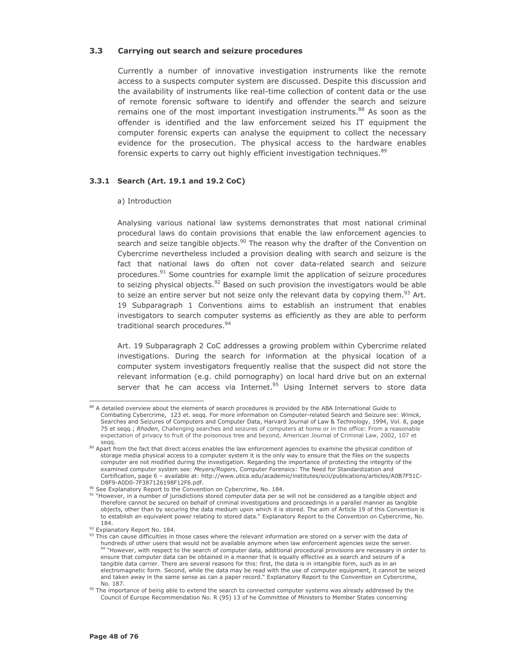#### $3.3$ Carrying out search and seizure procedures

Currently a number of innovative investigation instruments like the remote access to a suspects computer system are discussed. Despite this discussion and the availability of instruments like real-time collection of content data or the use of remote forensic software to identify and offender the search and seizure remains one of the most important investigation instruments.<sup>88</sup> As soon as the offender is identified and the law enforcement seized his IT equipment the computer forensic experts can analyse the equipment to collect the necessary evidence for the prosecution. The physical access to the hardware enables forensic experts to carry out highly efficient investigation techniques.<sup>89</sup>

# 3.3.1 Search (Art. 19.1 and 19.2 CoC)

### a) Introduction

Analysing various national law systems demonstrates that most national criminal procedural laws do contain provisions that enable the law enforcement agencies to search and seize tangible objects.<sup>90</sup> The reason why the drafter of the Convention on Cybercrime nevertheless included a provision dealing with search and seizure is the fact that national laws do often not cover data-related search and seizure procedures.<sup>91</sup> Some countries for example limit the application of seizure procedures to seizing physical objects.<sup>92</sup> Based on such provision the investigators would be able to seize an entire server but not seize only the relevant data by copying them.<sup>93</sup> Art. 19 Subparagraph 1 Conventions aims to establish an instrument that enables investigators to search computer systems as efficiently as they are able to perform traditional search procedures.<sup>94</sup>

Art. 19 Subparagraph 2 CoC addresses a growing problem within Cybercrime related investigations. During the search for information at the physical location of a computer system investigators frequently realise that the suspect did not store the relevant information (e.g. child pornography) on local hard drive but on an external server that he can access via Internet.<sup>95</sup> Using Internet servers to store data

<sup>88</sup> A detailed overview about the elements of search procedures is provided by the ABA International Guide to Combating Cybercrime, 123 et. seqq. For more information on Computer-related Search and Seizure see: Winick, Searches and Seizures of Computers and Computer Data, Harvard Journal of Law & Technology, 1994, Vol. 8, page 75 et seqq.; Rhoden, Challenging searches and seizures of computers at home or in the office: From a reasonable expectation of privacy to fruit of the poisonous tree and beyond, American Journal of Criminal Law, 2002, 107 et segg.

<sup>&</sup>lt;sup>89</sup> Apart from the fact that direct access enables the law enforcement agencies to examine the physical condition of storage media physical access to a computer system it is the only way to ensure that the files on the suspects computer are not modified during the investigation. Regarding the importance of protecting the integrity of the examined computer system see: Meyers/Rogers, Computer Forensics: The Need for Standardization and Certification, page 6 - available at: http://www.utica.edu/academic/institutes/ecii/publications/articles/A0B7F51C-D8F9-A0D0-7F387126198F12F6.pdf.

<sup>&</sup>lt;sup>90</sup> See Explanatory Report to the Convention on Cybercrime, No. 184.

<sup>&</sup>lt;sup>91</sup> "However, in a number of jurisdictions stored computer data per se will not be considered as a tangible object and therefore cannot be secured on behalf of criminal investigations and proceedings in a parallel manner as tangible objects, other than by securing the data medium upon which it is stored. The aim of Article 19 of this Convention is to establish an equivalent power relating to stored data." Explanatory Report to the Convention on Cybercrime, No. 184.

<sup>92</sup> Explanatory Report No. 184.

<sup>93</sup> This can cause difficulties in those cases where the relevant information are stored on a server with the data of hundreds of other users that would not be available anymore when law enforcement agencies seize the server. 94 "However, with respect to the search of computer data, additional procedural provisions are necessary in order to ensure that computer data can be obtained in a manner that is equally effective as a search and seizure of a tangible data carrier. There are several reasons for this: first, the data is in intangible form, such as in an electromagnetic form. Second, while the data may be read with the use of computer equipment, it cannot be seized and taken away in the same sense as can a paper record." Explanatory Report to the Convention on Cybercrime, No. 187.

<sup>&</sup>lt;sup>95</sup> The importance of being able to extend the search to connected computer systems was already addressed by the Council of Europe Recommendation No. R (95) 13 of he Committee of Ministers to Member States concerning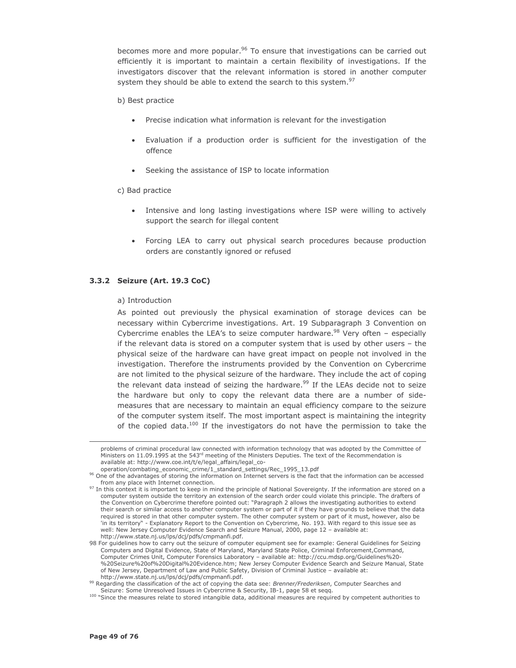becomes more and more popular.<sup>96</sup> To ensure that investigations can be carried out efficiently it is important to maintain a certain flexibility of investigations. If the investigators discover that the relevant information is stored in another computer system they should be able to extend the search to this system.<sup>97</sup>

### b) Best practice

- Precise indication what information is relevant for the investigation
- Evaluation if a production order is sufficient for the investigation of the offence
- Seeking the assistance of ISP to locate information

### c) Bad practice

- Intensive and long lasting investigations where ISP were willing to actively support the search for illegal content
- Forcing LEA to carry out physical search procedures because production orders are constantly ignored or refused

# 3.3.2 Seizure (Art. 19.3 CoC)

### a) Introduction

As pointed out previously the physical examination of storage devices can be necessary within Cybercrime investigations. Art. 19 Subparagraph 3 Convention on Cybercrime enables the LEA's to seize computer hardware.<sup>98</sup> Very often - especially if the relevant data is stored on a computer system that is used by other users - the physical seize of the hardware can have great impact on people not involved in the investigation. Therefore the instruments provided by the Convention on Cybercrime are not limited to the physical seizure of the hardware. They include the act of coping the relevant data instead of seizing the hardware.<sup>99</sup> If the LEAs decide not to seize the hardware but only to copy the relevant data there are a number of sidemeasures that are necessary to maintain an equal efficiency compare to the seizure of the computer system itself. The most important aspect is maintaining the integrity of the copied data.<sup>100</sup> If the investigators do not have the permission to take the

problems of criminal procedural law connected with information technology that was adopted by the Committee of Ministers on 11.09.1995 at the 543rd meeting of the Ministers Deputies. The text of the Recommendation is available at: http://www.coe.int/t/e/legal\_affairs/legal\_co-

operation/combating\_economic\_crime/1\_standard\_settings/Rec\_1995\_13.pdf

<sup>&</sup>lt;sup>96</sup> One of the advantages of storing the information on Internet servers is the fact that the information can be accessed from any place with Internet connection.

 $97$  In this context it is important to keep in mind the principle of National Sovereignty. If the information are stored on a computer system outside the territory an extension of the search order could violate this principle. The drafters of the Convention on Cybercrime therefore pointed out: "Paragraph 2 allows the investigating authorities to extend their search or similar access to another computer system or part of it if they have grounds to believe that the data required is stored in that other computer system. The other computer system or part of it must, however, also be 'in its territory" - Explanatory Report to the Convention on Cybercrime, No. 193. With regard to this issue see as well: New Jersey Computer Evidence Search and Seizure Manual, 2000, page 12 - available at: http://www.state.nj.us/lps/dcj/pdfs/cmpmanfi.pdf.

<sup>98</sup> For guidelines how to carry out the seizure of computer equipment see for example: General Guidelines for Seizing Computers and Digital Evidence, State of Maryland, Maryland State Police, Criminal Enforcement, Command, Computer Crimes Unit, Computer Forensics Laboratory - available at: http://ccu.mdsp.org/Guidelines%20-<br>%20Seizure%20of%20Digital%20Evidence.htm; New Jersey Computer Evidence Search and Seizure Manual, State of New Jersey, Department of Law and Public Safety, Division of Criminal Justice - available at: http://www.state.nj.us/lps/dcj/pdfs/cmpmanfi.pdf.

<sup>&</sup>lt;sup>99</sup> Regarding the classification of the act of copying the data see: Brenner/Frederiksen, Computer Searches and Seizure: Some Unresolved Issues in Cybercrime & Security, IB-1, page 58 et seqq.

<sup>&</sup>lt;sup>100</sup> "Since the measures relate to stored intangible data, additional measures are required by competent authorities to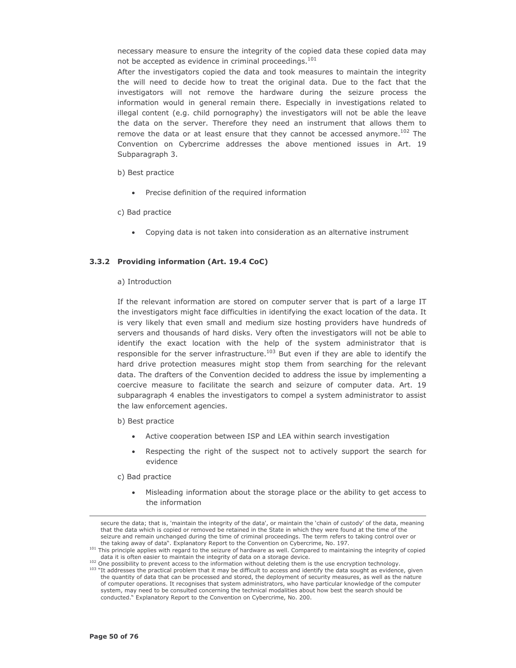necessary measure to ensure the integrity of the copied data these copied data may not be accepted as evidence in criminal proceedings.<sup>101</sup>

After the investigators copied the data and took measures to maintain the integrity the will need to decide how to treat the original data. Due to the fact that the investigators will not remove the hardware during the seizure process the information would in general remain there. Especially in investigations related to illegal content (e.g. child pornography) the investigators will not be able the leave the data on the server. Therefore they need an instrument that allows them to remove the data or at least ensure that they cannot be accessed anymore.<sup>102</sup> The Convention on Cybercrime addresses the above mentioned issues in Art. 19 Subparagraph 3.

## b) Best practice

• Precise definition of the required information

c) Bad practice

• Copying data is not taken into consideration as an alternative instrument

# 3.3.2 Providing information (Art. 19.4 CoC)

### a) Introduction

If the relevant information are stored on computer server that is part of a large IT the investigators might face difficulties in identifying the exact location of the data. It is very likely that even small and medium size hosting providers have hundreds of servers and thousands of hard disks. Very often the investigators will not be able to identify the exact location with the help of the system administrator that is responsible for the server infrastructure.<sup>103</sup> But even if they are able to identify the hard drive protection measures might stop them from searching for the relevant data. The drafters of the Convention decided to address the issue by implementing a coercive measure to facilitate the search and seizure of computer data. Art. 19 subparagraph 4 enables the investigators to compel a system administrator to assist the law enforcement agencies.

- b) Best practice
	- Active cooperation between ISP and LEA within search investigation
	- Respecting the right of the suspect not to actively support the search for evidence

c) Bad practice

Misleading information about the storage place or the ability to get access to the information

secure the data; that is, 'maintain the integrity of the data', or maintain the 'chain of custody' of the data, meaning that the data which is copied or removed be retained in the State in which they were found at the time of the seizure and remain unchanged during the time of criminal proceedings. The term refers to taking control over or the taking away of data". Explanatory Report to the Convention on Cybercrime, No. 197.

<sup>&</sup>lt;sup>101</sup> This principle applies with regard to the seizure of hardware as well. Compared to maintaining the integrity of copied data it is often easier to maintain the integrity of data on a storage device.

<sup>&</sup>lt;sup>102</sup> One possibility to prevent access to the information without deleting them is the use encryption technology.

<sup>&</sup>lt;sup>103</sup> "It addresses the practical problem that it may be difficult to access and identify the data sought as evidence, given the quantity of data that can be processed and stored, the deployment of security measures, as well as the nature of computer operations. It recognises that system administrators, who have particular knowledge of the computer system, may need to be consulted concerning the technical modalities about how best the search should be conducted." Explanatory Report to the Convention on Cybercrime, No. 200.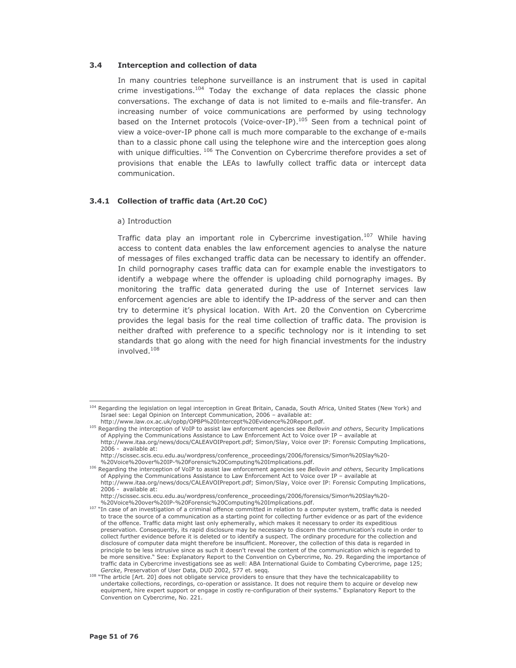#### $3.4$ **Interception and collection of data**

In many countries telephone surveillance is an instrument that is used in capital crime investigations.<sup>104</sup> Today the exchange of data replaces the classic phone conversations. The exchange of data is not limited to e-mails and file-transfer. An increasing number of voice communications are performed by using technology based on the Internet protocols (Voice-over-IP).<sup>105</sup> Seen from a technical point of view a voice-over-IP phone call is much more comparable to the exchange of e-mails than to a classic phone call using the telephone wire and the interception goes along with unique difficulties. 106 The Convention on Cybercrime therefore provides a set of provisions that enable the LEAs to lawfully collect traffic data or intercept data communication.

# 3.4.1 Collection of traffic data (Art.20 CoC)

#### a) Introduction

Traffic data play an important role in Cybercrime investigation.<sup>107</sup> While having access to content data enables the law enforcement agencies to analyse the nature of messages of files exchanged traffic data can be necessary to identify an offender. In child pornography cases traffic data can for example enable the investigators to identify a webpage where the offender is uploading child pornography images. By monitoring the traffic data generated during the use of Internet services law enforcement agencies are able to identify the IP-address of the server and can then try to determine it's physical location. With Art. 20 the Convention on Cybercrime provides the legal basis for the real time collection of traffic data. The provision is neither drafted with preference to a specific technology nor is it intending to set standards that go along with the need for high financial investments for the industry involved.<sup>108</sup>

<sup>&</sup>lt;sup>104</sup> Regarding the legislation on legal interception in Great Britain, Canada, South Africa, United States (New York) and Israel see: Legal Opinion on Intercept Communication, 2006 - available at:<br>http://www.law.ox.ac.uk/opbp/OPBP%20Intercept%20Evidence%20Report.pdf.

<sup>&</sup>lt;sup>105</sup> Regarding the interception of VoIP to assist law enforcement agencies see Bellovin and others, Security Implications of Applying the Communications Assistance to Law Enforcement Act to Voice over IP - available at http://www.itaa.org/news/docs/CALEAVOIPreport.pdf; Simon/Slay, Voice over IP: Forensic Computing Implications, 2006 - available at:

http://scissec.scis.ecu.edu.au/wordpress/conference\_proceedings/2006/forensics/Simon%20Slay%20-%20Voice%20over%20IP-%20Forensic%20Computing%20Implications.pdf.

<sup>&</sup>lt;sup>106</sup> Regarding the interception of VoIP to assist law enforcement agencies see Bellovin and others, Security Implications of Applying the Communications Assistance to Law Enforcement Act to Voice over IP - available at http://www.itaa.org/news/docs/CALEAVOIPreport.pdf; Simon/Slay, Voice over IP: Forensic Computing Implications, 2006 - available at:

http://scissec.scis.ecu.edu.au/wordpress/conference\_proceedings/2006/forensics/Simon%20Slay%20-

<sup>%20</sup>Voice%20over%20IP-%20Forensic%20Computing%20Implications.pdf.

<sup>&</sup>lt;sup>107</sup> "In case of an investigation of a criminal offence committed in relation to a computer system, traffic data is needed to trace the source of a communication as a starting point for collecting further evidence or as part of the evidence of the offence. Traffic data might last only ephemerally, which makes it necessary to order its expeditious preservation. Consequently, its rapid disclosure may be necessary to discern the communication's route in order to collect further evidence before it is deleted or to identify a suspect. The ordinary procedure for the collection and disclosure of computer data might therefore be insufficient. Moreover, the collection of this data is regarded in principle to be less intrusive since as such it doesn't reveal the content of the communication which is regarded to be more sensitive." See: Explanatory Report to the Convention on Cybercrime, No. 29. Regarding the importance of traffic data in Cybercrime investigations see as well: ABA International Guide to Combating Cybercrime, page 125; Gercke, Preservation of User Data, DUD 2002, 577 et. segg.

<sup>&</sup>lt;sup>108</sup> "The article [Art. 20] does not obligate service providers to ensure that they have the technicalcapability to undertake collections, recordings, co-operation or assistance. It does not require them to acquire or develop new equipment, hire expert support or engage in costly re-configuration of their systems." Explanatory Report to the Convention on Cybercrime, No. 221.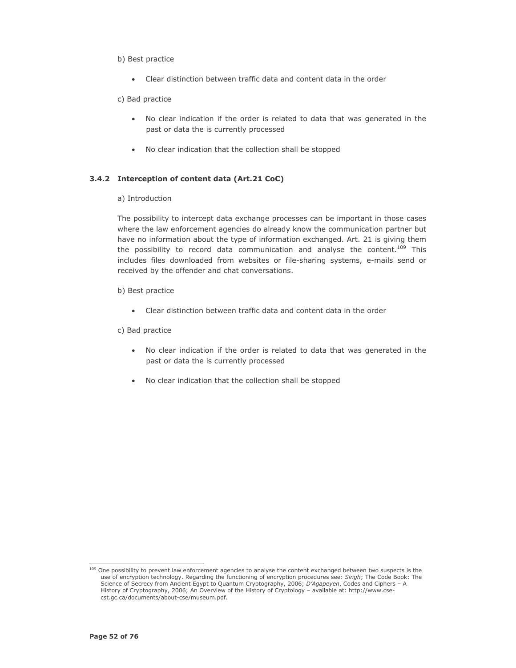## b) Best practice

- Clear distinction between traffic data and content data in the order  $\bullet$
- c) Bad practice
	- . No clear indication if the order is related to data that was generated in the past or data the is currently processed
	- No clear indication that the collection shall be stopped

# 3.4.2 Interception of content data (Art.21 CoC)

a) Introduction

The possibility to intercept data exchange processes can be important in those cases where the law enforcement agencies do already know the communication partner but have no information about the type of information exchanged. Art. 21 is giving them the possibility to record data communication and analyse the content.<sup>109</sup> This includes files downloaded from websites or file-sharing systems, e-mails send or received by the offender and chat conversations.

- b) Best practice
	- Clear distinction between traffic data and content data in the order  $\bullet$

c) Bad practice

- . No clear indication if the order is related to data that was generated in the past or data the is currently processed
- No clear indication that the collection shall be stopped

<sup>&</sup>lt;sup>109</sup> One possibility to prevent law enforcement agencies to analyse the content exchanged between two suspects is the Since of encryption technology. Regarding the functioning of encryption procedures see: *Singh*; The Code Book: The<br>Science of Secrecy from Ancient Egypt to Quantum Cryptography, 2006; *D'Agapeyen*, Codes and Ciphers – A History of Cryptography, 2006; An Overview of the History of Cryptology - available at: http://www.csecst.gc.ca/documents/about-cse/museum.pdf.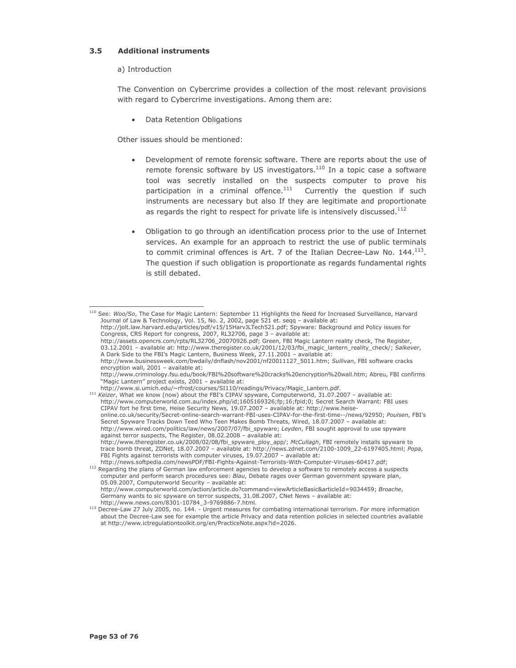#### $3.5$ **Additional instruments**

# a) Introduction

The Convention on Cybercrime provides a collection of the most relevant provisions with regard to Cybercrime investigations. Among them are:

• Data Retention Obligations

Other issues should be mentioned:

- Development of remote forensic software. There are reports about the use of remote forensic software by US investigators.<sup>110</sup> In a topic case a software tool was secretly installed on the suspects computer to prove his participation in a criminal offence.<sup>111</sup> Currently the question if such instruments are necessary but also If they are legitimate and proportionate as regards the right to respect for private life is intensively discussed.<sup>112</sup>
- Obligation to go through an identification process prior to the use of Internet services. An example for an approach to restrict the use of public terminals to commit criminal offences is Art. 7 of the Italian Decree-Law No. 144.<sup>113</sup>. The question if such obligation is proportionate as regards fundamental rights is still debated.

<sup>&</sup>lt;sup>110</sup> See: Woo/So, The Case for Magic Lantern: September 11 Highlights the Need for Increased Surveillance, Harvard Journal of Law & Technology, Vol. 15, No. 2, 2002, page 521 et. seqq - available at:

http://jolt.law.harvard.edu/articles/pdf/v15/15HarvJLTech521.pdf; Spyware: Background and Policy issues for Congress, CRS Report for congress, 2007, RL32706, page 3 - available at:

http://assets.opencrs.com/rpts/RL32706\_20070926.pdf; Green, FBI Magic Lantern reality check, The Register, 03.12.2001 - available at: http://www.theregister.co.uk/2001/12/03/fbi\_magic\_lantern\_reality\_check/; Salkever, A Dark Side to the FBI's Magic Lantern, Business Week, 27.11.2001 - available at:

http://www.businessweek.com/bwdaily/dnflash/nov2001/nf20011127\_5011.htm; Sullivan, FBI software cracks encryption wall, 2001 - available at:

http://www.criminology.fsu.edu/book/FBI%20software%20cracks%20encryption%20wall.htm; Abreu, FBI confirms "Magic Lantern" project exists, 2001 - available at:

http://www.si.umich.edu/~rfrost/courses/SI110/readings/Privacy/Magic\_Lantern.pdf.

interior with the FBI's CIPAV spyware, Computerworld, 31.07.2007 - available at:<br>http://www.computerworld.com.au/index.php/id;1605169326;fp;16;fpid;0; Secret Search Warrant: FBI uses CIPAV fort he first time, Heise Security News, 19.07.2007 - available at: http://www.heiseonline.co.uk/security/Secret-online-search-warrant-FBI-uses-CIPAV-for-the-first-time--/news/92950; Poulsen, FBI's<br>Secret Spyware Tracks Down Teed Who Teen Makes Bomb Threats, Wired, 18.07.2007 - available at: http://www.wired.com/politics/law/news/2007/07/fbi\_spyware; Leyden, FBI sought approval to use spyware against terror suspects, The Register, 08.02.2008 - available at: http://www.theregister.co.uk/2008/02/08/fbi\_spyware\_ploy\_app/; McCullagh, FBI remotely installs spyware to trace bomb threat, ZDNet, 18.07.2007 - available at: http://news.zdnet.com/2100-1009\_22-6197405.html; Popa, FBI Fights against terrorists with computer viruses, 19.07.2007 - available at: http://news.softpedia.com/newsPDF/FBI-Fights-Against-Terrorists-With-Computer-Viruses-60417.pdf;

the end of the plans of German law enforcement agencies to develop a software to remotely access a suspects computer and perform search procedures see: Blau, Debate rages over German government spyware plan, 05.09.2007, Computerworld Security - available at: http://www.computerworld.com/action/article.do?command=viewArticleBasic&articleId=9034459; Broache, Germany wants to sic spyware on terror suspects, 31.08.2007, CNet News - available at: http://www.news.com/8301-10784\_3-9769886-7.html.

<sup>113</sup> Decree-Law 27 July 2005, no. 144. - Urgent measures for combating international terrorism. For more information about the Decree-Law see for example the article Privacy and data retention policies in selected countries available at http://www.ictregulationtoolkit.org/en/PracticeNote.aspx?id=2026.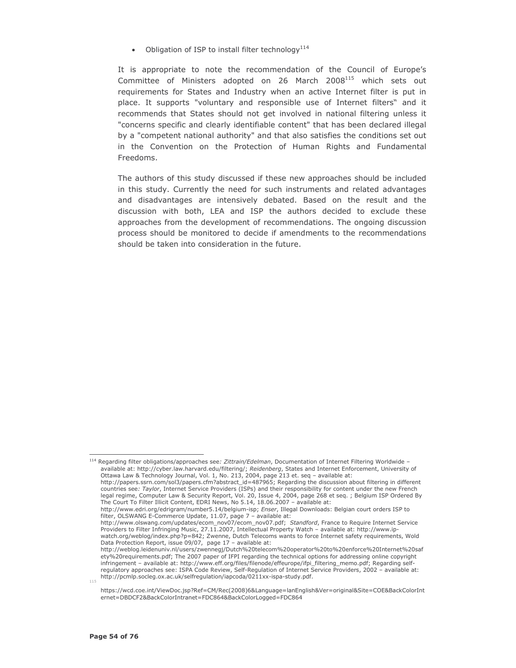• Obligation of ISP to install filter technology<sup>114</sup>

It is appropriate to note the recommendation of the Council of Europe's Committee of Ministers adopted on 26 March 2008<sup>115</sup> which sets out requirements for States and Industry when an active Internet filter is put in place. It supports "voluntary and responsible use of Internet filters" and it recommends that States should not get involved in national filtering unless it "concerns specific and clearly identifiable content" that has been declared illegal by a "competent national authority" and that also satisfies the conditions set out in the Convention on the Protection of Human Rights and Fundamental Freedoms.

The authors of this study discussed if these new approaches should be included in this study. Currently the need for such instruments and related advantages and disadvantages are intensively debated. Based on the result and the discussion with both, LEA and ISP the authors decided to exclude these approaches from the development of recommendations. The ongoing discussion process should be monitored to decide if amendments to the recommendations should be taken into consideration in the future.

<sup>&</sup>lt;sup>114</sup> Regarding filter obligations/approaches see: Zittrain/Edelman, Documentation of Internet Filtering Worldwide available at: http://cyber.law.harvard.edu/filtering/; Reidenberg, States and Internet Enforcement, University of Ottawa Law & Technology Journal, Vol. 1, No. 213, 2004, page 213 et. seq - available at: http://papers.ssrn.com/sol3/papers.cfm?abstract\_id=487965; Regarding the discussion about filtering in different

countries see: Taylor, Internet Service Providers (ISPs) and their responsibility for content under the new French legal regime, Computer Law & Security Report, Vol. 20, Issue 4, 2004, page 268 et seq. ; Belgium ISP Ordered By The Court To Filter Illicit Content, EDRI News, No 5.14, 18.06.2007 - available at:

http://www.edri.org/edrigram/number5.14/belgium-isp; Enser, Illegal Downloads: Belgian court orders ISP to filter, OLSWANG E-Commerce Update, 11.07, page 7 - available at:

http://www.olswang.com/updates/ecom\_nov07/ecom\_nov07.pdf; Standford, France to Require Internet Service Providers to Filter Infringing Music, 27.11.2007, Intellectual Property Watch - available at: http://www.ipwatch.org/weblog/index.php?p=842; Zwenne, Dutch Telecoms wants to force Internet safety requirements, Wold Data Protection Report, issue 09/07, page 17 - available at:

http://weblog.leidenuniv.nl/users/zwennegj/Dutch%20telecom%20operator%20to%20enforce%20Internet%20saf ety%20requirements.pdf; The 2007 paper of IFPI regarding the technical options for addressing online copyright infringement - available at: http://www.eff.org/files/filenode/effeurope/ifpi\_filtering\_memo.pdf; Regarding selfregulatory approaches see: ISPA Code Review, Self-Regulation of Internet Service Providers, 2002 - available at: http://pcmlp.socleg.ox.ac.uk/selfregulation/iapcoda/0211xx-ispa-study.pdf.  $115$ 

https://wcd.coe.int/ViewDoc.jsp?Ref=CM/Rec(2008)6&Language=lanEnglish&Ver=original&Site=COE&BackColorInt ernet=DBDCF2&BackColorIntranet=FDC864&BackColorLogged=FDC864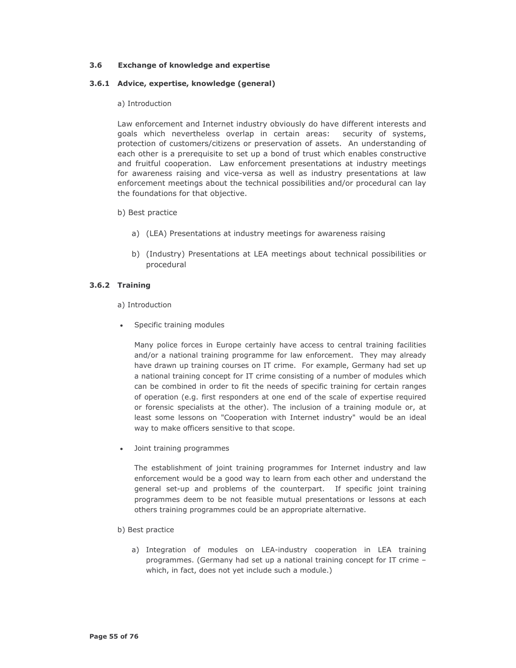#### $3.6$ **Exchange of knowledge and expertise**

# 3.6.1 Advice, expertise, knowledge (general)

# a) Introduction

Law enforcement and Internet industry obviously do have different interests and goals which nevertheless overlap in certain areas: security of systems, protection of customers/citizens or preservation of assets. An understanding of each other is a prerequisite to set up a bond of trust which enables constructive and fruitful cooperation. Law enforcement presentations at industry meetings for awareness raising and vice-versa as well as industry presentations at law enforcement meetings about the technical possibilities and/or procedural can lay the foundations for that objective.

- b) Best practice
	- a) (LEA) Presentations at industry meetings for awareness raising
	- b) (Industry) Presentations at LEA meetings about technical possibilities or procedural

# 3.6.2 Training

a) Introduction

• Specific training modules

Many police forces in Europe certainly have access to central training facilities and/or a national training programme for law enforcement. They may already have drawn up training courses on IT crime. For example, Germany had set up a national training concept for IT crime consisting of a number of modules which can be combined in order to fit the needs of specific training for certain ranges of operation (e.g. first responders at one end of the scale of expertise required or forensic specialists at the other). The inclusion of a training module or, at least some lessons on "Cooperation with Internet industry" would be an ideal way to make officers sensitive to that scope.

Joint training programmes  $\bullet$ 

> The establishment of joint training programmes for Internet industry and law enforcement would be a good way to learn from each other and understand the general set-up and problems of the counterpart. If specific joint training programmes deem to be not feasible mutual presentations or lessons at each others training programmes could be an appropriate alternative.

- b) Best practice
	- a) Integration of modules on LEA-industry cooperation in LEA training programmes. (Germany had set up a national training concept for IT crime which, in fact, does not yet include such a module.)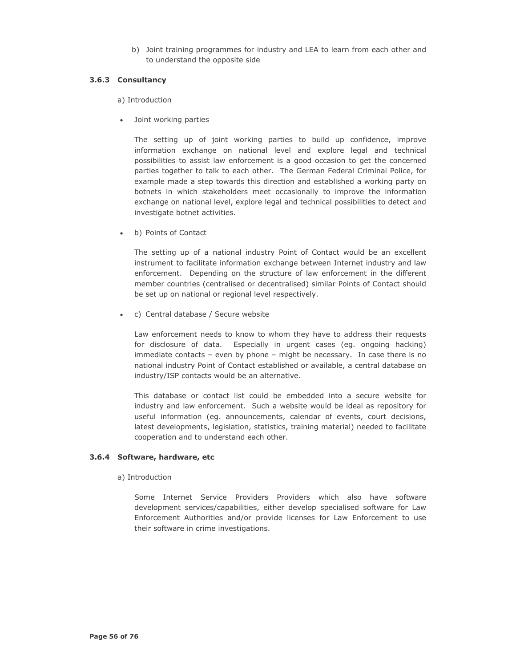b) Joint training programmes for industry and LEA to learn from each other and to understand the opposite side

# 3.6.3 Consultancy

a) Introduction

Joint working parties

The setting up of joint working parties to build up confidence, improve information exchange on national level and explore legal and technical possibilities to assist law enforcement is a good occasion to get the concerned parties together to talk to each other. The German Federal Criminal Police, for example made a step towards this direction and established a working party on botnets in which stakeholders meet occasionally to improve the information exchange on national level, explore legal and technical possibilities to detect and investigate botnet activities.

b) Points of Contact

The setting up of a national industry Point of Contact would be an excellent instrument to facilitate information exchange between Internet industry and law enforcement. Depending on the structure of law enforcement in the different member countries (centralised or decentralised) similar Points of Contact should be set up on national or regional level respectively.

• c) Central database / Secure website

Law enforcement needs to know to whom they have to address their requests for disclosure of data. Especially in urgent cases (eg. ongoing hacking) immediate contacts - even by phone - might be necessary. In case there is no national industry Point of Contact established or available, a central database on industry/ISP contacts would be an alternative.

This database or contact list could be embedded into a secure website for industry and law enforcement. Such a website would be ideal as repository for useful information (eq. announcements, calendar of events, court decisions, latest developments, legislation, statistics, training material) needed to facilitate cooperation and to understand each other.

# 3.6.4 Software, hardware, etc

# a) Introduction

Some Internet Service Providers Providers which also have software development services/capabilities, either develop specialised software for Law Enforcement Authorities and/or provide licenses for Law Enforcement to use their software in crime investigations.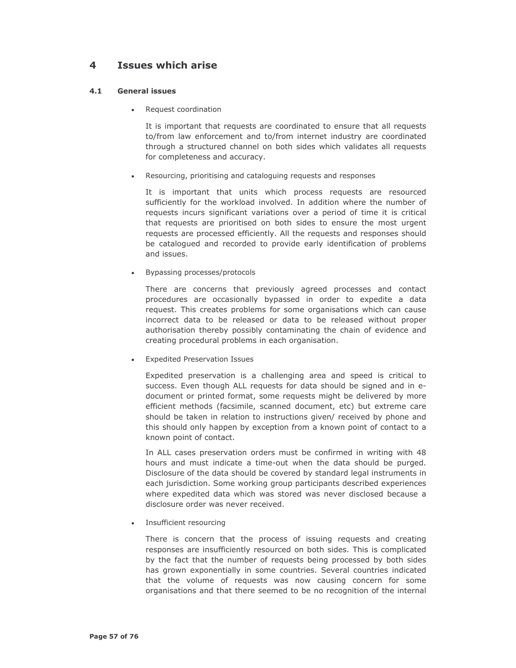#### 4 **Issues which arise**

#### $4.1$ **General issues**

Request coordination

It is important that requests are coordinated to ensure that all requests to/from law enforcement and to/from internet industry are coordinated through a structured channel on both sides which validates all requests for completeness and accuracy.

Resourcing, prioritising and cataloguing requests and responses

It is important that units which process requests are resourced sufficiently for the workload involved. In addition where the number of requests incurs significant variations over a period of time it is critical that requests are prioritised on both sides to ensure the most urgent requests are processed efficiently. All the requests and responses should be catalogued and recorded to provide early identification of problems and issues.

• Bypassing processes/protocols

There are concerns that previously agreed processes and contact procedures are occasionally bypassed in order to expedite a data request. This creates problems for some organisations which can cause incorrect data to be released or data to be released without proper authorisation thereby possibly contaminating the chain of evidence and creating procedural problems in each organisation.

• Expedited Preservation Issues

Expedited preservation is a challenging area and speed is critical to success. Even though ALL requests for data should be signed and in edocument or printed format, some requests might be delivered by more efficient methods (facsimile, scanned document, etc) but extreme care should be taken in relation to instructions given/ received by phone and this should only happen by exception from a known point of contact to a known point of contact.

In ALL cases preservation orders must be confirmed in writing with 48 hours and must indicate a time-out when the data should be purged. Disclosure of the data should be covered by standard legal instruments in each jurisdiction. Some working group participants described experiences where expedited data which was stored was never disclosed because a disclosure order was never received.

• Insufficient resourcing

There is concern that the process of issuing requests and creating responses are insufficiently resourced on both sides. This is complicated by the fact that the number of requests being processed by both sides has grown exponentially in some countries. Several countries indicated that the volume of requests was now causing concern for some organisations and that there seemed to be no recognition of the internal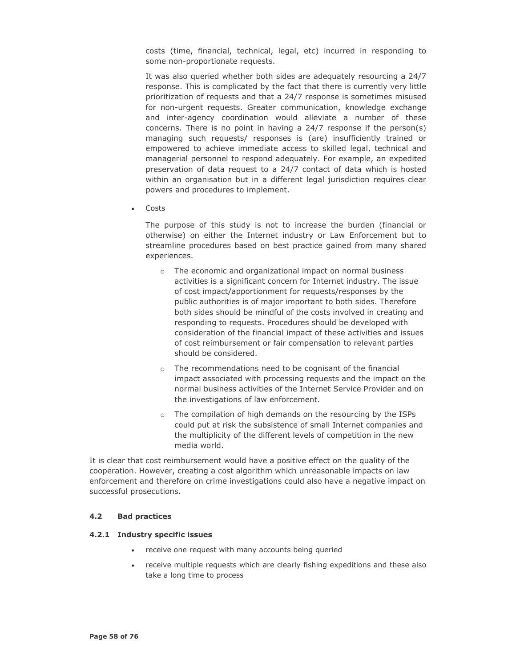costs (time, financial, technical, legal, etc) incurred in responding to some non-proportionate requests.

It was also queried whether both sides are adequately resourcing a 24/7 response. This is complicated by the fact that there is currently very little prioritization of requests and that a 24/7 response is sometimes misused for non-urgent requests. Greater communication, knowledge exchange and inter-agency coordination would alleviate a number of these concerns. There is no point in having a 24/7 response if the person(s) managing such requests/ responses is (are) insufficiently trained or empowered to achieve immediate access to skilled legal, technical and managerial personnel to respond adequately. For example, an expedited preservation of data request to a 24/7 contact of data which is hosted within an organisation but in a different legal jurisdiction requires clear powers and procedures to implement.

Costs

The purpose of this study is not to increase the burden (financial or otherwise) on either the Internet industry or Law Enforcement but to streamline procedures based on best practice gained from many shared experiences.

- o The economic and organizational impact on normal business activities is a significant concern for Internet industry. The issue of cost impact/apportionment for requests/responses by the public authorities is of major important to both sides. Therefore both sides should be mindful of the costs involved in creating and responding to requests. Procedures should be developed with consideration of the financial impact of these activities and issues of cost reimbursement or fair compensation to relevant parties should be considered.
- o The recommendations need to be cognisant of the financial impact associated with processing requests and the impact on the normal business activities of the Internet Service Provider and on the investigations of law enforcement.
- o The compilation of high demands on the resourcing by the ISPs could put at risk the subsistence of small Internet companies and the multiplicity of the different levels of competition in the new media world.

It is clear that cost reimbursement would have a positive effect on the quality of the cooperation. However, creating a cost algorithm which unreasonable impacts on law enforcement and therefore on crime investigations could also have a negative impact on successful prosecutions.

#### $4.2$ **Bad practices**

# 4.2.1 Industry specific issues

- receive one request with many accounts being queried
- receive multiple requests which are clearly fishing expeditions and these also take a long time to process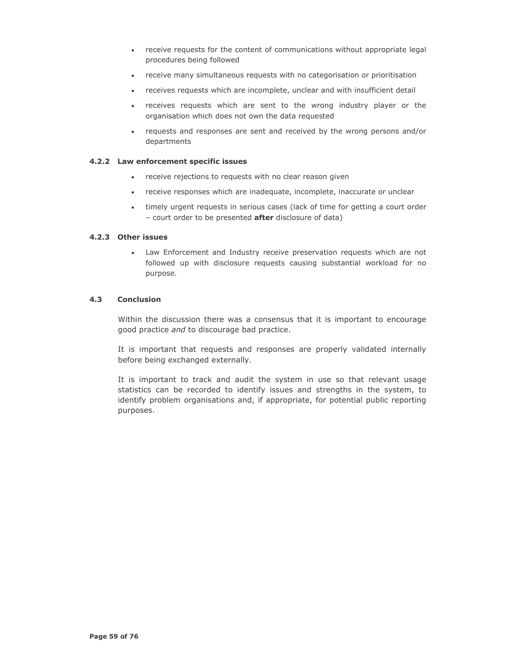- receive requests for the content of communications without appropriate legal procedures being followed
- receive many simultaneous requests with no categorisation or prioritisation
- receives requests which are incomplete, unclear and with insufficient detail
- · receives requests which are sent to the wrong industry player or the organisation which does not own the data requested
- requests and responses are sent and received by the wrong persons and/or departments

## 4.2.2 Law enforcement specific issues

- receive rejections to requests with no clear reason given
- receive responses which are inadequate, incomplete, inaccurate or unclear
- timely urgent reguests in serious cases (lack of time for getting a court order - court order to be presented after disclosure of data)

# 4.2.3 Other issues

• Law Enforcement and Industry receive preservation requests which are not followed up with disclosure requests causing substantial workload for no purpose.

#### $4.3$ **Conclusion**

Within the discussion there was a consensus that it is important to encourage good practice and to discourage bad practice.

It is important that requests and responses are properly validated internally before being exchanged externally.

It is important to track and audit the system in use so that relevant usage statistics can be recorded to identify issues and strengths in the system, to identify problem organisations and, if appropriate, for potential public reporting purposes.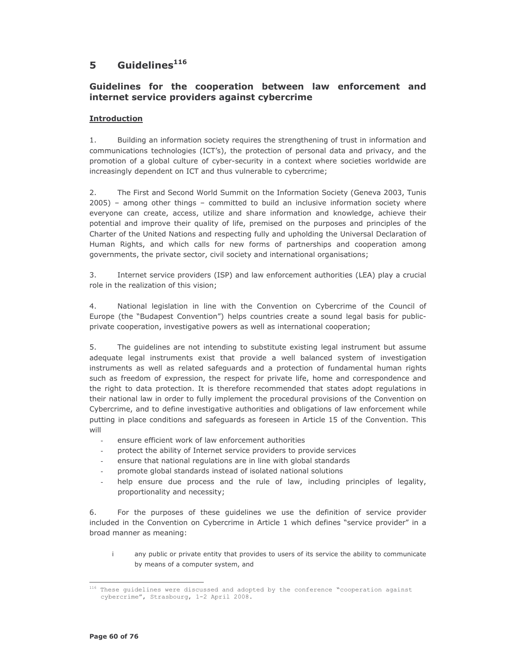#### Guidelines<sup>116</sup> 5

# Guidelines for the cooperation between law enforcement and internet service providers against cybercrime

# **Introduction**

Building an information society requires the strengthening of trust in information and  $1<sub>1</sub>$ communications technologies (ICT's), the protection of personal data and privacy, and the promotion of a global culture of cyber-security in a context where societies worldwide are increasingly dependent on ICT and thus vulnerable to cybercrime;

2. The First and Second World Summit on the Information Society (Geneva 2003, Tunis 2005) - among other things - committed to build an inclusive information society where everyone can create, access, utilize and share information and knowledge, achieve their potential and improve their quality of life, premised on the purposes and principles of the Charter of the United Nations and respecting fully and upholding the Universal Declaration of Human Rights, and which calls for new forms of partnerships and cooperation among governments, the private sector, civil society and international organisations;

 $3<sub>1</sub>$ Internet service providers (ISP) and law enforcement authorities (LEA) play a crucial role in the realization of this vision:

 $\overline{4}$ National legislation in line with the Convention on Cybercrime of the Council of Europe (the "Budapest Convention") helps countries create a sound legal basis for publicprivate cooperation, investigative powers as well as international cooperation;

5. The quidelines are not intending to substitute existing legal instrument but assume adequate legal instruments exist that provide a well balanced system of investigation instruments as well as related safeguards and a protection of fundamental human rights such as freedom of expression, the respect for private life, home and correspondence and the right to data protection. It is therefore recommended that states adopt regulations in their national law in order to fully implement the procedural provisions of the Convention on Cybercrime, and to define investigative authorities and obligations of law enforcement while putting in place conditions and safeguards as foreseen in Article 15 of the Convention. This will

- ensure efficient work of law enforcement authorities
- protect the ability of Internet service providers to provide services
- ensure that national regulations are in line with global standards
- promote global standards instead of isolated national solutions
- help ensure due process and the rule of law, including principles of legality, proportionality and necessity;

For the purposes of these quidelines we use the definition of service provider 6. included in the Convention on Cybercrime in Article 1 which defines "service provider" in a broad manner as meaning:

 $\mathbf{i}$ any public or private entity that provides to users of its service the ability to communicate by means of a computer system, and

 $116$  These guidelines were discussed and adopted by the conference "cooperation against cybercrime", Strasbourg, 1-2 April 2008.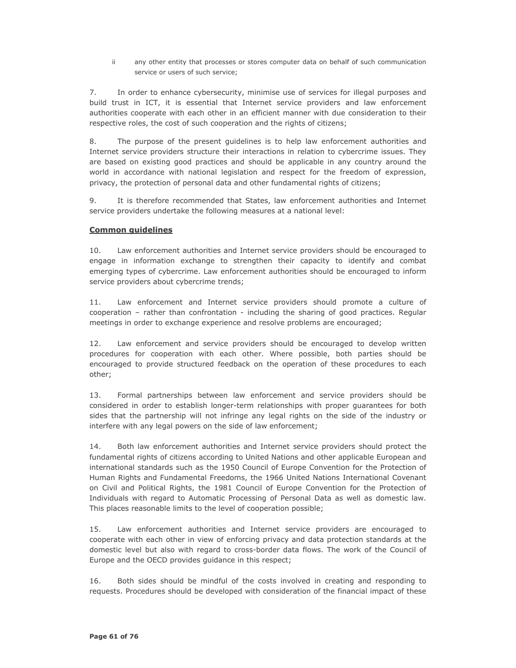ii. any other entity that processes or stores computer data on behalf of such communication service or users of such service:

 $7.$ In order to enhance cybersecurity, minimise use of services for illegal purposes and build trust in ICT, it is essential that Internet service providers and law enforcement authorities cooperate with each other in an efficient manner with due consideration to their respective roles, the cost of such cooperation and the rights of citizens;

8. The purpose of the present guidelines is to help law enforcement authorities and Internet service providers structure their interactions in relation to cybercrime issues. They are based on existing good practices and should be applicable in any country around the world in accordance with national legislation and respect for the freedom of expression, privacy, the protection of personal data and other fundamental rights of citizens:

9. It is therefore recommended that States, law enforcement authorities and Internet service providers undertake the following measures at a national level:

# **Common quidelines**

 $10<sub>1</sub>$ Law enforcement authorities and Internet service providers should be encouraged to engage in information exchange to strengthen their capacity to identify and combat emerging types of cybercrime. Law enforcement authorities should be encouraged to inform service providers about cybercrime trends;

Law enforcement and Internet service providers should promote a culture of  $11.$ cooperation - rather than confrontation - including the sharing of good practices. Regular meetings in order to exchange experience and resolve problems are encouraged;

 $12.$ Law enforcement and service providers should be encouraged to develop written procedures for cooperation with each other. Where possible, both parties should be encouraged to provide structured feedback on the operation of these procedures to each other:

 $13.$ Formal partnerships between law enforcement and service providers should be considered in order to establish longer-term relationships with proper guarantees for both sides that the partnership will not infringe any legal rights on the side of the industry or interfere with any legal powers on the side of law enforcement;

14. Both law enforcement authorities and Internet service providers should protect the fundamental rights of citizens according to United Nations and other applicable European and international standards such as the 1950 Council of Europe Convention for the Protection of Human Rights and Fundamental Freedoms, the 1966 United Nations International Covenant on Civil and Political Rights, the 1981 Council of Europe Convention for the Protection of Individuals with regard to Automatic Processing of Personal Data as well as domestic law. This places reasonable limits to the level of cooperation possible;

Law enforcement authorities and Internet service providers are encouraged to 15. cooperate with each other in view of enforcing privacy and data protection standards at the domestic level but also with regard to cross-border data flows. The work of the Council of Europe and the OECD provides guidance in this respect;

 $16.$ Both sides should be mindful of the costs involved in creating and responding to requests. Procedures should be developed with consideration of the financial impact of these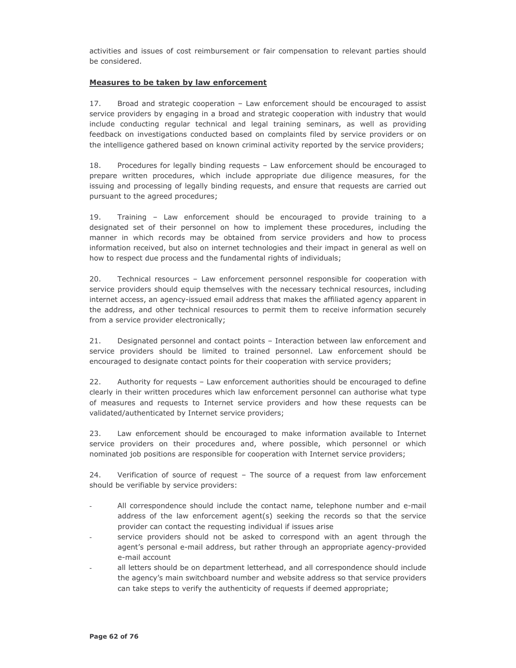activities and issues of cost reimbursement or fair compensation to relevant parties should be considered.

# Measures to be taken by law enforcement

 $17.$ Broad and strategic cooperation - Law enforcement should be encouraged to assist service providers by engaging in a broad and strategic cooperation with industry that would include conducting regular technical and legal training seminars, as well as providing feedback on investigations conducted based on complaints filed by service providers or on the intelligence gathered based on known criminal activity reported by the service providers;

18. Procedures for legally binding requests - Law enforcement should be encouraged to prepare written procedures, which include appropriate due diligence measures, for the issuing and processing of legally binding requests, and ensure that requests are carried out pursuant to the agreed procedures;

 $19$ Training - Law enforcement should be encouraged to provide training to a designated set of their personnel on how to implement these procedures, including the manner in which records may be obtained from service providers and how to process information received, but also on internet technologies and their impact in general as well on how to respect due process and the fundamental rights of individuals;

20. Technical resources - Law enforcement personnel responsible for cooperation with service providers should equip themselves with the necessary technical resources, including internet access, an agency-issued email address that makes the affiliated agency apparent in the address, and other technical resources to permit them to receive information securely from a service provider electronically;

 $21.$ Designated personnel and contact points - Interaction between law enforcement and service providers should be limited to trained personnel. Law enforcement should be encouraged to designate contact points for their cooperation with service providers;

22. Authority for requests - Law enforcement authorities should be encouraged to define clearly in their written procedures which law enforcement personnel can authorise what type of measures and requests to Internet service providers and how these requests can be validated/authenticated by Internet service providers;

23. Law enforcement should be encouraged to make information available to Internet service providers on their procedures and, where possible, which personnel or which nominated job positions are responsible for cooperation with Internet service providers;

24. Verification of source of request - The source of a request from law enforcement should be verifiable by service providers:

- All correspondence should include the contact name, telephone number and e-mail address of the law enforcement agent(s) seeking the records so that the service provider can contact the requesting individual if issues arise
- service providers should not be asked to correspond with an agent through the agent's personal e-mail address, but rather through an appropriate agency-provided e-mail account
- all letters should be on department letterhead, and all correspondence should include the agency's main switchboard number and website address so that service providers can take steps to verify the authenticity of requests if deemed appropriate;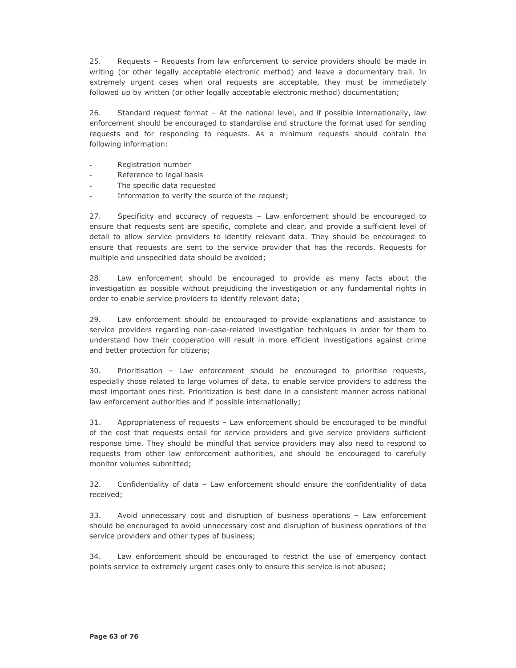$25.$ Requests - Requests from law enforcement to service providers should be made in writing (or other legally acceptable electronic method) and leave a documentary trail. In extremely urgent cases when oral requests are acceptable, they must be immediately followed up by written (or other legally acceptable electronic method) documentation;

26. Standard request format - At the national level, and if possible internationally, law enforcement should be encouraged to standardise and structure the format used for sending requests and for responding to requests. As a minimum requests should contain the following information:

- Registration number
- Reference to legal basis
- The specific data requested
- Information to verify the source of the request;

Specificity and accuracy of requests - Law enforcement should be encouraged to  $27.$ ensure that requests sent are specific, complete and clear, and provide a sufficient level of detail to allow service providers to identify relevant data. They should be encouraged to ensure that requests are sent to the service provider that has the records. Requests for multiple and unspecified data should be avoided;

28. Law enforcement should be encouraged to provide as many facts about the investigation as possible without prejudicing the investigation or any fundamental rights in order to enable service providers to identify relevant data;

29. Law enforcement should be encouraged to provide explanations and assistance to service providers regarding non-case-related investigation techniques in order for them to understand how their cooperation will result in more efficient investigations against crime and better protection for citizens;

30. Prioritisation - Law enforcement should be encouraged to prioritise requests, especially those related to large volumes of data, to enable service providers to address the most important ones first. Prioritization is best done in a consistent manner across national law enforcement authorities and if possible internationally;

Appropriateness of requests - Law enforcement should be encouraged to be mindful  $31.$ of the cost that requests entail for service providers and give service providers sufficient response time. They should be mindful that service providers may also need to respond to requests from other law enforcement authorities, and should be encouraged to carefully monitor volumes submitted;

32. Confidentiality of data - Law enforcement should ensure the confidentiality of data received:

33. Avoid unnecessary cost and disruption of business operations - Law enforcement should be encouraged to avoid unnecessary cost and disruption of business operations of the service providers and other types of business;

34. Law enforcement should be encouraged to restrict the use of emergency contact points service to extremely urgent cases only to ensure this service is not abused;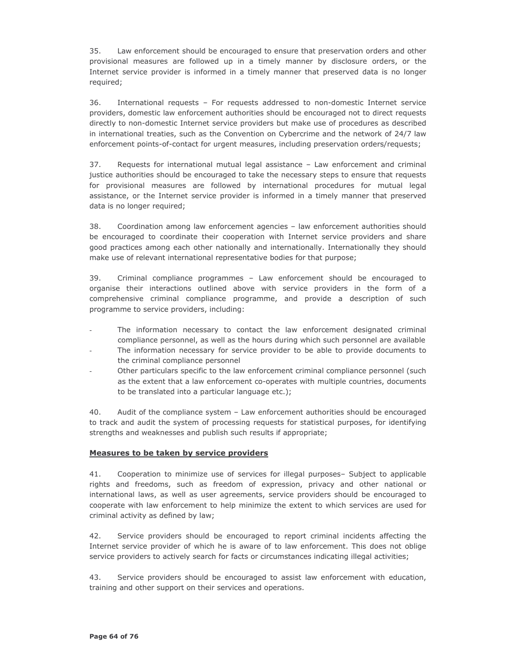35. Law enforcement should be encouraged to ensure that preservation orders and other provisional measures are followed up in a timely manner by disclosure orders, or the Internet service provider is informed in a timely manner that preserved data is no longer required;

36. International requests - For requests addressed to non-domestic Internet service providers, domestic law enforcement authorities should be encouraged not to direct requests directly to non-domestic Internet service providers but make use of procedures as described in international treaties, such as the Convention on Cybercrime and the network of 24/7 law enforcement points-of-contact for urgent measures, including preservation orders/requests;

37. Requests for international mutual legal assistance - Law enforcement and criminal justice authorities should be encouraged to take the necessary steps to ensure that requests for provisional measures are followed by international procedures for mutual legal assistance, or the Internet service provider is informed in a timely manner that preserved data is no longer required;

38. Coordination among law enforcement agencies - law enforcement authorities should be encouraged to coordinate their cooperation with Internet service providers and share good practices among each other nationally and internationally. Internationally they should make use of relevant international representative bodies for that purpose;

39. Criminal compliance programmes - Law enforcement should be encouraged to organise their interactions outlined above with service providers in the form of a comprehensive criminal compliance programme, and provide a description of such programme to service providers, including:

- The information necessary to contact the law enforcement designated criminal compliance personnel, as well as the hours during which such personnel are available
- The information necessary for service provider to be able to provide documents to the criminal compliance personnel
- Other particulars specific to the law enforcement criminal compliance personnel (such as the extent that a law enforcement co-operates with multiple countries, documents to be translated into a particular language etc.);

40. Audit of the compliance system - Law enforcement authorities should be encouraged to track and audit the system of processing requests for statistical purposes, for identifying strengths and weaknesses and publish such results if appropriate;

# Measures to be taken by service providers

Cooperation to minimize use of services for illegal purposes- Subject to applicable  $41.$ rights and freedoms, such as freedom of expression, privacy and other national or international laws, as well as user agreements, service providers should be encouraged to cooperate with law enforcement to help minimize the extent to which services are used for criminal activity as defined by law;

42. Service providers should be encouraged to report criminal incidents affecting the Internet service provider of which he is aware of to law enforcement. This does not oblige service providers to actively search for facts or circumstances indicating illegal activities;

43. Service providers should be encouraged to assist law enforcement with education, training and other support on their services and operations.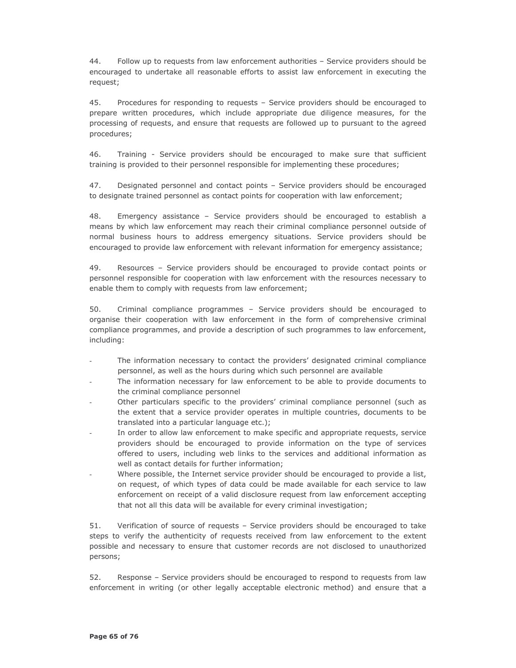44. Follow up to requests from law enforcement authorities - Service providers should be encouraged to undertake all reasonable efforts to assist law enforcement in executing the request;

45. Procedures for responding to requests - Service providers should be encouraged to prepare written procedures, which include appropriate due diligence measures, for the processing of requests, and ensure that requests are followed up to pursuant to the agreed procedures;

46. Training - Service providers should be encouraged to make sure that sufficient training is provided to their personnel responsible for implementing these procedures;

47. Designated personnel and contact points - Service providers should be encouraged to designate trained personnel as contact points for cooperation with law enforcement;

Emergency assistance - Service providers should be encouraged to establish a 48 means by which law enforcement may reach their criminal compliance personnel outside of normal business hours to address emergency situations. Service providers should be encouraged to provide law enforcement with relevant information for emergency assistance;

49. Resources - Service providers should be encouraged to provide contact points or personnel responsible for cooperation with law enforcement with the resources necessary to enable them to comply with requests from law enforcement;

50. Criminal compliance programmes - Service providers should be encouraged to organise their cooperation with law enforcement in the form of comprehensive criminal compliance programmes, and provide a description of such programmes to law enforcement, including:

- The information necessary to contact the providers' designated criminal compliance personnel, as well as the hours during which such personnel are available
- The information necessary for law enforcement to be able to provide documents to the criminal compliance personnel
- Other particulars specific to the providers' criminal compliance personnel (such as the extent that a service provider operates in multiple countries, documents to be translated into a particular language etc.);
- In order to allow law enforcement to make specific and appropriate requests, service providers should be encouraged to provide information on the type of services offered to users, including web links to the services and additional information as well as contact details for further information;
- Where possible, the Internet service provider should be encouraged to provide a list, on request, of which types of data could be made available for each service to law enforcement on receipt of a valid disclosure request from law enforcement accepting that not all this data will be available for every criminal investigation;

51. Verification of source of requests - Service providers should be encouraged to take steps to verify the authenticity of requests received from law enforcement to the extent possible and necessary to ensure that customer records are not disclosed to unauthorized persons;

52. Response - Service providers should be encouraged to respond to requests from law enforcement in writing (or other legally acceptable electronic method) and ensure that a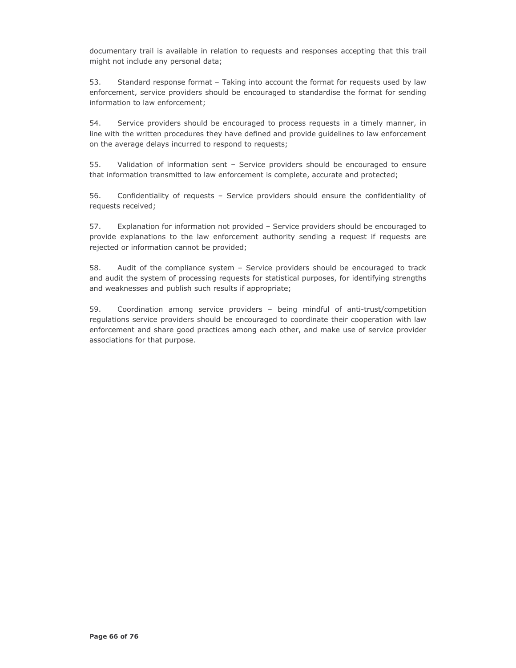documentary trail is available in relation to requests and responses accepting that this trail might not include any personal data;

53. Standard response format - Taking into account the format for requests used by law enforcement, service providers should be encouraged to standardise the format for sending information to law enforcement;

54. Service providers should be encouraged to process requests in a timely manner, in line with the written procedures they have defined and provide guidelines to law enforcement on the average delays incurred to respond to requests;

55. Validation of information sent - Service providers should be encouraged to ensure that information transmitted to law enforcement is complete, accurate and protected;

56. Confidentiality of requests - Service providers should ensure the confidentiality of requests received;

57. Explanation for information not provided - Service providers should be encouraged to provide explanations to the law enforcement authority sending a request if requests are rejected or information cannot be provided;

58. Audit of the compliance system - Service providers should be encouraged to track and audit the system of processing requests for statistical purposes, for identifying strengths and weaknesses and publish such results if appropriate;

59. Coordination among service providers - being mindful of anti-trust/competition regulations service providers should be encouraged to coordinate their cooperation with law enforcement and share good practices among each other, and make use of service provider associations for that purpose.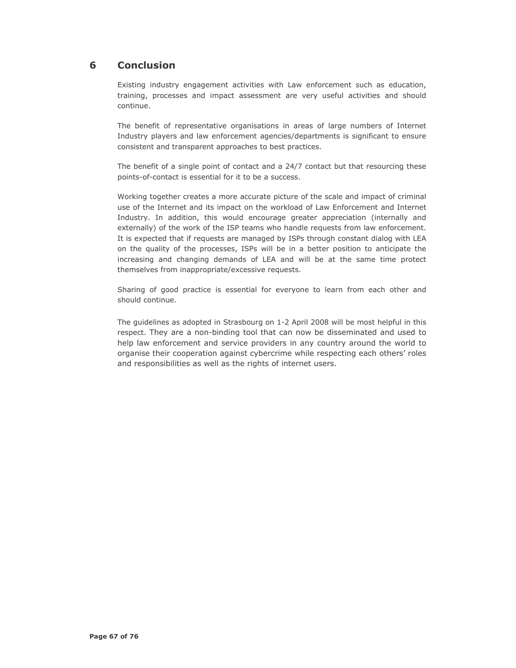#### 6 **Conclusion**

Existing industry engagement activities with Law enforcement such as education, training, processes and impact assessment are very useful activities and should continue.

The benefit of representative organisations in areas of large numbers of Internet Industry players and law enforcement agencies/departments is significant to ensure consistent and transparent approaches to best practices.

The benefit of a single point of contact and a 24/7 contact but that resourcing these points-of-contact is essential for it to be a success.

Working together creates a more accurate picture of the scale and impact of criminal use of the Internet and its impact on the workload of Law Enforcement and Internet Industry. In addition, this would encourage greater appreciation (internally and externally) of the work of the ISP teams who handle requests from law enforcement. It is expected that if requests are managed by ISPs through constant dialog with LEA on the quality of the processes, ISPs will be in a better position to anticipate the increasing and changing demands of LEA and will be at the same time protect themselves from inappropriate/excessive requests.

Sharing of good practice is essential for everyone to learn from each other and should continue.

The quidelines as adopted in Strasbourg on 1-2 April 2008 will be most helpful in this respect. They are a non-binding tool that can now be disseminated and used to help law enforcement and service providers in any country around the world to organise their cooperation against cybercrime while respecting each others' roles and responsibilities as well as the rights of internet users.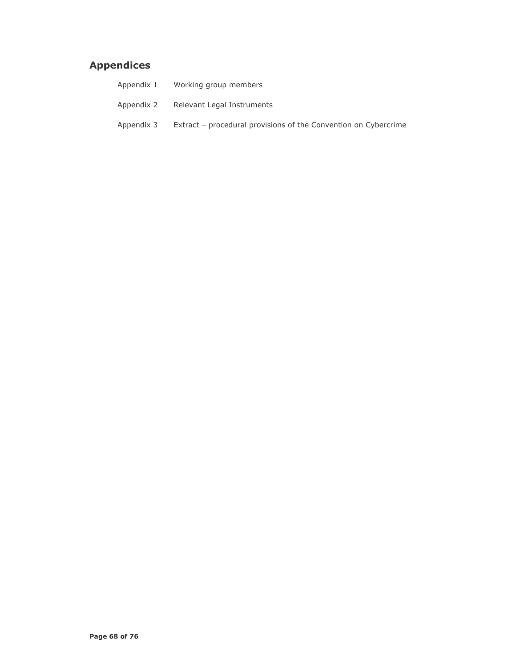# **Appendices**

| Appendix 1 | Working group members                                           |
|------------|-----------------------------------------------------------------|
| Appendix 2 | Relevant Legal Instruments                                      |
| Appendix 3 | Extract – procedural provisions of the Convention on Cybercrime |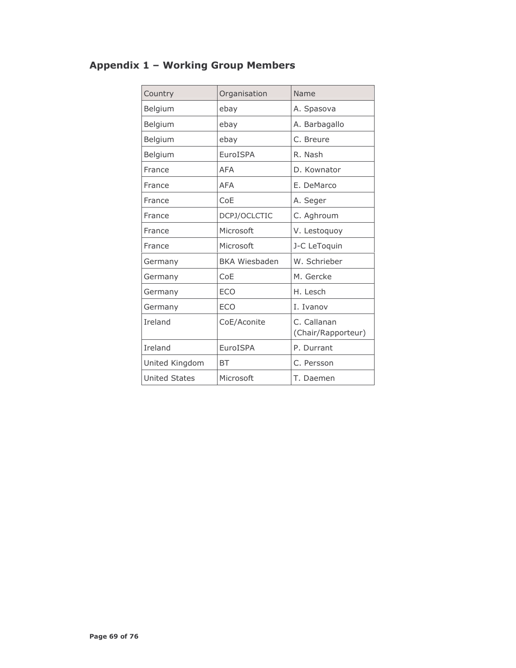# **Appendix 1 - Working Group Members**

| Country              | Organisation         | Name                              |
|----------------------|----------------------|-----------------------------------|
| Belgium              | ebay                 | A. Spasova                        |
| Belgium              | ebay                 | A. Barbagallo                     |
| Belgium              | ebay                 | C. Breure                         |
| Belgium              | EuroISPA             | R. Nash                           |
| France               | <b>AFA</b>           | D. Kownator                       |
| France               | <b>AFA</b>           | E. DeMarco                        |
| France               | CoE                  | A. Seger                          |
| France               | DCPJ/OCLCTIC         | C. Aghroum                        |
| France               | Microsoft            | V. Lestoquoy                      |
| France               | Microsoft            | J-C LeToquin                      |
| Germany              | <b>BKA Wiesbaden</b> | W. Schrieber                      |
| Germany              | CoE                  | M. Gercke                         |
| Germany              | <b>ECO</b>           | H. Lesch                          |
| Germany              | <b>ECO</b>           | I. Ivanov                         |
| Ireland              | CoE/Aconite          | C. Callanan<br>(Chair/Rapporteur) |
| Ireland              | EuroISPA             | P. Durrant                        |
| United Kingdom       | <b>BT</b>            | C. Persson                        |
| <b>United States</b> | Microsoft            | T. Daemen                         |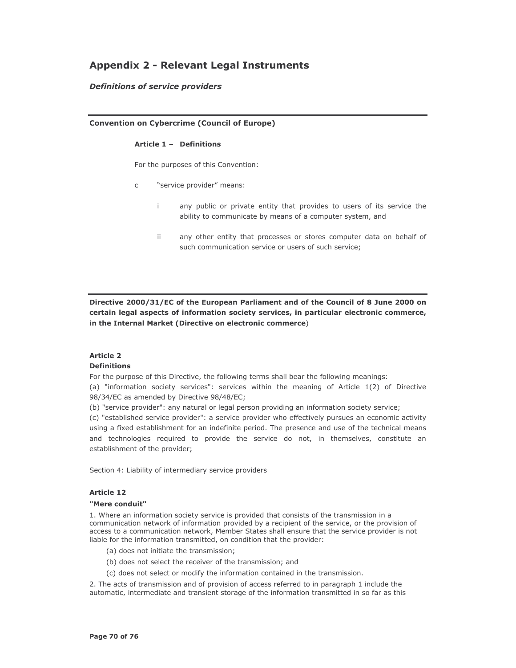# **Appendix 2 - Relevant Legal Instruments**

# **Definitions of service providers**

### **Convention on Cybercrime (Council of Europe)**

#### Article 1 - Definitions

For the purposes of this Convention:

- "service provider" means:  $\mathsf{C}$ 
	- any public or private entity that provides to users of its service the ÷ ability to communicate by means of a computer system, and
	- any other entity that processes or stores computer data on behalf of ii. such communication service or users of such service;

Directive 2000/31/EC of the European Parliament and of the Council of 8 June 2000 on certain legal aspects of information society services, in particular electronic commerce, in the Internal Market (Directive on electronic commerce)

#### **Article 2 Definitions**

For the purpose of this Directive, the following terms shall bear the following meanings:

(a) "information society services": services within the meaning of Article 1(2) of Directive 98/34/EC as amended by Directive 98/48/EC;

(b) "service provider": any natural or legal person providing an information society service;

(c) "established service provider": a service provider who effectively pursues an economic activity using a fixed establishment for an indefinite period. The presence and use of the technical means and technologies required to provide the service do not, in themselves, constitute an establishment of the provider;

Section 4: Liability of intermediary service providers

# **Article 12**

#### "Mere conduit"

1. Where an information society service is provided that consists of the transmission in a communication network of information provided by a recipient of the service, or the provision of access to a communication network, Member States shall ensure that the service provider is not liable for the information transmitted, on condition that the provider:

- (a) does not initiate the transmission;
- (b) does not select the receiver of the transmission; and
- (c) does not select or modify the information contained in the transmission.

2. The acts of transmission and of provision of access referred to in paragraph 1 include the automatic, intermediate and transient storage of the information transmitted in so far as this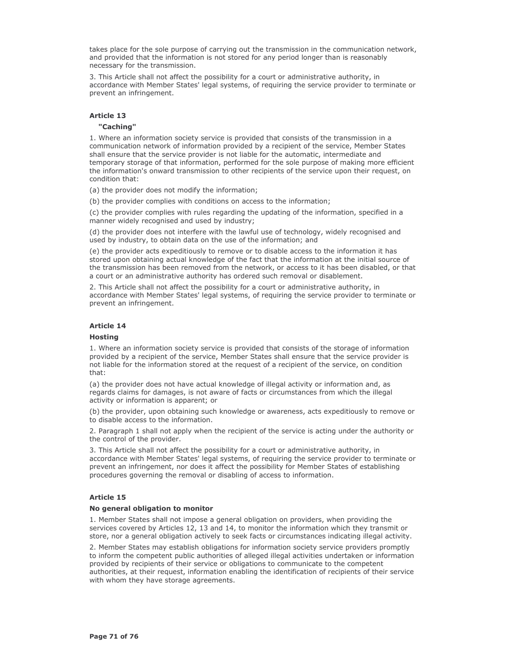takes place for the sole purpose of carrying out the transmission in the communication network. and provided that the information is not stored for any period longer than is reasonably necessary for the transmission.

3. This Article shall not affect the possibility for a court or administrative authority, in accordance with Member States' legal systems, of requiring the service provider to terminate or prevent an infringement.

### **Article 13**

#### "Caching"

1. Where an information society service is provided that consists of the transmission in a communication network of information provided by a recipient of the service, Member States shall ensure that the service provider is not liable for the automatic, intermediate and temporary storage of that information, performed for the sole purpose of making more efficient the information's onward transmission to other recipients of the service upon their request, on condition that:

(a) the provider does not modify the information;

(b) the provider complies with conditions on access to the information:

(c) the provider complies with rules regarding the updating of the information, specified in a manner widely recognised and used by industry;

(d) the provider does not interfere with the lawful use of technology, widely recognised and used by industry, to obtain data on the use of the information; and

(e) the provider acts expeditiously to remove or to disable access to the information it has stored upon obtaining actual knowledge of the fact that the information at the initial source of the transmission has been removed from the network, or access to it has been disabled, or that a court or an administrative authority has ordered such removal or disablement.

2. This Article shall not affect the possibility for a court or administrative authority, in accordance with Member States' legal systems, of requiring the service provider to terminate or prevent an infringement.

### **Article 14**

#### **Hosting**

1. Where an information society service is provided that consists of the storage of information provided by a recipient of the service, Member States shall ensure that the service provider is not liable for the information stored at the request of a recipient of the service, on condition that<sup>.</sup>

(a) the provider does not have actual knowledge of illegal activity or information and, as regards claims for damages, is not aware of facts or circumstances from which the illegal activity or information is apparent; or

(b) the provider, upon obtaining such knowledge or awareness, acts expeditiously to remove or to disable access to the information.

2. Paragraph 1 shall not apply when the recipient of the service is acting under the authority or the control of the provider.

3. This Article shall not affect the possibility for a court or administrative authority, in accordance with Member States' legal systems, of requiring the service provider to terminate or prevent an infringement, nor does it affect the possibility for Member States of establishing procedures governing the removal or disabling of access to information.

#### **Article 15**

#### No general obligation to monitor

1. Member States shall not impose a general obligation on providers, when providing the services covered by Articles 12, 13 and 14, to monitor the information which they transmit or store, nor a general obligation actively to seek facts or circumstances indicating illegal activity.

2. Member States may establish obligations for information society service providers promptly to inform the competent public authorities of alleged illegal activities undertaken or information provided by recipients of their service or obligations to communicate to the competent authorities, at their request, information enabling the identification of recipients of their service with whom they have storage agreements.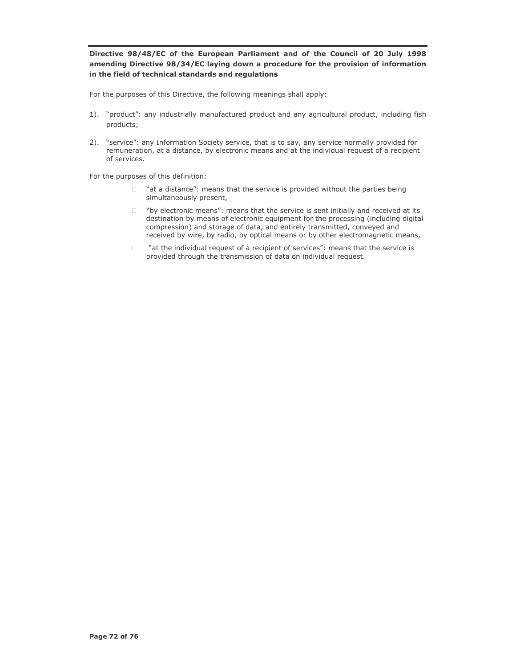# Directive 98/48/EC of the European Parliament and of the Council of 20 July 1998 amending Directive 98/34/EC laying down a procedure for the provision of information in the field of technical standards and regulations

For the purposes of this Directive, the following meanings shall apply:

- 1). "product": any industrially manufactured product and any agricultural product, including fish products;
- 2). "service": any Information Society service, that is to say, any service normally provided for remuneration, at a distance, by electronic means and at the individual request of a recipient of services.

For the purposes of this definition:

- $\Box$  "at a distance": means that the service is provided without the parties being simultaneously present,
- "by electronic means": means that the service is sent initially and received at its  $\Box$ destination by means of electronic equipment for the processing (including digital compression) and storage of data, and entirely transmitted, conveyed and received by wire, by radio, by optical means or by other electromagnetic means,
- "at the individual request of a recipient of services": means that the service is  $\Box$ provided through the transmission of data on individual request.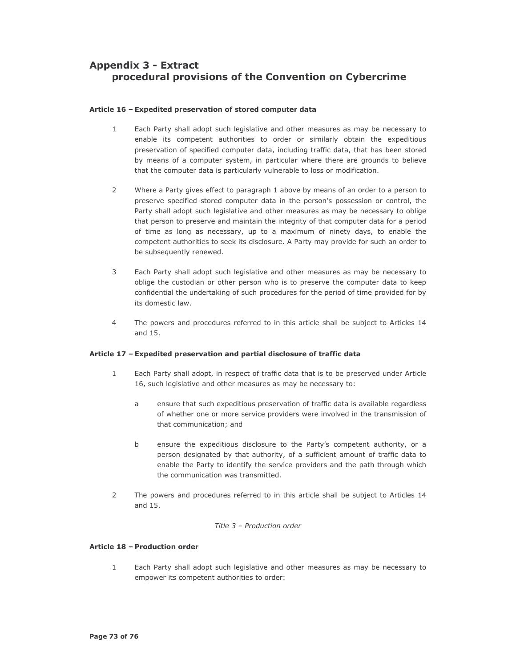# **Appendix 3 - Extract** procedural provisions of the Convention on Cybercrime

## Article 16 - Expedited preservation of stored computer data

- $\mathbf{1}$ Each Party shall adopt such legislative and other measures as may be necessary to enable its competent authorities to order or similarly obtain the expeditious preservation of specified computer data, including traffic data, that has been stored by means of a computer system, in particular where there are grounds to believe that the computer data is particularly vulnerable to loss or modification.
- $\overline{2}$ Where a Party gives effect to paragraph 1 above by means of an order to a person to preserve specified stored computer data in the person's possession or control, the Party shall adopt such legislative and other measures as may be necessary to oblige that person to preserve and maintain the integrity of that computer data for a period of time as long as necessary, up to a maximum of ninety days, to enable the competent authorities to seek its disclosure. A Party may provide for such an order to be subsequently renewed.
- 3 Each Party shall adopt such legislative and other measures as may be necessary to oblige the custodian or other person who is to preserve the computer data to keep confidential the undertaking of such procedures for the period of time provided for by its domestic law.
- $\overline{4}$ The powers and procedures referred to in this article shall be subject to Articles 14 and 15.

## Article 17 - Expedited preservation and partial disclosure of traffic data

- $\mathbf{1}$ Each Party shall adopt, in respect of traffic data that is to be preserved under Article 16, such legislative and other measures as may be necessary to:
	- ensure that such expeditious preservation of traffic data is available regardless  $\overline{a}$ of whether one or more service providers were involved in the transmission of that communication; and
	- $h$ ensure the expeditious disclosure to the Party's competent authority, or a person designated by that authority, of a sufficient amount of traffic data to enable the Party to identify the service providers and the path through which the communication was transmitted.
- $\overline{2}$ The powers and procedures referred to in this article shall be subject to Articles 14 and 15.

#### Title 3 - Production order

#### Article 18 - Production order

 $\mathbf{1}$ Each Party shall adopt such legislative and other measures as may be necessary to empower its competent authorities to order: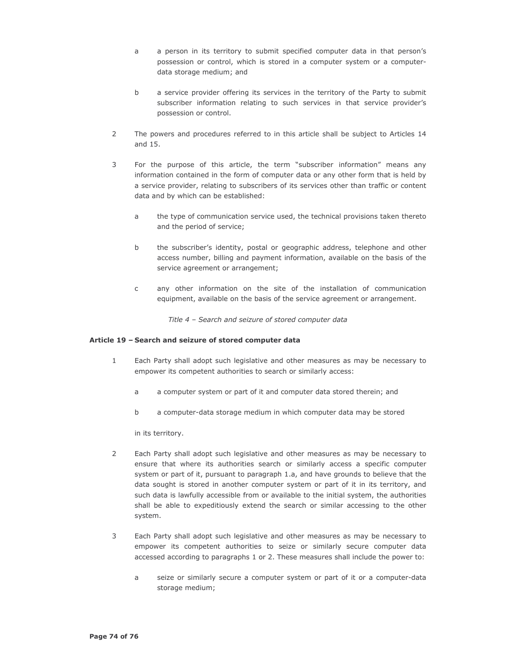- a person in its territory to submit specified computer data in that person's  $\overline{a}$ possession or control, which is stored in a computer system or a computerdata storage medium; and
- $h$ a service provider offering its services in the territory of the Party to submit subscriber information relating to such services in that service provider's possession or control.
- $\overline{2}$ The powers and procedures referred to in this article shall be subject to Articles 14 and 15.
- $\mathcal{E}$ For the purpose of this article, the term "subscriber information" means any information contained in the form of computer data or any other form that is held by a service provider, relating to subscribers of its services other than traffic or content data and by which can be established:
	- $\overline{a}$ the type of communication service used, the technical provisions taken thereto and the period of service;
	- the subscriber's identity, postal or geographic address, telephone and other  $h$ access number, billing and payment information, available on the basis of the service agreement or arrangement;
	- any other information on the site of the installation of communication  $\mathsf{C}$ equipment, available on the basis of the service agreement or arrangement.

Title 4 - Search and seizure of stored computer data

#### Article 19 - Search and seizure of stored computer data

- $\mathbf{1}$ Each Party shall adopt such legislative and other measures as may be necessary to empower its competent authorities to search or similarly access:
	- a computer system or part of it and computer data stored therein; and a
	- $\mathsf{b}$ a computer-data storage medium in which computer data may be stored

in its territory.

- $\overline{2}$ Each Party shall adopt such legislative and other measures as may be necessary to ensure that where its authorities search or similarly access a specific computer system or part of it, pursuant to paragraph 1.a, and have grounds to believe that the data sought is stored in another computer system or part of it in its territory, and such data is lawfully accessible from or available to the initial system, the authorities shall be able to expeditiously extend the search or similar accessing to the other system.
- 3 Each Party shall adopt such legislative and other measures as may be necessary to empower its competent authorities to seize or similarly secure computer data accessed according to paragraphs 1 or 2. These measures shall include the power to:
	- $\overline{a}$ seize or similarly secure a computer system or part of it or a computer-data storage medium;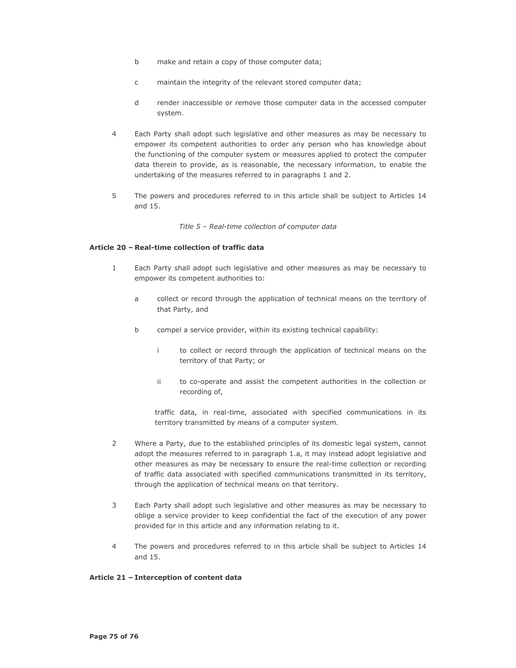- $h$ make and retain a copy of those computer data;
- maintain the integrity of the relevant stored computer data;  $\mathsf{C}$
- $\mathsf{d}$ render inaccessible or remove those computer data in the accessed computer svstem.
- $\overline{4}$ Each Party shall adopt such legislative and other measures as may be necessary to empower its competent authorities to order any person who has knowledge about the functioning of the computer system or measures applied to protect the computer data therein to provide, as is reasonable, the necessary information, to enable the undertaking of the measures referred to in paragraphs 1 and 2.
- 5 The powers and procedures referred to in this article shall be subject to Articles 14 and 15.

Title 5 - Real-time collection of computer data

#### Article 20 - Real-time collection of traffic data

- $\mathbf{1}$ Each Party shall adopt such legislative and other measures as may be necessary to empower its competent authorities to:
	- collect or record through the application of technical means on the territory of  $\overline{a}$ that Party, and
	- $b$ compel a service provider, within its existing technical capability:
		- i. to collect or record through the application of technical means on the territory of that Party; or
		- to co-operate and assist the competent authorities in the collection or ii. recording of,

traffic data, in real-time, associated with specified communications in its territory transmitted by means of a computer system.

- $\mathcal{P}$ Where a Party, due to the established principles of its domestic legal system, cannot adopt the measures referred to in paragraph 1.a, it may instead adopt legislative and other measures as may be necessary to ensure the real-time collection or recording of traffic data associated with specified communications transmitted in its territory, through the application of technical means on that territory.
- 3 Each Party shall adopt such legislative and other measures as may be necessary to oblige a service provider to keep confidential the fact of the execution of any power provided for in this article and any information relating to it.
- $\overline{\mathbf{A}}$ The powers and procedures referred to in this article shall be subject to Articles 14 and 15.

### Article 21 - Interception of content data